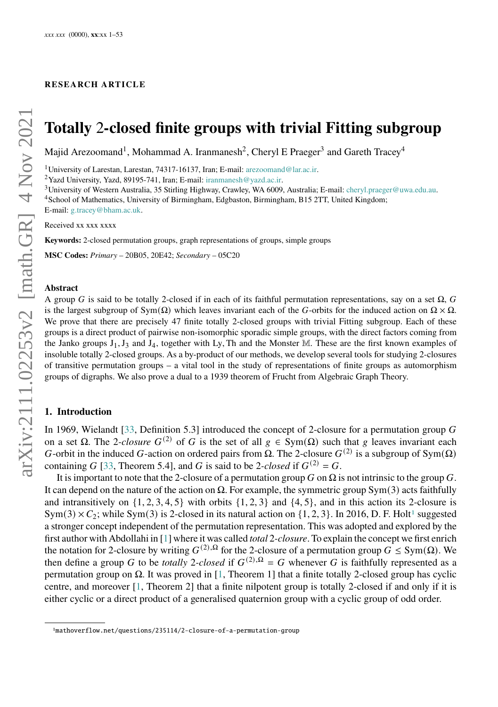#### **RESEARCH ART ICLE**

# **Totally** 2**-closed finite groups with trivial Fitting subgroup**

Majid Arezoomand<sup>1</sup>, Mohammad A. Iranmanesh<sup>2</sup>, Cheryl E Praeger<sup>3</sup> and Gareth Tracey<sup>4</sup>

<sup>1</sup>University of Larestan, Larestan, 74317-16137, Iran; E-mail: arezoomand@lar.ac.ir.

<sup>2</sup>Yazd University, Yazd, 89195-741, Iran; E-mail: iranmanesh@yazd.ac.ir.

<sup>3</sup>University of Western Australia, 35 Stirling Highway, Crawley, WA 6009, Australia; E-mail: cheryl.praeger@uwa.edu.au.

<sup>4</sup>School of Mathematics, University of Birmingham, Edgbaston, Birmingham, B15 2TT, United Kingdom; E-mail: g.tracey@bham.ac.uk.

Received xx xxx xxxx

**Keywords:** 2-closed permutation groups, graph representations of groups, simple groups

**MSC Codes:** *Primary* – 20B05, 20E42; *Secondary* – 05C20

#### **Abstract**

A group G is said to be totally 2-closed if in each of its faithful permutation representations, say on a set  $\Omega$ , G is the largest subgroup of Sym( $\Omega$ ) which leaves invariant each of the G-orbits for the induced action on  $\Omega \times \Omega$ . We prove that there are precisely 47 finite totally 2-closed groups with trivial Fitting subgroup. Each of these groups is a direct product of pairwise non-isomorphic sporadic simple groups, with the direct factors coming from the Janko groups  $J_1, J_3$  and  $J_4$ , together with Ly, Th and the Monster M. These are the first known examples of insoluble totally 2-closed groups. As a by-product of our methods, we develop several tools for studying 2-closures of transitive permutation groups – a vital tool in the study of representations of finite groups as automorphism groups of digraphs. We also prove a dual to a 1939 theorem of Frucht from Algebraic Graph Theory.

# <span id="page-0-1"></span>**1. Introduction**

In 1969, Wielandt [\[33,](#page-52-0) Definition 5.3] introduced the concept of 2-closure for a permutation group G on a set  $\Omega$ . The 2*-closure*  $G^{(2)}$  of G is the set of all  $g \in Sym(\Omega)$  such that g leaves invariant each G-orbit in the induced G-action on ordered pairs from  $\Omega$ . The 2-closure  $G^{(2)}$  is a subgroup of Sym( $\Omega$ ) containing G [\[33,](#page-52-0) Theorem 5.4], and G is said to be 2*-closed* if  $G^{(2)} = G$ .

It is important to note that the 2-closure of a permutation group  $G$  on  $\Omega$  is not intrinsic to the group  $G$ . It can depend on the nature of the action on  $\Omega$ . For example, the symmetric group Sym(3) acts faithfully and intransitively on  $\{1, 2, 3, 4, 5\}$  with orbits  $\{1, 2, 3\}$  and  $\{4, 5\}$ , and in this action its 2-closure is  $Sym(3) \times C_2$ ; while Sym(3) is 2-closed in its natural action on  $\{1, 2, 3\}$  $\{1, 2, 3\}$  $\{1, 2, 3\}$ . In 2016, D. F. Holt<sup>1</sup> suggested a stronger concept independent of the permutation representation. This was adopted and explored by the first author with Abdollahi in [\[1\]](#page-51-0) where it was called *total* 2*-closure*. To explain the concept we first enrich the notation for 2-closure by writing  $G^{(2),\Omega}$  for the 2-closure of a permutation group  $G \le Sym(\Omega)$ . We then define a group G to be *totally* 2-closed if  $G^{(2),\Omega} = G$  whenever G is faithfully represented as a permutation group on  $Ω$ . It was proved in [\[1,](#page-51-0) Theorem 1] that a finite totally 2-closed group has cyclic centre, and moreover [\[1,](#page-51-0) Theorem 2] that a finite nilpotent group is totally 2-closed if and only if it is either cyclic or a direct product of a generalised quaternion group with a cyclic group of odd order.

<span id="page-0-0"></span><sup>1</sup>mathoverflow.net/questions/235114/2-closure-of-a-permutation-group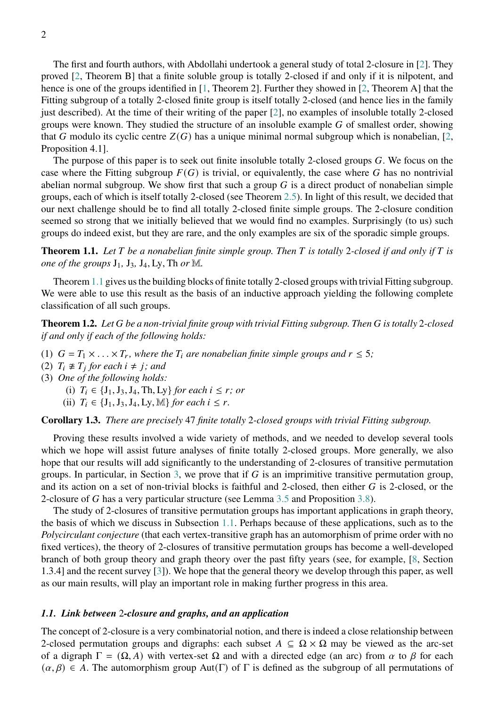The first and fourth authors, with Abdollahi undertook a general study of total 2-closure in [\[2\]](#page-51-1). They proved [\[2,](#page-51-1) Theorem B] that a finite soluble group is totally 2-closed if and only if it is nilpotent, and hence is one of the groups identified in [\[1,](#page-51-0) Theorem 2]. Further they showed in [\[2,](#page-51-1) Theorem A] that the Fitting subgroup of a totally 2-closed finite group is itself totally 2-closed (and hence lies in the family just described). At the time of their writing of the paper [\[2\]](#page-51-1), no examples of insoluble totally 2-closed groups were known. They studied the structure of an insoluble example  $G$  of smallest order, showing that G modulo its cyclic centre  $Z(G)$  has a unique minimal normal subgroup which is nonabelian, [\[2,](#page-51-1) Proposition 4.1].

The purpose of this paper is to seek out finite insoluble totally 2-closed groups  $G$ . We focus on the case where the Fitting subgroup  $F(G)$  is trivial, or equivalently, the case where G has no nontrivial abelian normal subgroup. We show first that such a group  $G$  is a direct product of nonabelian simple groups, each of which is itself totally 2-closed (see Theorem [2.5\)](#page-5-0). In light of this result, we decided that our next challenge should be to find all totally 2-closed finite simple groups. The 2-closure condition seemed so strong that we initially believed that we would find no examples. Surprisingly (to us) such groups do indeed exist, but they are rare, and the only examples are six of the sporadic simple groups.

<span id="page-1-0"></span>**Theorem 1.1.** *Let be a nonabelian finite simple group. Then is totally* 2*-closed if and only if is one of the groups*  $J_1$ ,  $J_3$ ,  $J_4$ , Ly, Th *or* M.

Theorem [1.1](#page-1-0) gives us the building blocks of finite totally 2-closed groups with trivial Fitting subgroup. We were able to use this result as the basis of an inductive approach yielding the following complete classification of all such groups.

<span id="page-1-2"></span>**Theorem 1.2.** *Let be a non-trivial finite group with trivial Fitting subgroup. Then is totally* 2*-closed if and only if each of the following holds:*

- (1)  $G = T_1 \times \ldots \times T_r$ , where the  $T_i$  are nonabelian finite simple groups and  $r \leq 5$ ;
- (2)  $T_i \not\cong T_j$  for each  $i \neq j$ ; and
- (3) *One of the following holds:*
	- (i)  $T_i \in \{J_1, J_3, J_4, Th, Ly\}$  *for each*  $i \leq r$ ; *or*
	- (ii)  $T_i \in \{J_1, J_3, J_4, Ly, M\}$  *for each*  $i \leq r$ .

# **Corollary 1.3.** *There are precisely* 47 *finite totally* 2*-closed groups with trivial Fitting subgroup.*

Proving these results involved a wide variety of methods, and we needed to develop several tools which we hope will assist future analyses of finite totally 2-closed groups. More generally, we also hope that our results will add significantly to the understanding of 2-closures of transitive permutation groups. In particular, in Section [3,](#page-9-0) we prove that if  $G$  is an imprimitive transitive permutation group, and its action on a set of non-trivial blocks is faithful and 2-closed, then either  $G$  is 2-closed, or the 2-closure of G has a very particular structure (see Lemma [3.5](#page-12-0) and Proposition [3.8\)](#page-14-0).

The study of 2-closures of transitive permutation groups has important applications in graph theory, the basis of which we discuss in Subsection [1.1.](#page-1-1) Perhaps because of these applications, such as to the *Polycirculant conjecture* (that each vertex-transitive graph has an automorphism of prime order with no fixed vertices), the theory of 2-closures of transitive permutation groups has become a well-developed branch of both group theory and graph theory over the past fifty years (see, for example, [\[8,](#page-51-2) Section 1.3.4] and the recent survey [\[3\]](#page-51-3)). We hope that the general theory we develop through this paper, as well as our main results, will play an important role in making further progress in this area.

# <span id="page-1-1"></span>*1.1. Link between* 2*-closure and graphs, and an application*

The concept of 2-closure is a very combinatorial notion, and there is indeed a close relationship between 2-closed permutation groups and digraphs: each subset  $A \subseteq \Omega \times \Omega$  may be viewed as the arc-set of a digraph  $\Gamma = (\Omega, A)$  with vertex-set  $\Omega$  and with a directed edge (an arc) from  $\alpha$  to  $\beta$  for each  $(\alpha, \beta) \in A$ . The automorphism group Aut(Γ) of Γ is defined as the subgroup of all permutations of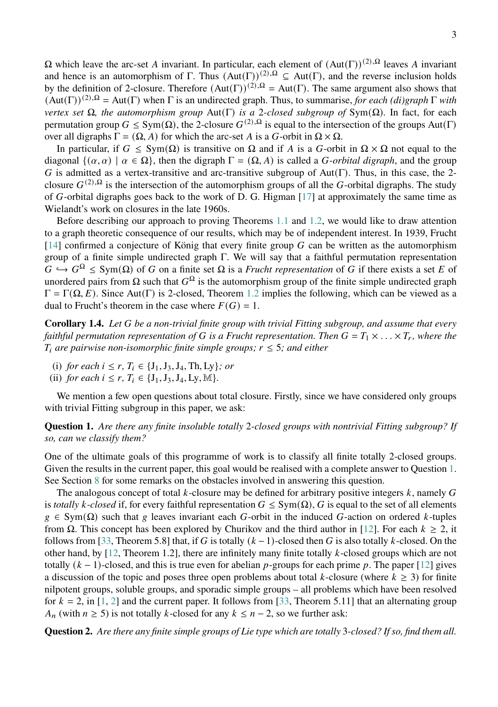$\Omega$  which leave the arc-set *A* invariant. In particular, each element of  $(Aut(Γ))^{(2),\Omega}$  leaves *A* invariant and hence is an automorphism of Γ. Thus  $(Aut(\Gamma))^{(2),\Omega} \subseteq Aut(\Gamma)$ , and the reverse inclusion holds by the definition of 2-closure. Therefore  $(Aut(\Gamma))^{(2),\Omega} = Aut(\Gamma)$ . The same argument also shows that  $(\text{Aut}(\Gamma))^{(2),\Omega} = \text{Aut}(\Gamma)$  when  $\Gamma$  is an undirected graph. Thus, to summarise, *for each (di)graph*  $\Gamma$  *with vertex set*  $\Omega$ *, the automorphism group* Aut(Γ) *is a* 2*-closed subgroup of* Sym( $\Omega$ )*.* In fact, for each permutation group  $G \le Sym(\Omega)$ , the 2-closure  $G^{(2),\Omega}$  is equal to the intersection of the groups Aut(Γ) over all digraphs  $\Gamma = (\Omega, A)$  for which the arc-set A is a G-orbit in  $\Omega \times \Omega$ .

In particular, if  $G \le Sym(\Omega)$  is transitive on  $\Omega$  and if A is a G-orbit in  $\Omega \times \Omega$  not equal to the diagonal  $\{(\alpha, \alpha) \mid \alpha \in \Omega\}$ , then the digraph  $\Gamma = (\Omega, A)$  is called a *G-orbital digraph*, and the group G is admitted as a vertex-transitive and arc-transitive subgroup of  $Aut(Γ)$ . Thus, in this case, the 2closure  $G^{(2),\Omega}$  is the intersection of the automorphism groups of all the G-orbital digraphs. The study of G-orbital digraphs goes back to the work of D. G. Higman  $[17]$  at approximately the same time as Wielandt's work on closures in the late 1960s.

Before describing our approach to proving Theorems [1.1](#page-1-0) and [1.2,](#page-1-2) we would like to draw attention to a graph theoretic consequence of our results, which may be of independent interest. In 1939, Frucht  $[14]$  confirmed a conjecture of König that every finite group G can be written as the automorphism group of a finite simple undirected graph  $\Gamma$ . We will say that a faithful permutation representation  $G \hookrightarrow G^{\Omega} \leq Sym(\Omega)$  of G on a finite set  $\Omega$  is a *Frucht representation* of G if there exists a set E of unordered pairs from  $\Omega$  such that  $G^{\Omega}$  is the automorphism group of the finite simple undirected graph  $\Gamma = \Gamma(\Omega, E)$ . Since Aut(Γ) is 2-closed, Theorem [1.2](#page-1-2) implies the following, which can be viewed as a dual to Frucht's theorem in the case where  $F(G) = 1$ .

**Corollary 1.4.** *Let be a non-trivial finite group with trivial Fitting subgroup, and assume that every faithful permutation representation of* G is a Frucht representation. Then  $G = T_1 \times \ldots \times T_r$ , where the  $T_i$  are pairwise non-isomorphic finite simple groups;  $r \leq 5$ ; and either

- (i) *for each*  $i \leq r$ ,  $T_i \in \{J_1, J_3, J_4, Th, Ly\}$ *; or*
- (ii) *for each*  $i \leq r$ ,  $T_i \in \{J_1, J_3, J_4, L_y, M\}.$

We mention a few open questions about total closure. Firstly, since we have considered only groups with trivial Fitting subgroup in this paper, we ask:

<span id="page-2-0"></span>**Question 1.** *Are there any finite insoluble totally* 2*-closed groups with nontrivial Fitting subgroup? If so, can we classify them?*

One of the ultimate goals of this programme of work is to classify all finite totally 2-closed groups. Given the results in the current paper, this goal would be realised with a complete answer to Question [1.](#page-2-0) See Section [8](#page-49-0) for some remarks on the obstacles involved in answering this question.

The analogous concept of total k-closure may be defined for arbitrary positive integers  $k$ , namely G is *totally k*-closed if, for every faithful representation  $G \le Sym(\Omega)$ , G is equal to the set of all elements  $g \in \text{Sym}(\Omega)$  such that g leaves invariant each G-orbit in the induced G-action on ordered k-tuples from  $\Omega$ . This concept has been explored by Churikov and the third author in [\[12\]](#page-51-5). For each  $k \ge 2$ , it follows from [\[33,](#page-52-0) Theorem 5.8] that, if G is totally  $(k-1)$ -closed then G is also totally k-closed. On the other hand, by [\[12,](#page-51-5) Theorem 1.2], there are infinitely many finite totally -closed groups which are not totally  $(k - 1)$ -closed, and this is true even for abelian p-groups for each prime p. The paper [\[12\]](#page-51-5) gives a discussion of the topic and poses three open problems about total k-closure (where  $k \geq 3$ ) for finite nilpotent groups, soluble groups, and sporadic simple groups – all problems which have been resolved for  $k = 2$ , in [\[1,](#page-51-0) [2\]](#page-51-1) and the current paper. It follows from [\[33,](#page-52-0) Theorem 5.11] that an alternating group  $A_n$  (with  $n \ge 5$ ) is not totally k-closed for any  $k \le n-2$ , so we further ask:

**Question 2.** *Are there any finite simple groups of Lie type which are totally* 3*-closed? If so, find them all.*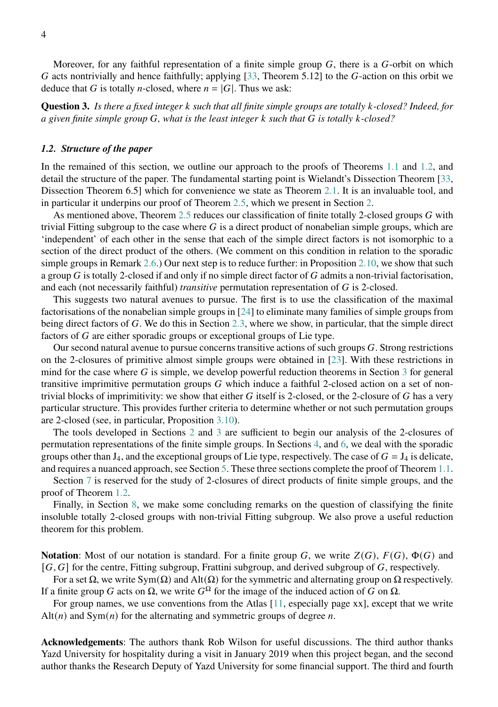Moreover, for any faithful representation of a finite simple group  $G$ , there is a  $G$ -orbit on which G acts nontrivially and hence faithfully; applying  $[33,$  Theorem 5.12] to the G-action on this orbit we deduce that G is totally *n*-closed, where  $n = |G|$ . Thus we ask:

**Question 3.** *Is there a fixed integer such that all finite simple groups are totally -closed? Indeed, for a given finite simple group , what is the least integer such that is totally -closed?*

## *1.2. Structure of the paper*

In the remained of this section, we outline our approach to the proofs of Theorems [1.1](#page-1-0) and [1.2,](#page-1-2) and detail the structure of the paper. The fundamental starting point is Wielandt's Dissection Theorem [\[33,](#page-52-0) Dissection Theorem 6.5] which for convenience we state as Theorem [2.1.](#page-4-0) It is an invaluable tool, and in particular it underpins our proof of Theorem [2.5,](#page-5-0) which we present in Section [2.](#page-4-1)

As mentioned above, Theorem [2.5](#page-5-0) reduces our classification of finite totally 2-closed groups  $G$  with trivial Fitting subgroup to the case where  $G$  is a direct product of nonabelian simple groups, which are 'independent' of each other in the sense that each of the simple direct factors is not isomorphic to a section of the direct product of the others. (We comment on this condition in relation to the sporadic simple groups in Remark [2.6.](#page-6-0)) Our next step is to reduce further: in Proposition [2.10,](#page-7-0) we show that such a group  $G$  is totally 2-closed if and only if no simple direct factor of  $G$  admits a non-trivial factorisation, and each (not necessarily faithful) *transitive* permutation representation of G is 2-closed.

This suggests two natural avenues to pursue. The first is to use the classification of the maximal factorisations of the nonabelian simple groups in [\[24\]](#page-52-2) to eliminate many families of simple groups from being direct factors of  $G$ . We do this in Section [2.3,](#page-8-0) where we show, in particular, that the simple direct factors of  $G$  are either sporadic groups or exceptional groups of Lie type.

Our second natural avenue to pursue concerns transitive actions of such groups  $G$ . Strong restrictions on the 2-closures of primitive almost simple groups were obtained in [\[23\]](#page-52-3). With these restrictions in mind for the case where  $G$  is simple, we develop powerful reduction theorems in Section [3](#page-9-0) for general transitive imprimitive permutation groups  $G$  which induce a faithful 2-closed action on a set of nontrivial blocks of imprimitivity: we show that either  $G$  itself is 2-closed, or the 2-closure of  $G$  has a very particular structure. This provides further criteria to determine whether or not such permutation groups are 2-closed (see, in particular, Proposition [3.10\)](#page-15-0).

The tools developed in Sections [2](#page-4-1) and [3](#page-9-0) are sufficient to begin our analysis of the 2-closures of permutation representations of the finite simple groups. In Sections [4,](#page-17-0) and [6,](#page-38-0) we deal with the sporadic groups other than  $J_4$ , and the exceptional groups of Lie type, respectively. The case of  $G = J_4$  is delicate, and requires a nuanced approach, see Section [5.](#page-28-0) These three sections complete the proof of Theorem [1.1.](#page-1-0)

Section [7](#page-40-0) is reserved for the study of 2-closures of direct products of finite simple groups, and the proof of Theorem [1.2.](#page-1-2)

Finally, in Section [8,](#page-49-0) we make some concluding remarks on the question of classifying the finite insoluble totally 2-closed groups with non-trivial Fitting subgroup. We also prove a useful reduction theorem for this problem.

**Notation**: Most of our notation is standard. For a finite group G, we write  $Z(G)$ ,  $F(G)$ ,  $\Phi(G)$  and  $[G, G]$  for the centre, Fitting subgroup, Frattini subgroup, and derived subgroup of  $G$ , respectively.

For a set  $\Omega$ , we write Sym( $\Omega$ ) and Alt( $\Omega$ ) for the symmetric and alternating group on  $\Omega$  respectively. If a finite group G acts on  $\Omega$ , we write  $G^{\Omega}$  for the image of the induced action of G on  $\Omega$ .

For group names, we use conventions from the Atlas [\[11,](#page-51-6) especially page xx], except that we write  $Alt(n)$  and  $Sym(n)$  for the alternating and symmetric groups of degree *n*.

**Acknowledgements**: The authors thank Rob Wilson for useful discussions. The third author thanks Yazd University for hospitality during a visit in January 2019 when this project began, and the second author thanks the Research Deputy of Yazd University for some financial support. The third and fourth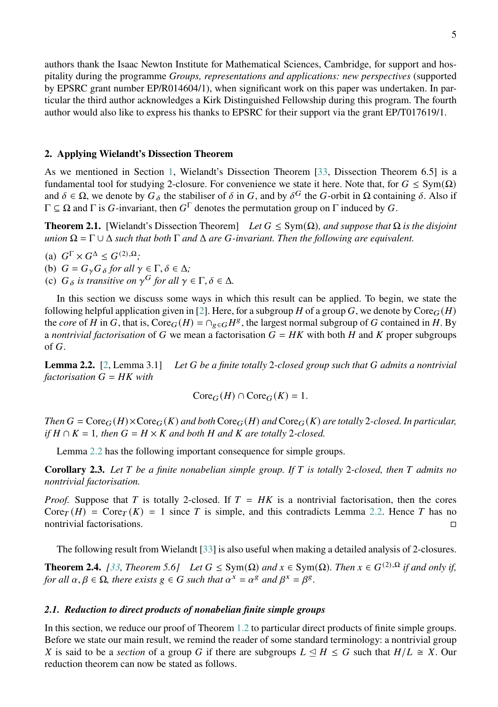authors thank the Isaac Newton Institute for Mathematical Sciences, Cambridge, for support and hospitality during the programme *Groups, representations and applications: new perspectives* (supported by EPSRC grant number EP/R014604/1), when significant work on this paper was undertaken. In particular the third author acknowledges a Kirk Distinguished Fellowship during this program. The fourth author would also like to express his thanks to EPSRC for their support via the grant EP/T017619/1.

# <span id="page-4-1"></span>**2. Applying Wielandt's Dissection Theorem**

As we mentioned in Section [1,](#page-0-1) Wielandt's Dissection Theorem [\[33,](#page-52-0) Dissection Theorem 6.5] is a fundamental tool for studying 2-closure. For convenience we state it here. Note that, for  $G \leq Sym(\Omega)$ and  $\delta \in \Omega$ , we denote by  $G_{\delta}$  the stabiliser of  $\delta$  in G, and by  $\delta^G$  the G-orbit in  $\Omega$  containing  $\delta$ . Also if  $\Gamma \subseteq \Omega$  and  $\Gamma$  is G-invariant, then  $G^{\Gamma}$  denotes the permutation group on  $\Gamma$  induced by G.

<span id="page-4-0"></span>**Theorem 2.1.** [Wielandt's Dissection Theorem] *Let*  $G \leq Sym(\Omega)$ *, and suppose that*  $\Omega$  *is the disjoint union*  $\Omega = \Gamma \cup \Delta$  *such that both*  $\Gamma$  *and*  $\Delta$  *are G*-*invariant. Then the following are equivalent.* 

- (a)  $G^{\Gamma} \times G^{\Delta} \leq G^{(2),\Omega}$ ;
- (b)  $G = G_{\gamma} G_{\delta}$  for all  $\gamma \in \Gamma, \delta \in \Delta$ ;
- (c)  $G_{\delta}$  is transitive on  $\gamma^{G}$  for all  $\gamma \in \Gamma, \delta \in \Delta$ *.*

In this section we discuss some ways in which this result can be applied. To begin, we state the following helpful application given in [\[2\]](#page-51-1). Here, for a subgroup H of a group G, we denote by  $\text{Core}_G(H)$ the *core* of H in G, that is, Core<sub>G</sub>(H) =  $\bigcap_{g \in G} H^g$ , the largest normal subgroup of G contained in H. By a *nontrivial factorisation* of G we mean a factorisation  $G = HK$  with both H and K proper subgroups of  $G$ .

<span id="page-4-2"></span>**Lemma 2.2.** [\[2,](#page-51-1) Lemma 3.1] *Let be a finite totally* 2*-closed group such that admits a nontrivial*  $factorisation G = HK with$ 

$$
Core_G(H) \cap Core_G(K) = 1.
$$

*Then*  $G = \text{Core}_G(H) \times \text{Core}_G(K)$  and both  $\text{Core}_G(H)$  and  $\text{Core}_G(K)$  are totally 2-closed. In particular, *if*  $H \cap K = 1$ , then  $G = H \times K$  and both  $H$  and  $K$  are totally 2-closed.

Lemma [2.2](#page-4-2) has the following important consequence for simple groups.

<span id="page-4-4"></span>**Corollary 2.3.** *Let be a finite nonabelian simple group. If is totally* 2*-closed, then admits no nontrivial factorisation.*

*Proof.* Suppose that T is totally 2-closed. If  $T = HK$  is a nontrivial factorisation, then the cores Core  $(T(H) = \text{Core}_T(K) = 1$  since T is simple, and this contradicts Lemma [2.2.](#page-4-2) Hence T has no nontrivial factorisations.

The following result from Wielandt [\[33\]](#page-52-0) is also useful when making a detailed analysis of 2-closures.

<span id="page-4-3"></span>**Theorem 2.4.** [\[33,](#page-52-0) Theorem 5.6] Let  $G \le \text{Sym}(\Omega)$  and  $x \in \text{Sym}(\Omega)$ . Then  $x \in G^{(2),\Omega}$  if and only if, *for all*  $\alpha, \beta \in \Omega$ , there exists  $g \in G$  such that  $\alpha^x = \alpha^g$  and  $\beta^x = \beta^g$ .

# *2.1. Reduction to direct products of nonabelian finite simple groups*

In this section, we reduce our proof of Theorem [1.2](#page-1-2) to particular direct products of finite simple groups. Before we state our main result, we remind the reader of some standard terminology: a nontrivial group X is said to be a *section* of a group G if there are subgroups  $L \triangleleft H \leq G$  such that  $H/L \cong X$ . Our reduction theorem can now be stated as follows.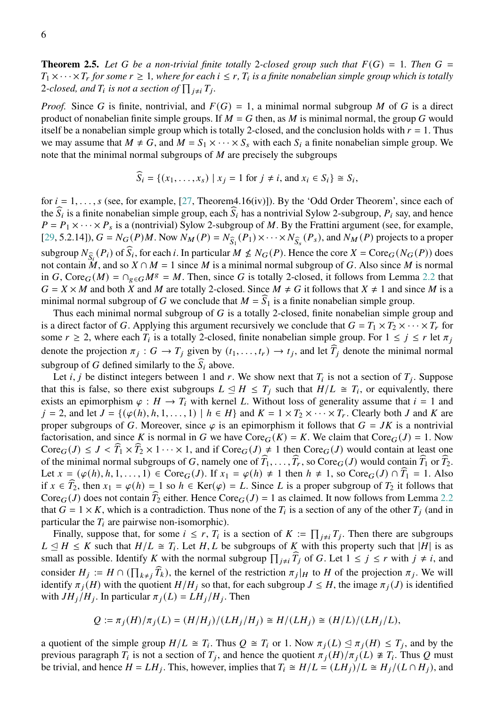<span id="page-5-0"></span>**Theorem 2.5.** Let G be a non-trivial finite totally 2-closed group such that  $F(G) = 1$ . Then G =  $T_1 \times \cdots \times T_r$  for some  $r \geq 1$ , where for each  $i \leq r$ ,  $T_i$  is a finite nonabelian simple group which is totally 2-closed, and  $T_i$  is not a section of  $\prod_{j\neq i} T_j$ .

*Proof.* Since G is finite, nontrivial, and  $F(G) = 1$ , a minimal normal subgroup M of G is a direct product of nonabelian finite simple groups. If  $M = G$  then, as M is minimal normal, the group G would itself be a nonabelian simple group which is totally 2-closed, and the conclusion holds with  $r = 1$ . Thus we may assume that  $M \neq G$ , and  $M = S_1 \times \cdots \times S_s$  with each  $S_i$  a finite nonabelian simple group. We note that the minimal normal subgroups of  $M$  are precisely the subgroups

$$
\widehat{S}_i = \{ (x_1, \dots, x_s) \mid x_j = 1 \text{ for } j \neq i, \text{ and } x_i \in S_i \} \cong S_i,
$$

for  $i = 1, \ldots, s$  (see, for example, [\[27,](#page-52-4) Theorem4.16(iv)]). By the 'Odd Order Theorem', since each of the  $\widehat{S}_i$  is a finite nonabelian simple group, each  $\widehat{S}_i$  has a nontrivial Sylow 2-subgroup,  $P_i$  say, and hence  $P = P_1 \times \cdots \times P_s$  is a (nontrivial) Sylow 2-subgroup of M. By the Frattini argument (see, for example, [\[29,](#page-52-5) 5.2.14]),  $G = N_G(P)M$ . Now  $N_M(P) = N_{\widehat{S}_1}(P_1) \times \cdots \times N_{\widehat{S}_s}(P_s)$ , and  $N_M(P)$  projects to a proper subgroup  $N_{\widehat{S}_i}(P_i)$  of  $\widehat{S}_i$ , for each i. In particular  $M \nleq N_G(P)$ . Hence the core  $X = \text{Core}_G(N_G(P))$  does not contain  $M$ , and so  $X \cap M = 1$  since M is a minimal normal subgroup of G. Also since M is normal in G, Core  $_G(M) = \bigcap_{g \in G} M^g = M$ . Then, since G is totally 2-closed, it follows from Lemma [2.2](#page-4-2) that  $G = X \times M$  and both X and M are totally 2-closed. Since  $M \neq G$  it follows that  $X \neq 1$  and since M is a minimal normal subgroup of G we conclude that  $M = \widehat{S}_1$  is a finite nonabelian simple group.

Thus each minimal normal subgroup of  $G$  is a totally 2-closed, finite nonabelian simple group and is a direct factor of G. Applying this argument recursively we conclude that  $G = T_1 \times T_2 \times \cdots \times T_r$  for some  $r \ge 2$ , where each  $T_i$  is a totally 2-closed, finite nonabelian simple group. For  $1 \le j \le r$  let  $\pi_j$ denote the projection  $\pi_j : G \to T_j$  given by  $(t_1, \ldots, t_r) \to t_j$ , and let  $\widehat{T}_j$  denote the minimal normal subgroup of G defined similarly to the  $\widehat{S}_i$  above.

Let *i*, *j* be distinct integers between 1 and *r*. We show next that  $T_i$  is not a section of  $T_j$ . Suppose that this is false, so there exist subgroups  $L \leq H \leq T_j$  such that  $H/L \cong T_i$ , or equivalently, there exists an epimorphism  $\varphi : H \to T_i$  with kernel L. Without loss of generality assume that  $i = 1$  and  $j = 2$ , and let  $J = \{(\varphi(h), h, 1, \ldots, 1) \mid h \in H\}$  and  $K = 1 \times T_2 \times \cdots \times T_r$ . Clearly both J and K are proper subgroups of G. Moreover, since  $\varphi$  is an epimorphism it follows that  $G = JK$  is a nontrivial factorisation, and since K is normal in G we have  $\text{Core}_G(K) = K$ . We claim that  $\text{Core}_G(J) = 1$ . Now  $\text{Core}_G(J) \leq J < \widehat{T}_1 \times \widehat{T}_2 \times 1 \cdots \times 1$ , and if  $\text{Core}_G(J) \neq 1$  then  $\text{Core}_G(J)$  would contain at least one of the minimal normal subgroups of G, namely one of  $\widehat{T}_1, \ldots, \widehat{T}_r$ , so Core  $G(J)$  would contain  $\widehat{T}_1$  or  $\widehat{T}_2$ . Let  $x = (\varphi(h), h, 1, \ldots, 1) \in \text{Core}_G(J)$ . If  $x_1 = \varphi(h) \neq 1$  then  $h \neq 1$ , so  $\text{Core}_G(J) \cap \widehat{T}_1 = 1$ . Also if  $x \in \widehat{T}_2$ , then  $x_1 = \varphi(h) = 1$  so  $h \in \text{Ker}(\varphi) = L$ . Since L is a proper subgroup of  $T_2$  it follows that Core  $G(J)$  does not contain  $\tilde{T}_2$  either. Hence Core  $G(J) = 1$  as claimed. It now follows from Lemma [2.2](#page-4-2) that  $G = 1 \times K$ , which is a contradiction. Thus none of the  $T_i$  is a section of any of the other  $T_i$  (and in particular the  $T_i$  are pairwise non-isomorphic).

Finally, suppose that, for some  $i \leq r$ ,  $T_i$  is a section of  $K := \prod_{j \neq i} T_j$ . Then there are subgroups  $L \leq H \leq K$  such that  $H/L \cong T_i$ . Let H, L be subgroups of K with this property such that |H| is as small as possible. Identify K with the normal subgroup  $\prod_{j\neq i} \hat{T}_j$  of G. Let  $1 \leq j \leq r$  with  $j \neq i$ , and consider  $H_j := H \cap (\prod_{k \neq j} \widehat{T}_k)$ , the kernel of the restriction  $\pi_j|_H$  to H of the projection  $\pi_j$ . We will identify  $\pi_j(H)$  with the quotient  $H/H_j$  so that, for each subgroup  $J \leq H$ , the image  $\pi_j(J)$  is identified with  $JH_j/H_j$ . In particular  $\pi_j(L) = LH_j/H_j$ . Then

$$
Q := \pi_j(H)/\pi_j(L) = (H/H_j)/(LH_j/H_j) \cong H/(LH_j) \cong (H/L)/(LH_j/L),
$$

a quotient of the simple group  $H/L \cong T_i$ . Thus  $Q \cong T_i$  or 1. Now  $\pi_i(L) \leq \pi_i(H) \leq T_i$ , and by the previous paragraph  $T_i$  is not a section of  $T_j$ , and hence the quotient  $\pi_j(H)/\pi_j(L) \neq T_i$ . Thus Q must be trivial, and hence  $H = LH_i$ . This, however, implies that  $T_i \cong H/L = (LH_i)/L \cong H_i/(L \cap H_i)$ , and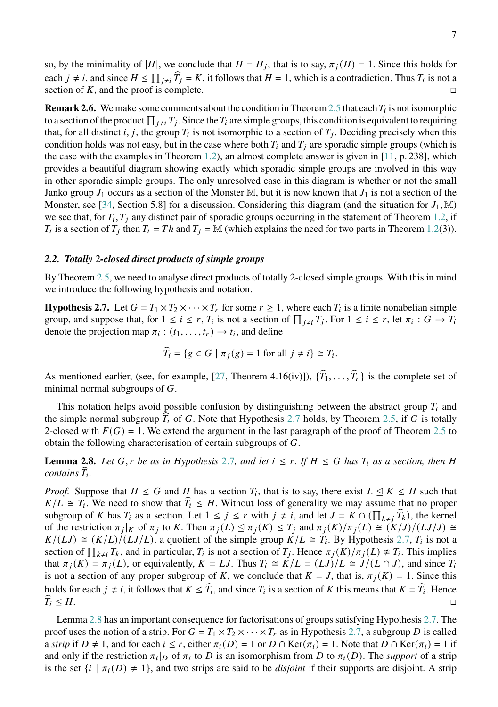so, by the minimality of |H|, we conclude that  $H = H_j$ , that is to say,  $\pi_j(H) = 1$ . Since this holds for each  $j \neq i$ , and since  $H \leq \prod_{j \neq i} \hat{T}_j = K$ , it follows that  $H = 1$ , which is a contradiction. Thus  $T_i$  is not a section of K, and the proof is complete.

<span id="page-6-0"></span>**Remark 2.6.** We make some comments about the condition in Theorem [2.5](#page-5-0) that each  $T_i$  is not isomorphic to a section of the product  $\prod_{j\neq i}T_j$ . Since the  $T_i$  are simple groups, this condition is equivalent to requiring that, for all distinct *i*, *j*, the group  $T_i$  is not isomorphic to a section of  $T_j$ . Deciding precisely when this condition holds was not easy, but in the case where both  $T_i$  and  $T_j$  are sporadic simple groups (which is the case with the examples in Theorem [1.2\)](#page-1-2), an almost complete answer is given in [\[11,](#page-51-6) p. 238], which provides a beautiful diagram showing exactly which sporadic simple groups are involved in this way in other sporadic simple groups. The only unresolved case in this diagram is whether or not the small Janko group  $J_1$  occurs as a section of the Monster M, but it is now known that  $J_1$  is not a section of the Monster, see [\[34,](#page-52-6) Section 5.8] for a discussion. Considering this diagram (and the situation for  $J_1$ , M) we see that, for  $T_i$ ,  $T_j$  any distinct pair of sporadic groups occurring in the statement of Theorem [1.2,](#page-1-2) if  $T_i$  is a section of  $T_j$  then  $T_i = Th$  and  $T_j = \mathbb{M}$  (which explains the need for two parts in Theorem [1.2\(](#page-1-2)3)).

## *2.2. Totally* 2*-closed direct products of simple groups*

By Theorem [2.5,](#page-5-0) we need to analyse direct products of totally 2-closed simple groups. With this in mind we introduce the following hypothesis and notation.

<span id="page-6-1"></span>**Hypothesis 2.7.** Let  $G = T_1 \times T_2 \times \cdots \times T_r$  for some  $r \ge 1$ , where each  $T_i$  is a finite nonabelian simple group, and suppose that, for  $1 \le i \le r$ ,  $T_i$  is not a section of  $\prod_{j\neq i} T_j$ . For  $1 \le i \le r$ , let  $\pi_i : G \to T_i$ denote the projection map  $\pi_i$ :  $(t_1, \ldots, t_r) \rightarrow t_i$ , and define

$$
\widehat{T}_i = \{ g \in G \mid \pi_j(g) = 1 \text{ for all } j \neq i \} \cong T_i.
$$

As mentioned earlier, (see, for example, [\[27,](#page-52-4) Theorem 4.16(iv)]),  $\{\widehat{T}_1, \ldots, \widehat{T}_r\}$  is the complete set of minimal normal subgroups of  $G$ .

This notation helps avoid possible confusion by distinguishing between the abstract group  $T_i$  and the simple normal subgroup  $T_i$  of G. Note that Hypothesis [2](#page-6-1).7 holds, by Theorem [2.5,](#page-5-0) if G is totally 2-closed with  $F(G) = 1$ . We extend the argument in the last paragraph of the proof of Theorem [2.5](#page-5-0) to obtain the following characterisation of certain subgroups of  $G$ .

<span id="page-6-2"></span>**Lemma [2](#page-6-1).8.** Let G, r be as in Hypothesis 2.7, and let  $i \leq r$ . If  $H \leq G$  has  $T_i$  as a section, then H *contains*  $\widehat{T}_i$ .

*Proof.* Suppose that  $H \leq G$  and H has a section  $T_i$ , that is to say, there exist  $L \leq K \leq H$  such that  $K/L \cong T_i$ . We need to show that  $\widehat{T}_i \leq H$ . Without loss of generality we may assume that no proper subgroup of K has  $T_i$  as a section. Let  $1 \le j \le r$  with  $j \ne i$ , and let  $J = K \cap (\prod_{k \ne j} \widehat{T}_k)$ , the kernel of the restriction  $\pi_j|_K$  of  $\pi_j$  to K. Then  $\pi_j(L) \leq \pi_j(K) \leq T_j$  and  $\pi_j(K)/\pi_j(L) \cong (K/J)/(LJ/J) \cong$  $K/(LJ) \cong (K/L)/(LJ/L)$ , a quotient of the simple group  $K/L \cong T_i$ . By Hypothesis 2.[7,](#page-6-1)  $T_i$  is not a section of  $\prod_{k\neq i} T_k$ , and in particular,  $T_i$  is not a section of  $T_j$ . Hence  $\pi_j(K)/\pi_j(L) \not\cong T_i$ . This implies that  $\pi_i(K) = \pi_i(L)$ , or equivalently,  $K = LJ$ . Thus  $T_i \cong K/L = (LJ)/L \cong J/(L \cap J)$ , and since  $T_i$ is not a section of any proper subgroup of K, we conclude that  $K = J$ , that is,  $\pi_i(K) = 1$ . Since this holds for each  $j \neq i$ , it follows that  $K \leq \widehat{T}_i$ , and since  $T_i$  is a section of K this means that  $K = \widehat{T}_i$ . Hence  $\widehat{T}_i \leq H.$ 

Lemma [2.8](#page-6-2) has an important consequence for factorisations of groups satisfying Hypothesis [2.7.](#page-6-1) The proof uses the notion of a strip. For  $G = T_1 \times T_2 \times \cdots \times T_r$  as in Hypothesis [2.7,](#page-6-1) a subgroup D is called a *strip* if  $D \neq 1$ , and for each  $i \leq r$ , either  $\pi_i(D) = 1$  or  $D \cap \text{Ker}(\pi_i) = 1$ . Note that  $D \cap \text{Ker}(\pi_i) = 1$  if and only if the restriction  $\pi_i|_D$  of  $\pi_i$  to D is an isomorphism from D to  $\pi_i(D)$ . The *support* of a strip is the set  $\{i \mid \pi_i(D) \neq 1\}$ , and two strips are said to be *disjoint* if their supports are disjoint. A strip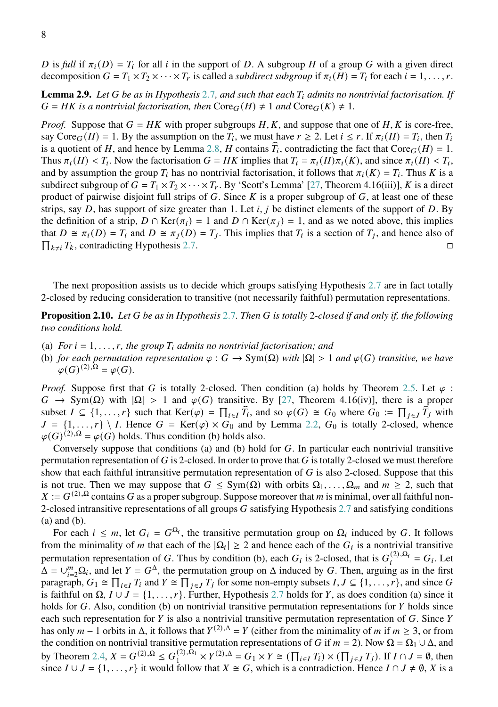D is full if  $\pi_i(D) = T_i$  for all *i* in the support of D. A subgroup H of a group G with a given direct decomposition  $G = T_1 \times T_2 \times \cdots \times T_r$  is called a *subdirect subgroup* if  $\pi_i(H) = T_i$  for each  $i = 1, \ldots, r$ .

**Lemma [2](#page-6-1).9.** Let G be as in Hypothesis 2.7, and such that each  $T_i$  admits no nontrivial factorisation. If  $G = HK$  is a nontrivial factorisation, then  $\text{Core}_G(H) \neq 1$  and  $\text{Core}_G(K) \neq 1$ .

*Proof.* Suppose that  $G = HK$  with proper subgroups H, K, and suppose that one of H, K is core-free, say  $\text{Core}_G(H) = 1$ . By the assumption on the  $T_i$ , we must have  $r \ge 2$ . Let  $i \le r$ . If  $\pi_i(H) = T_i$ , then  $T_i$ is a quotient of H, and hence by Lemma [2.8,](#page-6-2) H contains  $\hat{T}_i$ , contradicting the fact that Core  $_G(H) = 1$ .<br>Thus  $_G(H) \times T$ , Neuralis factorization  $G = HK$  incline that  $T = G(H) - (K)$  and since  $G(H) \times T$ . Thus  $\pi_i(H) < T_i$ . Now the factorisation  $G = HK$  implies that  $T_i = \pi_i(H)\pi_i(K)$ , and since  $\pi_i(H) < T_i$ , and by assumption the group  $T_i$  has no nontrivial factorisation, it follows that  $\pi_i(K) = T_i$ . Thus K is a subdirect subgroup of  $G = T_1 \times T_2 \times \cdots \times T_r$ . By 'Scott's Lemma' [\[27,](#page-52-4) Theorem 4.16(iii)], K is a direct product of pairwise disjoint full strips of  $G$ . Since  $K$  is a proper subgroup of  $G$ , at least one of these strips, say D, has support of size greater than 1. Let  $i, j$  be distinct elements of the support of D. By the definition of a strip,  $D \cap \text{Ker}(\pi_i) = 1$  and  $D \cap \text{Ker}(\pi_i) = 1$ , and as we noted above, this implies that  $D \cong \pi_i(D) = T_i$  and  $D \cong \pi_j(D) = T_j$ . This implies that  $T_i$  is a section of  $T_j$ , and hence also of  $\prod_{k\neq i} T_k$ , contradicting Hypothesis [2.7.](#page-6-1)

The next proposition assists us to decide which groups satisfying Hypothesis [2](#page-6-1).7 are in fact totally 2-closed by reducing consideration to transitive (not necessarily faithful) permutation representations.

<span id="page-7-0"></span>**Proposition 2.10.** *Let be as in Hypothesis* [2](#page-6-1).7*. Then is totally* 2*-closed if and only if, the following two conditions hold.*

- (a) *For*  $i = 1, \ldots, r$ , the group  $T_i$  admits no nontrivial factorisation; and
- (b) *for each permutation representation*  $\varphi$  :  $G \to Sym(\Omega)$  *with*  $|\Omega| > 1$  *and*  $\varphi(G)$  *transitive, we have*  $\varphi(G)^{(2),\Omega} = \varphi(G).$

*Proof.* Suppose first that G is totally 2-closed. Then condition (a) holds by Theorem [2.5.](#page-5-0) Let  $\varphi$ :  $G \to \text{Sym}(\Omega)$  with  $|\Omega| > 1$  and  $\varphi(G)$  transitive. By [\[27,](#page-52-4) Theorem 4.16(iv)], there is a proper subset  $I \subseteq \{1, \ldots, r\}$  such that  $\text{Ker}(\varphi) = \prod_{i \in I} \widehat{T}_i$ , and so  $\varphi(G) \cong G_0$  where  $G_0 := \prod_{j \in J} \widehat{T}_j$  with  $J = \{1, \ldots, r\} \setminus I$ . Hence  $G = \text{Ker}(\varphi) \times G_0$  and by Lemma [2.2,](#page-4-2)  $G_0$  is totally 2-closed, whence  $\varphi(G)^{(2),\Omega} = \varphi(G)$  holds. Thus condition (b) holds also.

Conversely suppose that conditions (a) and (b) hold for  $G$ . In particular each nontrivial transitive permutation representation of  $G$  is 2-closed. In order to prove that  $G$  is totally 2-closed we must therefore show that each faithful intransitive permutation representation of  $G$  is also 2-closed. Suppose that this is not true. Then we may suppose that  $G \le Sym(\Omega)$  with orbits  $\Omega_1, \ldots, \Omega_m$  and  $m \ge 2$ , such that  $X := G^{(2), \Omega}$  contains G as a proper subgroup. Suppose moreover that m is minimal, over all faithful non-2-closed intransitive representations of all groups  $G$  satisfying Hypothesis [2.7](#page-6-1) and satisfying conditions (a) and (b).

For each  $i \leq m$ , let  $G_i = G^{\Omega_i}$ , the transitive permutation group on  $\Omega_i$  induced by G. It follows from the minimality of *m* that each of the  $|\Omega_i| \ge 2$  and hence each of the  $G_i$  is a nontrivial transitive permutation representation of G. Thus by condition (b), each  $G_i$  is 2-closed, that is  $G_i^{(2),\Omega_i} = G_i$ . Let  $\Delta = \bigcup_{i=2}^{m} \Omega_i$ , and let  $Y = G^{\Delta}$ , the permutation group on  $\Delta$  induced by G. Then, arguing as in the first paragraph,  $G_1 \cong \prod_{i \in I} T_i$  and  $Y \cong \prod_{j \in J} T_j$  for some non-empty subsets  $I, J \subseteq \{1, \ldots, r\}$ , and since G is faithful on  $\Omega$ ,  $I \cup J = \{1, \ldots, r\}$ . Further, Hypothesis [2.7](#page-6-1) holds for Y, as does condition (a) since it holds for  $G$ . Also, condition (b) on nontrivial transitive permutation representations for  $Y$  holds since each such representation for  $Y$  is also a nontrivial transitive permutation representation of  $G$ . Since  $Y$ has only  $m-1$  orbits in  $\Delta$ , it follows that  $Y^{(2),\Delta} = Y$  (either from the minimality of m if  $m \ge 3$ , or from the condition on nontrivial transitive permutation representations of G if  $m = 2$ ). Now  $\Omega = \Omega_1 \cup \Delta$ , and by Theorem [2.4,](#page-4-3)  $X = G^{(2),\Omega} \leq G_1^{(2),\Omega_1} \times Y^{(2),\Delta} = G_1 \times Y \cong (\prod_{i \in I} T_i) \times (\prod_{j \in J} T_j)$ . If  $I \cap J = \emptyset$ , then since  $I \cup J = \{1, \ldots, r\}$  it would follow that  $X \cong G$ , which is a contradiction. Hence  $I \cap J \neq \emptyset$ , X is a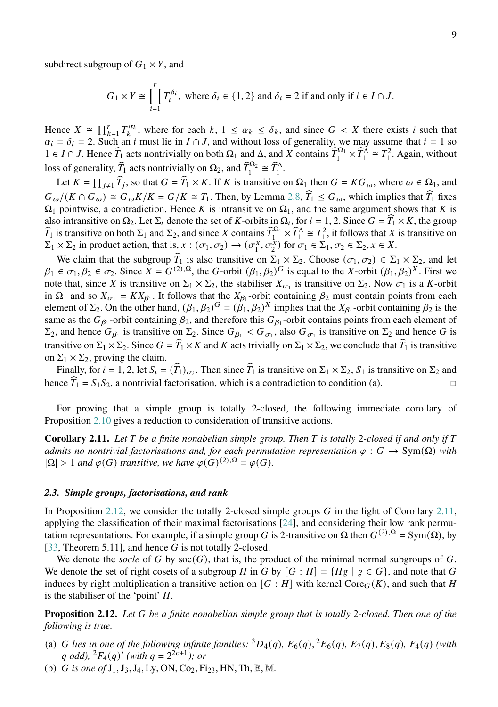subdirect subgroup of  $G_1 \times Y$ , and

$$
G_1 \times Y \cong \prod_{i=1}^r T_i^{\delta_i}
$$
, where  $\delta_i \in \{1, 2\}$  and  $\delta_i = 2$  if and only if  $i \in I \cap J$ .

Hence  $X \cong \prod_{k=1}^r T_k^{\alpha_k}$ , where for each  $k, 1 \leq \alpha_k \leq \delta_k$ , and since  $G < X$  there exists i such that  $\alpha_i = \delta_i = 2$ . Such an *i* must lie in  $I \cap J$ , and without loss of generality, we may assume that  $i = 1$  so  $1 \in I \cap J$ . Hence  $\widehat{T}_1$  acts nontrivially on both  $\Omega_1$  and  $\Delta$ , and X contains  $\widehat{T}_1^{\Omega_1} \times \widehat{T}_1^{\Delta} \cong T_1^2$ . Again, without loss of generality,  $\widehat{T}_1$  acts nontrivially on  $\Omega_2$ , and  $\widehat{T}_1^{\Omega_2} \cong \widehat{T}_1^{\Delta}$ .

Let  $K = \prod_{j \neq 1} \hat{T}_j$ , so that  $G = \hat{T}_1 \times K$ . If K is transitive on  $\Omega_1$  then  $G = KG_{\omega}$ , where  $\omega \in \Omega_1$ , and  $G_{\omega}/(K \cap G_{\omega}) \cong G_{\omega}K/K = G/K \cong T_1$ . Then, by Lemma [2.8,](#page-6-2)  $\widehat{T}_1 \leq G_{\omega}$ , which implies that  $\widehat{T}_1$  fixes  $\Omega_1$  pointwise, a contradiction. Hence K is intransitive on  $\Omega_1$ , and the same argument shows that K is also intransitive on  $\Omega_2$ . Let  $\Sigma_i$  denote the set of K-orbits in  $\Omega_i$ , for  $i = 1, 2$ . Since  $G = \widehat{T}_1 \times K$ , the group  $\widehat{T}_1$  is transitive on both  $\Sigma_1$  and  $\Sigma_2$ , and since  $X$  contains  $\widehat{T}_1^{\Omega_1} \times \widehat{T}_1^{\Delta} \cong T_1^2$ , it follows that  $X$  is transitive on  $\Sigma_1 \times \Sigma_2$  in product action, that is,  $x : (\sigma_1, \sigma_2) \to (\sigma_1^x, \sigma_2^x)$  for  $\sigma_1 \in \Sigma$  $(\frac{x}{1}, \sigma_2^{\frac{1}{x}})$  for  $\sigma_1 \in \Sigma_1, \sigma_2 \in \Sigma_2, x \in X$ .

We claim that the subgroup  $\widehat{T}_1$  is also transitive on  $\Sigma_1 \times \Sigma_2$ . Choose  $(\sigma_1, \sigma_2) \in \Sigma_1 \times \Sigma_2$ , and let  $\beta_1 \in \sigma_1, \beta_2 \in \sigma_2$ . Since  $\bar{X} = G^{(2),\Omega}$ , the G-orbit  $(\beta_1, \beta_2)^G$  is equal to the X-orbit  $(\beta_1, \beta_2)^X$ . First we note that, since X is transitive on  $\Sigma_1 \times \Sigma_2$ , the stabiliser  $X_{\sigma_1}$  is transitive on  $\Sigma_2$ . Now  $\sigma_1$  is a K-orbit in  $\Omega_1$  and so  $X_{\sigma_1} = K X_{\beta_1}$ . It follows that the  $X_{\beta_1}$ -orbit containing  $\beta_2$  must contain points from each element of  $\Sigma_2$ . On the other hand,  $(\beta_1, \beta_2)^G = (\beta_1, \beta_2)^X$  implies that the  $X_{\beta_1}$ -orbit containing  $\beta_2$  is the same as the  $G_{\beta_1}$ -orbit containing  $\beta_2$ , and therefore this  $G_{\beta_1}$ -orbit contains points from each element of  $\Sigma_2$ , and hence  $G_{\beta_1}$  is transitive on  $\Sigma_2$ . Since  $G_{\beta_1} < G_{\sigma_1}$ , also  $G_{\sigma_1}$  is transitive on  $\Sigma_2$  and hence G is transitive on  $\Sigma_1 \times \Sigma_2$ . Since  $G = \widehat{T}_1 \times K$  and K acts trivially on  $\Sigma_1 \times \Sigma_2$ , we conclude that  $\widehat{T}_1$  is transitive on  $\Sigma_1 \times \Sigma_2$ , proving the claim.

Finally, for  $i = 1, 2$ , let  $S_i = (\widehat{T}_1)_{\sigma_i}$ . Then since  $\widehat{T}_1$  is transitive on  $\Sigma_1 \times \Sigma_2$ ,  $S_1$  is transitive on  $\Sigma_2$  and hence  $\widehat{T}_1 = S_1 S_2$ , a nontrivial factorisation, which is a contradiction to condition (a).

For proving that a simple group is totally 2-closed, the following immediate corollary of Proposition [2.10](#page-7-0) gives a reduction to consideration of transitive actions.

<span id="page-8-2"></span>**Corollary 2.11.** Let  $T$  be a finite nonabelian simple group. Then  $T$  is totally 2-closed if and only if  $T$ *admits no nontrivial factorisations and, for each permutation representation*  $\varphi$ :  $G \to \text{Sym}(\Omega)$  *with*  $|\Omega| > 1$  *and*  $\varphi(G)$  *transitive, we have*  $\varphi(G)^{(2),\Omega} = \varphi(G)$ *.* 

#### <span id="page-8-0"></span>*2.3. Simple groups, factorisations, and rank*

In Proposition [2.12,](#page-8-1) we consider the totally 2-closed simple groups  $G$  in the light of Corollary [2.11,](#page-8-2) applying the classification of their maximal factorisations [\[24\]](#page-52-2), and considering their low rank permutation representations. For example, if a simple group G is 2-transitive on Ω then  $G^{(2),\Omega} = \text{Sym}(\Omega)$ , by [\[33,](#page-52-0) Theorem 5.11], and hence  $G$  is not totally 2-closed.

We denote the *socle* of G by  $\operatorname{soc}(G)$ , that is, the product of the minimal normal subgroups of G. We denote the set of right cosets of a subgroup H in G by  $[G : H] = \{Hg \mid g \in G\}$ , and note that G induces by right multiplication a transitive action on  $[G : H]$  with kernel Core $_G(K)$ , and such that H is the stabiliser of the 'point'  $H$ .

<span id="page-8-1"></span>**Proposition 2.12.** *Let be a finite nonabelian simple group that is totally* 2*-closed. Then one of the following is true.*

- (a) *G* lies in one of the following infinite families:  ${}^{3}D_{4}(q)$ ,  $E_{6}(q)$ ,  ${}^{2}E_{6}(q)$ ,  $E_{7}(q)$ ,  $E_{8}(q)$ ,  $F_{4}(q)$  (with  $q$  odd),  ${}^{2}F_{4}(q)'$  (with  $q = 2^{2c+1}$ ); or
- (b) *G* is one of  $J_1$ ,  $J_3$ ,  $J_4$ , Ly, ON, Co<sub>2</sub>, Fi<sub>23</sub>, HN, Th, B, M.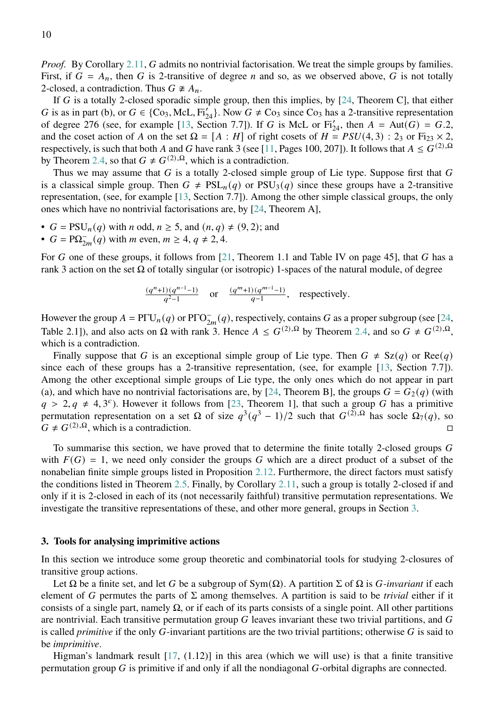*Proof.* By Corollary [2.11,](#page-8-2) G admits no nontrivial factorisation. We treat the simple groups by families. First, if  $G = A_n$ , then G is 2-transitive of degree n and so, as we observed above, G is not totally 2-closed, a contradiction. Thus  $G \not\cong A_n$ .

If G is a totally 2-closed sporadic simple group, then this implies, by  $[24,$  Theorem C], that either G is as in part (b), or  $G \in \{Co_3, McL, Fi'_{24}\}.$  Now  $G \neq Co_3$  since  $Co_3$  has a 2-transitive representation of degree 276 (see, for example [\[13,](#page-51-7) Section 7.7]). If G is McL or  $Fi'_{24}$ , then  $A = Aut(G) = G.2$ , and the coset action of A on the set  $\Omega = [A : H]$  of right cosets of  $H = PSU(4, 3) : 2<sub>3</sub>$  or Fi<sub>23</sub>  $\times$  2, respectively, is such that both A and G have rank 3 (see [\[11,](#page-51-6) Pages 100, 207]). It follows that  $A \leq G^{(2),\Omega}$ by Theorem [2.4,](#page-4-3) so that  $G \neq G^{(2),\Omega}$ , which is a contradiction.

Thus we may assume that  $G$  is a totally 2-closed simple group of Lie type. Suppose first that  $G$ is a classical simple group. Then  $G \neq \text{PSL}_n(q)$  or  $\text{PSU}_3(q)$  since these groups have a 2-transitive representation, (see, for example [\[13,](#page-51-7) Section 7.7]). Among the other simple classical groups, the only ones which have no nontrivial factorisations are, by [\[24,](#page-52-2) Theorem A],

- $G = \text{PSU}_n(q)$  with  $n$  odd,  $n \ge 5$ , and  $(n, q) \ne (9, 2)$ ; and
- $G = \mathbf{P}\Omega_{2m}^{-}(q)$  with *m* even,  $m \geq 4, q \neq 2, 4$ .

For G one of these groups, it follows from  $[21,$  Theorem 1.1 and Table IV on page 45], that G has a rank 3 action on the set  $\Omega$  of totally singular (or isotropic) 1-spaces of the natural module, of degree

$$
\frac{(q^n+1)(q^{n-1}-1)}{q^2-1} \quad \text{or} \quad \frac{(q^m+1)(q^{m-1}-1)}{q-1}, \quad \text{respectively.}
$$

However the group  $A = \text{PfU}_n(q)$  or  $\text{PfO}_{2m}^-(q)$ , respectively, contains G as a proper subgroup (see [\[24,](#page-52-2) Table 2.1]), and also acts on  $\Omega$  with rank 3. Hence  $A \leq G^{(2),\Omega}$  by Theorem [2.4,](#page-4-3) and so  $G \neq G^{(2),\Omega}$ , which is a contradiction.

Finally suppose that G is an exceptional simple group of Lie type. Then  $G \neq Sz(q)$  or Ree $(q)$ since each of these groups has a 2-transitive representation, (see, for example [\[13,](#page-51-7) Section 7.7]). Among the other exceptional simple groups of Lie type, the only ones which do not appear in part (a), and which have no nontrivial factorisations are, by [\[24,](#page-52-2) Theorem B], the groups  $G = G_2(q)$  (with  $q > 2, q \neq 4, 3^c$ ). However it follows from [\[23,](#page-52-3) Theorem 1], that such a group G has a primitive permutation representation on a set  $\Omega$  of size  $q^3(q^3 - 1)/2$  such that  $G^{(\Sigma),\Omega}$  has socle  $\Omega_7(q)$ , so  $G \neq G^{(2),\Omega}$ , which is a contradiction.

To summarise this section, we have proved that to determine the finite totally 2-closed groups  $G$ with  $F(G) = 1$ , we need only consider the groups G which are a direct product of a subset of the nonabelian finite simple groups listed in Proposition [2.12.](#page-8-1) Furthermore, the direct factors must satisfy the conditions listed in Theorem [2.5.](#page-5-0) Finally, by Corollary [2.11,](#page-8-2) such a group is totally 2-closed if and only if it is 2-closed in each of its (not necessarily faithful) transitive permutation representations. We investigate the transitive representations of these, and other more general, groups in Section [3.](#page-9-0)

#### <span id="page-9-0"></span>**3. Tools for analysing imprimitive actions**

In this section we introduce some group theoretic and combinatorial tools for studying 2-closures of transitive group actions.

Let  $\Omega$  be a finite set, and let G be a subgroup of Sym( $\Omega$ ). A partition  $\Sigma$  of  $\Omega$  is G-invariant if each element of G permutes the parts of  $\Sigma$  among themselves. A partition is said to be *trivial* either if it consists of a single part, namely  $\Omega$ , or if each of its parts consists of a single point. All other partitions are nontrivial. Each transitive permutation group  $G$  leaves invariant these two trivial partitions, and  $G$ is called *primitive* if the only  $G$ -invariant partitions are the two trivial partitions; otherwise  $G$  is said to be *imprimitive*.

Higman's landmark result  $[17, (1.12)]$  $[17, (1.12)]$  in this area (which we will use) is that a finite transitive permutation group  $G$  is primitive if and only if all the nondiagonal  $G$ -orbital digraphs are connected.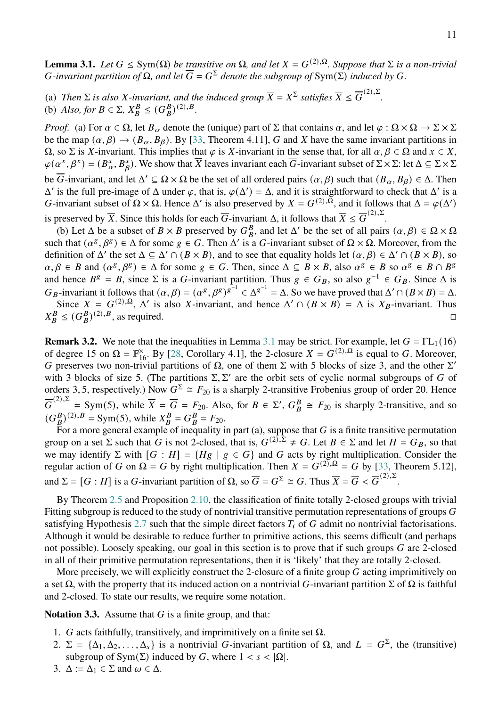<span id="page-10-0"></span>**Lemma 3.1.** *Let*  $G \le Sym(\Omega)$  *be transitive on*  $\Omega$ *, and let*  $X = G^{(2),\Omega}$ *. Suppose that*  $\Sigma$  *is a non-trivial G*-invariant partition of  $\Omega$ , and let  $\overline{G} = G^{\Sigma}$  denote the subgroup of Sym( $\Sigma$ ) induced by G.

(a) *Then*  $\Sigma$  *is also X-invariant, and the induced group*  $\overline{X} = X^{\Sigma}$  *satisfies*  $\overline{X} \le \overline{G}^{(2),\Sigma}$ . (b) *Also, for*  $B \in \Sigma$ ,  $X_B^B \le (G_B^B)^{(2),B}$ .

*Proof.* (a) For  $\alpha \in \Omega$ , let  $B_{\alpha}$  denote the (unique) part of  $\Sigma$  that contains  $\alpha$ , and let  $\varphi : \Omega \times \Omega \to \Sigma \times \Sigma$ be the map  $(\alpha, \beta) \rightarrow (B_{\alpha}, B_{\beta})$ . By [\[33,](#page-52-0) Theorem 4.11], G and X have the same invariant partitions in  $\Omega$ , so  $\Sigma$  is X-invariant. This implies that  $\varphi$  is X-invariant in the sense that, for all  $\alpha, \beta \in \Omega$  and  $x \in X$ ,  $\varphi(\alpha^x, \beta^x) = (B^x_\alpha, B^x_\beta)$ . We show that  $\overline{X}$  leaves invariant each  $\overline{G}$ -invariant subset of  $\Sigma \times \Sigma$ : let  $\Delta \subseteq \Sigma \times \Sigma$ be  $\overline{G}$ -invariant, and let  $\Delta' \subseteq \Omega \times \Omega$  be the set of all ordered pairs  $(\alpha, \beta)$  such that  $(B_\alpha, B_\beta) \in \Delta$ . Then  $\Delta'$  is the full pre-image of  $\Delta$  under  $\varphi$ , that is,  $\varphi(\Delta') = \Delta$ , and it is straightforward to check that  $\Delta'$  is a G-invariant subset of  $\Omega \times \Omega$ . Hence  $\Delta'$  is also preserved by  $X = G^{(2),\overline{\Omega}}$ , and it follows that  $\Delta = \varphi(\Delta')$ is preserved by  $\overline{X}$ . Since this holds for each  $\overline{G}$ -invariant  $\Delta$ , it follows that  $\overline{X} \le \overline{G}^{(2),\Sigma}$ .

(b) Let  $\Delta$  be a subset of  $B \times B$  preserved by  $G_B^B$ , and let  $\Delta'$  be the set of all pairs  $(\alpha, \beta) \in \Omega \times \Omega$ such that  $(\alpha^g, \beta^g) \in \Delta$  for some  $g \in G$ . Then  $\Delta'$  is a G-invariant subset of  $\Omega \times \Omega$ . Moreover, from the definition of  $\Delta'$  the set  $\Delta \subseteq \Delta' \cap (B \times B)$ , and to see that equality holds let  $(\alpha, \beta) \in \Delta' \cap (B \times B)$ , so  $\alpha, \beta \in B$  and  $(\alpha^g, \beta^g) \in \Delta$  for some  $g \in G$ . Then, since  $\Delta \subseteq B \times B$ , also  $\alpha^g \in B$  so  $\alpha^g \in B \cap B^g$ and hence  $B^g = B$ , since  $\Sigma$  is a G-invariant partition. Thus  $g \in G_B$ , so also  $g^{-1} \in G_B$ . Since  $\Delta$  is  $G_B$ -invariant it follows that  $(\alpha, \beta) = (\alpha^g, \beta^g)^{g^{-1}} \in \Delta^{g^{-1}} = \Delta$ . So we have proved that  $\Delta' \cap (B \times B) = \Delta$ .

Since  $X = G^{(2), \Omega}$ ,  $\Delta'$  is also X-invariant, and hence  $\Delta' \cap (B \times B) = \Delta$  is  $X_B$ -invariant. Thus  $X_B^B \leq (G_B^B)^{(2),B}$ , as required.

**Remark 3.2.** We note that the inequalities in Lemma [3.1](#page-10-0) may be strict. For example, let  $G = \Gamma L_1(16)$ of degree 15 on  $\Omega = \mathbb{F}_{16}^{\times}$ . By [\[28,](#page-52-8) Corollary 4.1], the 2-closure  $X = G^{(2),\Omega}$  is equal to G. Moreover, G preserves two non-trivial partitions of  $\Omega$ , one of them  $\Sigma$  with 5 blocks of size 3, and the other  $\Sigma'$ with 3 blocks of size 5. (The partitions  $\Sigma$ ,  $\Sigma'$  are the orbit sets of cyclic normal subgroups of G of orders 3, 5, respectively.) Now  $G^{\Sigma} \cong F_{20}$  is a sharply 2-transitive Frobenius group of order 20. Hence  $\overline{G}^{(2),\Sigma}$ = Sym(5), while  $\overline{X} = \overline{G} = F_{20}$ . Also, for  $B \in \Sigma'$ ,  $G_B^B \cong F_{20}$  is sharply 2-transitive, and so  $(G_B^B)^{(2),B}$  = Sym(5), while  $X_B^B = G_B^B = F_{20}$ .

For a more general example of inequality in part (a), suppose that  $G$  is a finite transitive permutation group on a set  $\Sigma$  such that G is not 2-closed, that is,  $G^{(2),\Sigma} \neq G$ . Let  $B \in \Sigma$  and let  $H = G_B$ , so that we may identify  $\Sigma$  with  $[G : H] = \{Hg \mid g \in G\}$  and G acts by right multiplication. Consider the regular action of G on  $\Omega = G$  by right multiplication. Then  $X = G^{(2)}$ ,  $\Omega = G$  by [\[33,](#page-52-0) Theorem 5.12], and  $\Sigma = [G : H]$  is a G-invariant partition of  $\Omega$ , so  $\overline{G} = G^{\Sigma} \cong G$ . Thus  $\overline{X} = \overline{G} < \overline{G}^{(2),\Sigma}$ .

By Theorem [2.5](#page-5-0) and Proposition [2.10,](#page-7-0) the classification of finite totally 2-closed groups with trivial Fitting subgroup is reduced to the study of nontrivial transitive permutation representations of groups  $G$ satisfying Hypothesis [2.7](#page-6-1) such that the simple direct factors  $T_i$  of G admit no nontrivial factorisations. Although it would be desirable to reduce further to primitive actions, this seems difficult (and perhaps not possible). Loosely speaking, our goal in this section is to prove that if such groups  $G$  are 2-closed in all of their primitive permutation representations, then it is 'likely' that they are totally 2-closed.

More precisely, we will explicitly construct the 2-closure of a finite group G acting imprimitively on a set  $\Omega$ , with the property that its induced action on a nontrivial G-invariant partition Σ of  $\Omega$  is faithful and 2-closed. To state our results, we require some notation.

<span id="page-10-1"></span>**Notation 3.3.** Assume that  $G$  is a finite group, and that:

- 1. *G* acts faithfully, transitively, and imprimitively on a finite set  $\Omega$ .
- 2.  $\Sigma = {\Delta_1, \Delta_2, ..., \Delta_s}$  is a nontrivial *G*-invariant partition of  $\Omega$ , and  $L = G^{\Sigma}$ , the (transitive) subgroup of Sym( $\Sigma$ ) induced by G, where  $1 < s < |\Omega|$ .
- 3.  $\Delta := \Delta_1 \in \Sigma$  and  $\omega \in \Delta$ .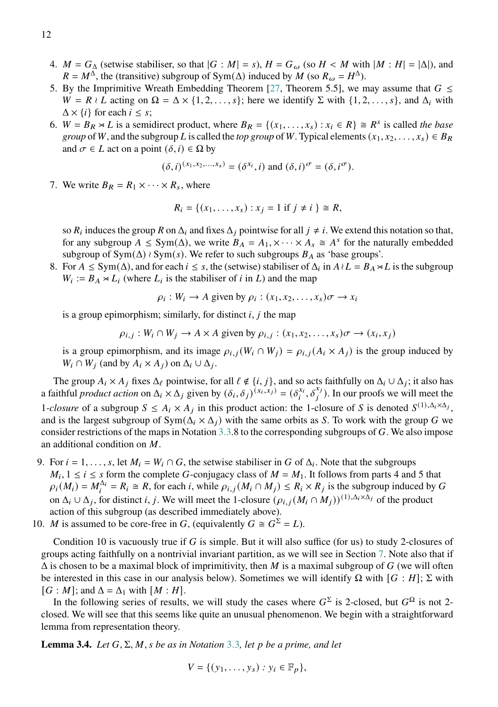- 4.  $M = G_{\Delta}$  (setwise stabiliser, so that  $|G : M| = s$ ),  $H = G_{\omega}$  (so  $H < M$  with  $|M : H| = |\Delta|$ ), and  $R = M^{\Delta}$ , the (transitive) subgroup of Sym( $\Delta$ ) induced by M (so  $R_{\omega} = H^{\Delta}$ ).
- 5. By the Imprimitive Wreath Embedding Theorem [\[27,](#page-52-4) Theorem 5.5], we may assume that  $G \leq$  $W = R \wr L$  acting on  $\Omega = \Delta \times \{1, 2, \ldots, s\}$ ; here we identify  $\Sigma$  with  $\{1, 2, \ldots, s\}$ , and  $\Delta_i$  with  $\Delta \times \{i\}$  for each  $i \leq s$ ;
- 6.  $W = B_R \rtimes L$  is a semidirect product, where  $B_R = \{(x_1, \ldots, x_s) : x_i \in R\} \cong R^s$  is called *the base group* of W, and the subgroup L is called the *top group* of W. Typical elements  $(x_1, x_2, \ldots, x_s) \in B_R$ and  $\sigma \in L$  act on a point  $(\delta, i) \in \Omega$  by

$$
(\delta, i)^{(x_1, x_2, \dots, x_s)} = (\delta^{x_i}, i)
$$
 and 
$$
(\delta, i)^{\sigma} = (\delta, i^{\sigma}).
$$

7. We write  $B_R = R_1 \times \cdots \times R_s$ , where

$$
R_i = \{(x_1, \ldots, x_s) : x_j = 1 \text{ if } j \neq i \} \cong R,
$$

so  $R_i$  induces the group R on  $\Delta_i$  and fixes  $\Delta_j$  pointwise for all  $j \neq i$ . We extend this notation so that, for any subgroup  $A \le Sym(\Delta)$ , we write  $B_A = A_1, \times \cdots \times A_s \cong A^s$  for the naturally embedded subgroup of  $Sym(\Delta) \wr Sym(s)$ . We refer to such subgroups  $B_A$  as 'base groups'.

8. For  $A \le Sym(\Delta)$ , and for each  $i \le s$ , the (setwise) stabiliser of  $\Delta_i$  in  $A \wr L = B_A \rtimes L$  is the subgroup  $W_i := B_A \rtimes L_i$  (where  $L_i$  is the stabiliser of i in L) and the map

$$
\rho_i: W_i \to A
$$
 given by  $\rho_i: (x_1, x_2, \dots, x_s)\sigma \to x_i$ 

is a group epimorphism; similarly, for distinct  $i, j$  the map

 $\rho_{i,j}: W_i \cap W_j \to A \times A$  given by  $\rho_{i,j}: (x_1, x_2, \ldots, x_s) \sigma \to (x_i, x_j)$ 

is a group epimorphism, and its image  $\rho_{i,i}(W_i \cap W_j) = \rho_{i,i}(A_i \times A_j)$  is the group induced by  $W_i \cap W_j$  (and by  $A_i \times A_j$ ) on  $\Delta_i \cup \Delta_j$ .

The group  $A_i \times A_j$  fixes  $\Delta_\ell$  pointwise, for all  $\ell \notin \{i, j\}$ , and so acts faithfully on  $\Delta_i \cup \Delta_j$ ; it also has a faithful *product action* on  $\Delta_i \times \Delta_j$  given by  $(\delta_i, \delta_j)^{(x_i, x_j)} = (\delta_i^{x_i}, \delta_j^{x_j})$ . In our proofs we will meet the 1-*closure* of a subgroup  $S \leq A_i \times A_j$  in this product action: the 1-closure of S is denoted  $S^{(1), \Delta_i \times \Delta_j}$ , and is the largest subgroup of  $Sym(\Delta_i \times \Delta_j)$  with the same orbits as S. To work with the group G we consider restrictions of the maps in Notation  $3.3.8$  $3.3.8$  to the corresponding subgroups of G. We also impose an additional condition on  $M$ .

- 9. For  $i = 1, \ldots, s$ , let  $M_i = W_i \cap G$ , the setwise stabiliser in G of  $\Delta_i$ . Note that the subgroups  $M_i$ ,  $1 \le i \le s$  form the complete G-conjugacy class of  $M = M_1$ . It follows from parts 4 and 5 that  $\rho_i(M_i) = M_i^{\Delta_i} = R_i \cong R$ , for each *i*, while  $\rho_{i,j}(M_i \cap M_j) \le R_i \times R_j$  is the subgroup induced by G on  $\Delta_i \cup \Delta_j$ , for distinct i, j. We will meet the 1-closure  $(\rho_{i,j}(M_i \cap M_j))^{(1), \Delta_i \times \Delta_j}$  of the product action of this subgroup (as described immediately above).
- 10. *M* is assumed to be core-free in *G*, (equivalently  $G \cong G^{\Sigma} = L$ ).

Condition 10 is vacuously true if  $G$  is simple. But it will also suffice (for us) to study 2-closures of groups acting faithfully on a nontrivial invariant partition, as we will see in Section [7.](#page-40-0) Note also that if  $\Delta$  is chosen to be a maximal block of imprimitivity, then M is a maximal subgroup of G (we will often be interested in this case in our analysis below). Sometimes we will identify  $\Omega$  with  $[G : H]$ ;  $\Sigma$  with  $[G : M]$ ; and  $\Delta = \Delta_1$  with  $[M : H]$ .

In the following series of results, we will study the cases where  $G^{\Sigma}$  is 2-closed, but  $G^{\Omega}$  is not 2closed. We will see that this seems like quite an unusual phenomenon. We begin with a straightforward lemma from representation theory.

<span id="page-11-0"></span>**Lemma [3](#page-10-1).4.** *Let*  $G$ ,  $\Sigma$ ,  $M$ ,  $s$  *be as in Notation* 3.3, *let*  $p$  *be a prime, and let* 

$$
V = \{ (y_1, \ldots, y_s) : y_i \in \mathbb{F}_p \},
$$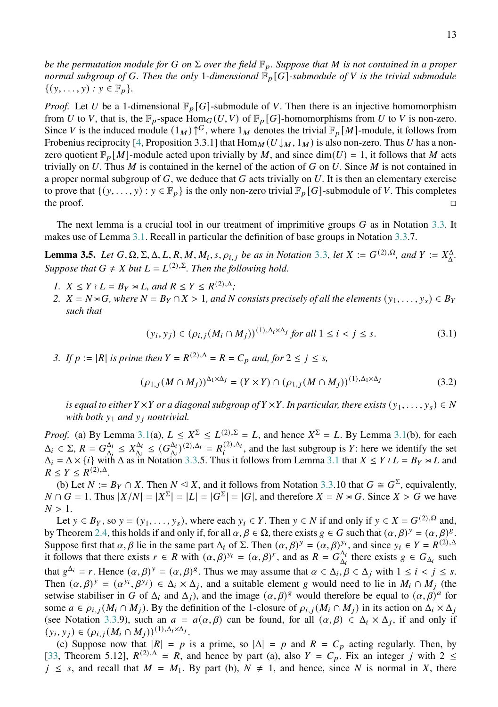*be the permutation module for* G *on*  $\Sigma$  *over the field*  $\mathbb{F}_p$ *. Suppose that* M *is not contained in a proper normal subgroup of G. Then the only 1-dimensional*  $\mathbb{F}_p[G]$ -submodule of V is the trivial submodule  $\{(y, ..., y) : y \in \mathbb{F}_p\}.$ 

*Proof.* Let U be a 1-dimensional  $\mathbb{F}_p[G]$ -submodule of V. Then there is an injective homomorphism from U to V, that is, the  $\mathbb{F}_p$ -space  $\text{Hom}_G(U, V)$  of  $\mathbb{F}_p[G]$ -homomorphisms from U to V is non-zero. Since V is the induced module  $(1_M) \uparrow G$ , where  $1_M$  denotes the trivial  $\mathbb{F}_p[M]$ -module, it follows from Frobenius reciprocity [\[4,](#page-51-8) Proposition 3.3.1] that  $\text{Hom}_M(U \downarrow_M, 1_M)$  is also non-zero. Thus U has a nonzero quotient  $\mathbb{F}_p[M]$ -module acted upon trivially by M, and since  $\dim(U) = 1$ , it follows that M acts trivially on  $U$ . Thus  $M$  is contained in the kernel of the action of  $G$  on  $U$ . Since  $M$  is not contained in a proper normal subgroup of  $G$ , we deduce that  $G$  acts trivially on  $U$ . It is then an elementary exercise to prove that  $\{(y, \ldots, y) : y \in \mathbb{F}_p\}$  is the only non-zero trivial  $\mathbb{F}_p[G]$ -submodule of V. This completes the proof.  $\Box$ 

The next lemma is a crucial tool in our treatment of imprimitive groups  $G$  as in Notation [3.3.](#page-10-1) It makes use of Lemma [3.1.](#page-10-0) Recall in particular the definition of base groups in Notation [3.3.](#page-10-1)7.

<span id="page-12-0"></span>**Lemma [3](#page-10-1).5.** Let  $G, \Omega, \Sigma, \Delta, L, R, M, M_i, s, \rho_{i,j}$  be as in Notation 3.3, let  $X := G^{(2),\Omega}$ , and  $Y := X^{\Delta}_{\Delta}$ . *Suppose that*  $G \neq X$  *but*  $L = L^{(2),\Sigma}$ *. Then the following hold.* 

- *1.*  $X \leq Y \wr L = B_Y \rtimes L$ , and  $R \leq Y \leq R^{(2),\Delta}$ ;
- *2.*  $X = N \rtimes G$ , where  $N = B_Y \cap X > 1$ , and N consists precisely of all the elements  $(y_1, \ldots, y_s) \in B_Y$ *such that*

<span id="page-12-2"></span><span id="page-12-1"></span>
$$
(y_i, y_j) \in (\rho_{i,j}(M_i \cap M_j))^{(1), \Delta_i \times \Delta_j} \text{ for all } 1 \le i < j \le s. \tag{3.1}
$$

*3. If*  $p := |R|$  *is prime then*  $Y = R^{(2),\Delta} = R = C_p$  *and, for*  $2 \le j \le s$ *,* 

$$
(\rho_{1,j}(M \cap M_j))^{\Delta_1 \times \Delta_j} = (Y \times Y) \cap (\rho_{1,j}(M \cap M_j))^{(1), \Delta_1 \times \Delta_j}
$$
\n
$$
(3.2)
$$

*is equal to either*  $Y \times Y$  *or a diagonal subgroup of*  $Y \times Y$ *. In particular, there exists*  $(y_1, \ldots, y_s) \in N$ *with both*  $y_1$  *and*  $y_j$  *nontrivial.* 

*Proof.* (a) By Lemma [3.1\(](#page-10-0)a),  $L \le X^{\Sigma} \le L^{(2),\Sigma} = L$ , and hence  $X^{\Sigma} = L$ . By Lemma 3.1(b), for each  $\Delta_i \in \Sigma$ ,  $R = G_{\Lambda_i}^{\Delta_i}$  $\frac{\Delta_i}{\Delta_i} \leq X_{\Delta_i}^{\Delta_i}$  $\Delta_i^{\Delta_i} \leq (G_{\Delta_i}^{\Delta_i})$  $\frac{\Delta_i}{\Delta_i}$ )(2), $\Delta_i = R_i^{(2),\Delta_i}$ , and the last subgroup is Y: here we identify the set  $\Delta_i = \Delta \times \{i\}$  with  $\Delta$  as in Notation [3.3.](#page-10-1)5. Thus it follows from Lemma [3.1](#page-10-0) that  $X \le Y \wr L = B_Y \rtimes L$  and  $R \leq Y \leq R^{(2),\Delta}.$ 

(b) Let  $N := B_Y \cap X$ . Then  $N \subseteq X$ , and it follows from Notation [3.3.](#page-10-1)10 that  $G \cong G^{\Sigma}$ , equivalently,  $N \cap G = 1$ . Thus  $|X/N| = |X^{\Sigma}| = |L| = |G^{\Sigma}| = |G|$ , and therefore  $X = N \rtimes G$ . Since  $X > G$  we have  $N > 1$ .

Let  $y \in B_Y$ , so  $y = (y_1, \ldots, y_s)$ , where each  $y_i \in Y$ . Then  $y \in N$  if and only if  $y \in X = G^{(2), \Omega}$  and, by Theorem [2.4,](#page-4-3) this holds if and only if, for all  $\alpha, \beta \in \Omega$ , there exists  $g \in G$  such that  $(\alpha, \beta)^y = (\alpha, \beta)^g$ . Suppose first that  $\alpha$ ,  $\beta$  lie in the same part  $\Delta_i$  of  $\Sigma$ . Then  $(\alpha, \beta)^y = (\alpha, \beta)^{y_i}$ , and since  $y_i \in Y = R^{(2),\Delta}$ it follows that there exists  $r \in R$  with  $(\alpha, \beta)^{y_i} = (\alpha, \beta)^r$ , and as  $R = G_{\Lambda}^{\Delta}$  $\Delta_i$  there exists  $g \in G_{\Delta_i}$  such that  $g^{\Delta_i} = r$ . Hence  $(\alpha, \beta)^y = (\alpha, \beta)^g$ . Thus we may assume that  $\alpha \in \Delta_i$ ,  $\beta \in \Delta_j$  with  $1 \le i \le j \le s$ . Then  $(\alpha, \beta)^y = (\alpha^{y_i}, \beta^{y_j}) \in \Delta_i \times \Delta_j$ , and a suitable element g would need to lie in  $M_i \cap M_j$  (the setwise stabiliser in G of  $\Delta_i$  and  $\Delta_j$ ), and the image  $(\alpha, \beta)^g$  would therefore be equal to  $(\alpha, \beta)^a$  for some  $a \in \rho_{i,j}(M_i \cap M_j)$ . By the definition of the 1-closure of  $\rho_{i,j}(M_i \cap M_j)$  in its action on  $\Delta_i \times \Delta_j$ (see Notation [3.3.](#page-10-1)9), such an  $a = a(\alpha, \beta)$  can be found, for all  $(\alpha, \beta) \in \Delta_i \times \Delta_j$ , if and only if  $(y_i, y_j) \in (\rho_{i,j}(M_i \cap M_j))^{(1), \Delta_i \times \Delta_j}.$ 

(c) Suppose now that  $|R| = p$  is a prime, so  $|\Delta| = p$  and  $R = C_p$  acting regularly. Then, by [\[33,](#page-52-0) Theorem 5.12],  $R^{(2),\Delta} = R$ , and hence by part (a), also  $Y = C_p$ . Fix an integer j with  $2 \leq$  $j \leq s$ , and recall that  $M = M_1$ . By part (b),  $N \neq 1$ , and hence, since N is normal in X, there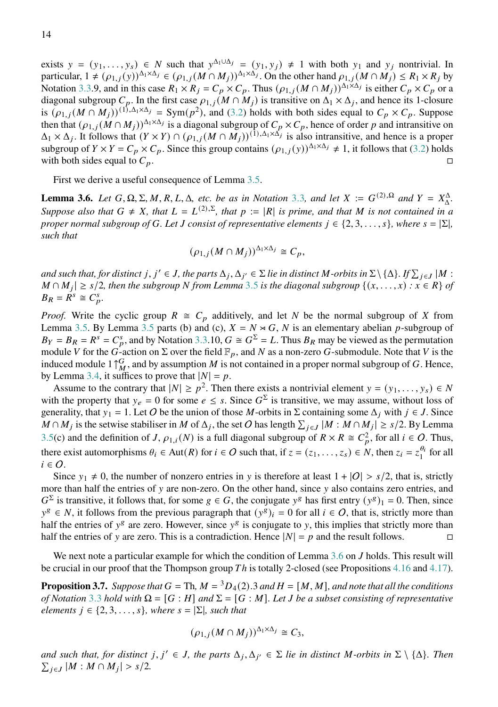exists  $y = (y_1, \ldots, y_s) \in N$  such that  $y^{\Delta_1 \cup \Delta_j} = (y_1, y_j) \neq 1$  with both  $y_1$  and  $y_j$  nontrivial. In particular,  $1 \neq (\rho_{1,j}(y))^{\Delta_1 \times \Delta_j} \in (\rho_{1,j}(M \cap M_j))^{\Delta_1 \times \Delta_j}$ . On the other hand  $\rho_{1,j}(M \cap M_j) \leq R_1 \times R_j$  by Notation [3.3.](#page-10-1)9, and in this case  $R_1 \times R_j = C_p \times C_p$ . Thus  $(\rho_{1,j}(M \cap M_j))^{\Delta_1 \times \Delta_j}$  is either  $C_p \times C_p$  or a diagonal subgroup  $C_p$ . In the first case  $\rho_{1,j}(M \cap M_j)$  is transitive on  $\Delta_1 \times \Delta_j$ , and hence its 1-closure is  $(\rho_{1,j}(M \cap M_j))^{(1),\Delta_1 \times \Delta_j} = \text{Sym}(p^2)$ , and [\(3.2\)](#page-12-1) holds with both sides equal to  $C_p \times C_p$ . Suppose then that  $(\rho_{1,j}(M \cap M_j))^{\Delta_1 \times \Delta_j}$  is a diagonal subgroup of  $C_p \times C_p$ , hence of order p and intransitive on  $\Delta_1 \times \Delta_j$ . It follows that  $(Y \times Y) \cap (\rho_{1,j}(M \cap M_j))^{(1), \Delta_1 \times \Delta_j}$  is also intransitive, and hence is a proper subgroup of  $Y \times Y = C_p \times C_p$ . Since this group contains  $(\rho_{1,j}(y))^{\Delta_1 \times \Delta_j} \neq 1$ , it follows that [\(3.2\)](#page-12-1) holds with both sides equal to  $C_p$ .

First we derive a useful consequence of Lemma [3.5.](#page-12-0)

<span id="page-13-0"></span>**Lemma [3](#page-10-1).6.** *Let*  $G, \Omega, \Sigma, M, R, L, \Delta$ , *etc. be as in Notation* 3.3*, and let*  $X := G^{(2),\Omega}$  *and*  $Y = X_{\Delta}^{\Delta}$ . *Suppose also that*  $G \neq X$ *, that*  $L = L^{(2),\Sigma}$ *, that*  $p := |R|$  *is prime, and that* M *is not contained in a proper normal subgroup of G. Let*  $J$  consist of representative elements  $j \in \{2, 3, \ldots, s\}$ , where  $s = |\Sigma|$ , *such that*

$$
(\rho_{1,j}(M \cap M_j))^{\Delta_1 \times \Delta_j} \cong C_p,
$$

and such that, for distinct  $j, j' \in J$ , the parts  $\Delta_j, \Delta_{j'} \in \Sigma$  lie in distinct M-orbits in  $\Sigma \setminus \{\Delta\}$ . If  $\sum_{j \in J} |M:$  $M ∩ M<sub>j</sub>$  | ≥ s/2, then the subgroup N from Lemma [3](#page-12-0).5 is the diagonal subgroup {(x, . . . , x) :  $\overline{x}$  ∈ R } of  $B_R = R^s \cong C_p^s$ .

*Proof.* Write the cyclic group  $R \cong C_p$  additively, and let N be the normal subgroup of X from Lemma [3.5.](#page-12-0) By Lemma [3.5](#page-12-0) parts (b) and (c),  $X = N \times G$ , N is an elementary abelian p-subgroup of  $B_Y = B_R = R^s = C_p^s$ , and by Notation [3.3.](#page-10-1)10,  $G \cong G^{\Sigma} = L$ . Thus  $B_R$  may be viewed as the permutation module V for the G-action on  $\Sigma$  over the field  $\mathbb{F}_p$ , and N as a non-zero G-submodule. Note that V is the induced module 1  $\uparrow_M^G$ , and by assumption M is not contained in a proper normal subgroup of G. Hence, by Lemma [3.4,](#page-11-0) it suffices to prove that  $|N| = p$ .

Assume to the contrary that  $|N| \ge p^2$ . Then there exists a nontrivial element  $y = (y_1, \ldots, y_s) \in N$ with the property that  $y_e = 0$  for some  $e \leq s$ . Since  $G^{\Sigma}$  is transitive, we may assume, without loss of generality, that  $y_1 = 1$ . Let O be the union of those M-orbits in  $\Sigma$  containing some  $\Delta_i$  with  $j \in J$ . Since  $M \cap M_j$  is the setwise stabiliser in  $M$  of  $\Delta_j$ , the set  $O$  has length  $\sum_{j \in J} |M : M \cap M_j| \ge s/2$ . By Lemma [3.5\(](#page-12-0)c) and the definition of J,  $\rho_{1,i}(N)$  is a full diagonal subgroup of  $R \times R \cong C_p^2$ , for all  $i \in O$ . Thus, there exist automorphisms  $\theta_i \in \text{Aut}(R)$  for  $i \in \mathcal{O}$  such that, if  $z = (z_1, \ldots, z_s) \in N$ , then  $z_i = z_1^{\theta_i}$  $\int_1^{\sigma_i}$  for all  $i \in \mathcal{O}$ .

Since  $y_1 \neq 0$ , the number of nonzero entries in y is therefore at least  $1 + |O| > s/2$ , that is, strictly more than half the entries of  $y$  are non-zero. On the other hand, since  $y$  also contains zero entries, and  $G^{\Sigma}$  is transitive, it follows that, for some  $g \in G$ , the conjugate  $y^g$  has first entry  $(y^g)_1 = 0$ . Then, since  $y^g \in N$ , it follows from the previous paragraph that  $(y^g)_i = 0$  for all  $i \in O$ , that is, strictly more than half the entries of  $y^g$  are zero. However, since  $y^g$  is conjugate to y, this implies that strictly more than half the entries of y are zero. This is a contradiction. Hence  $|N| = p$  and the result follows.

We next note a particular example for which the condition of Lemma [3.6](#page-13-0) on J holds. This result will be crucial in our proof that the Thompson group  $Th$  is totally 2-closed (see Propositions [4.16](#page-26-0) and [4.17\)](#page-26-1).

<span id="page-13-1"></span>**Proposition 3.7.** *Suppose that*  $G = Th$ ,  $M = {}^{3}D_{4}(2).3$  *and*  $H = [M, M]$ *, and note that all the conditions of Notation* [3](#page-10-1).3 *hold with*  $\Omega = [G : H]$  *and*  $\Sigma = [G : M]$ *. Let J be a subset consisting of representative elements*  $j \in \{2, 3, \ldots, s\}$ , where  $s = |\Sigma|$ , such that

$$
(\rho_{1,j}(M\cap M_j))^{\Delta_1\times\Delta_j}\cong C_3,
$$

and such that, for distinct  $j, j' \in J$ , the parts  $\Delta_j, \Delta_{j'} \in \Sigma$  lie in distinct M-orbits in  $\Sigma \setminus \{\Delta\}$ . Then  $\sum_{j \in J} |M : M \cap M_j| > s/2.$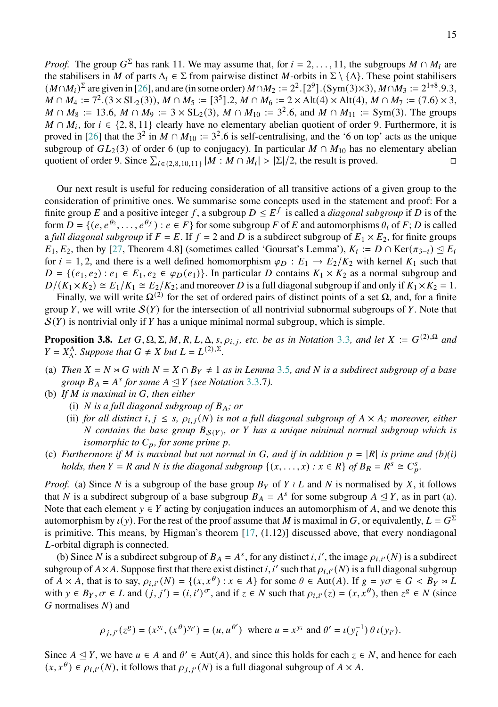*Proof.* The group  $G^{\Sigma}$  has rank 11. We may assume that, for  $i = 2, ..., 11$ , the subgroups  $M \cap M_i$  are the stabilisers in M of parts  $\Delta_i \in \Sigma$  from pairwise distinct M-orbits in  $\Sigma \setminus {\Delta}$ . These point stabilisers  $(M \cap M_i)^{\Sigma}$  are given in [\[26\]](#page-52-9), and are (in some order)  $M \cap M_2 := 2^2$ . [2<sup>9</sup>]. (Sym(3)×3),  $M \cap M_3 := 2^{1+8}$ .9.3,  $M \cap M_4 := 7^2 \cdot (3 \times SL_2(3)), M \cap M_5 := [3^5] \cdot 2, M \cap M_6 := 2 \times Alt(4) \times Alt(4), M \cap M_7 := (7.6) \times 3,$  $M \cap M_8 := 13.6$ ,  $M \cap M_9 := 3 \times SL_2(3)$ ,  $M \cap M_{10} := 3^2.6$ , and  $M \cap M_{11} := Sym(3)$ . The groups  $M \cap M_i$ , for  $i \in \{2, 8, 11\}$  clearly have no elementary abelian quotient of order 9. Furthermore, it is proved in [\[26\]](#page-52-9) that the  $3^2$  in  $M \cap M_{10} := 3^2.6$  is self-centralising, and the '6 on top' acts as the unique subgroup of  $GL_2(3)$  of order 6 (up to conjugacy). In particular  $M \cap M_{10}$  has no elementary abelian quotient of order 9. Since  $\sum_{i \in \{2,8,10,11\}} |M : M \cap M_i| > |\Sigma|/2$ , the result is proved.

Our next result is useful for reducing consideration of all transitive actions of a given group to the consideration of primitive ones. We summarise some concepts used in the statement and proof: For a finite group E and a positive integer f, a subgroup  $D \leq E^f$  is called a *diagonal subgroup* if D is of the form  $D = \{ (e, e^{\theta_2}, \ldots, e^{\theta_f}) : e \in F \}$  for some subgroup F of E and automorphisms  $\theta_i$  of F; D is called a *full diagonal subgroup* if  $F = E$ . If  $f = 2$  and D is a subdirect subgroup of  $E_1 \times E_2$ , for finite groups  $E_1, E_2$ , then by [\[27,](#page-52-4) Theorem 4.8] (sometimes called 'Goursat's Lemma'),  $K_i := D \cap \text{Ker}(\pi_{3-i}) \leq E_i$ for  $i = 1, 2$ , and there is a well defined homomorphism  $\varphi_D : E_1 \to E_2/K_2$  with kernel  $K_1$  such that  $D = \{(e_1, e_2) : e_1 \in E_1, e_2 \in \varphi_D(e_1)\}\)$ . In particular D contains  $K_1 \times K_2$  as a normal subgroup and  $D/(K_1 \times K_2) \cong E_1/K_1 \cong E_2/K_2$ ; and moreover D is a full diagonal subgroup if and only if  $K_1 \times K_2 = 1$ .

Finally, we will write  $\Omega^{(2)}$  for the set of ordered pairs of distinct points of a set  $\Omega$ , and, for a finite group Y, we will write  $S(Y)$  for the intersection of all nontrivial subnormal subgroups of Y. Note that  $S(Y)$  is nontrivial only if Y has a unique minimal normal subgroup, which is simple.

<span id="page-14-0"></span>**Proposition [3](#page-10-1).8.** *Let*  $G, \Omega, \Sigma, M, R, L, \Delta, s, \rho_{i,j}$ , etc. be as in Notation 3.3, and let  $X := G^{(2),\Omega}$  and  $Y = X^{\Delta}_{\Delta}$ *. Suppose that*  $G \neq X$  *but*  $L = L^{(2),\Sigma}$ *.* 

- (a) *Then*  $X = N \rtimes G$  *with*  $N = X \cap B_Y \neq 1$  *as in Lemma* [3](#page-12-0).5*, and* N *is a subdirect subgroup of a base group*  $B_A = A^s$  *for some*  $A \leq Y$  *(see Notation* [3](#page-10-1).3.7*)*.
- (b) If M is maximal in G, then either
	- (i) *N* is a full diagonal subgroup of  $B_A$ ; or
	- (ii) *for all distinct*  $i, j \leq s, \rho_{i,j}(N)$  *is not a full diagonal subgroup of*  $A \times A$ *; moreover, either N* contains the base group  $B_{S(Y)}$ , or *Y* has a unique minimal normal subgroup which is *isomorphic to*  $C_p$ *, for some prime p.*
- (c) *Furthermore if M* is maximal but not normal in G, and if in addition  $p = |R|$  is prime and (b)(i) *holds, then*  $Y = R$  *and*  $N$  *is the diagonal subgroup*  $\{(x, \ldots, x) : x \in R\}$  *of*  $B_R = R^s \cong C_p^s$ .

*Proof.* (a) Since N is a subgroup of the base group  $B_Y$  of  $Y \wr L$  and N is normalised by X, it follows that N is a subdirect subgroup of a base subgroup  $B_A = A^s$  for some subgroup  $A \leq Y$ , as in part (a). Note that each element  $y \in Y$  acting by conjugation induces an automorphism of A, and we denote this automorphism by  $\iota(y)$ . For the rest of the proof assume that M is maximal in G, or equivalently,  $L = G^{\Sigma}$ is primitive. This means, by Higman's theorem  $[17, (1.12)]$  $[17, (1.12)]$  discussed above, that every nondiagonal L-orbital digraph is connected.

(b) Since N is a subdirect subgroup of  $B_A = A^s$ , for any distinct i, i', the image  $\rho_{i,i'}(N)$  is a subdirect subgroup of  $A \times A$ . Suppose first that there exist distinct i, i' such that  $\rho_{i,i'}(N)$  is a full diagonal subgroup of  $A \times A$ , that is to say,  $\rho_{i,i'}(N) = \{(x, x^{\theta}) : x \in A\}$  for some  $\theta \in Aut(A)$ . If  $g = y\sigma \in G < B_Y \rtimes L$ with  $y \in B_Y$ ,  $\sigma \in L$  and  $(j, j') = (i, i')^{\sigma}$ , and if  $z \in N$  such that  $\rho_{i,i'}(z) = (x, x^{\theta})$ , then  $z^g \in N$  (since  $G$  normalises  $N$ ) and

$$
\rho_{j,j'}(z^g) = (x^{y_i}, (x^{\theta})^{y_{i'}}) = (u, u^{\theta'})
$$
 where  $u = x^{y_i}$  and  $\theta' = \iota(y_i^{-1}) \theta \iota(y_{i'}).$ 

Since  $A \leq Y$ , we have  $u \in A$  and  $\theta' \in Aut(A)$ , and since this holds for each  $z \in N$ , and hence for each  $(x, x^{\theta}) \in \overline{\rho_{i,i'}(N)}$ , it follows that  $\rho_{i,i'}(N)$  is a full diagonal subgroup of  $A \times A$ .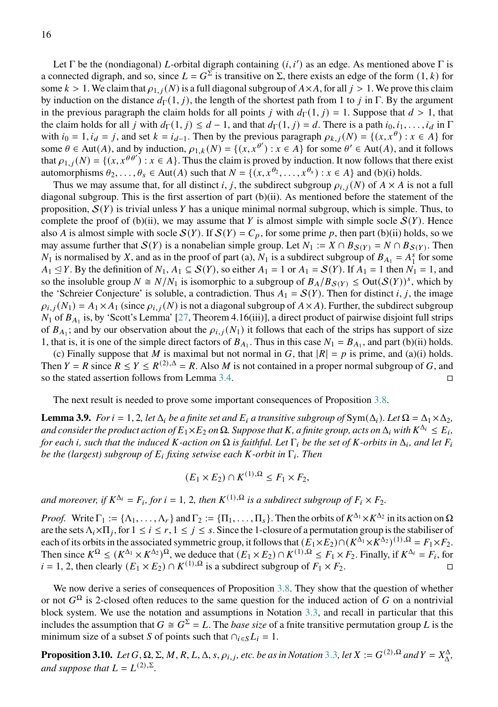Let  $\Gamma$  be the (nondiagonal) L-orbital digraph containing  $(i, i')$  as an edge. As mentioned above  $\Gamma$  is a connected digraph, and so, since  $L = G^{\Sigma}$  is transitive on  $\Sigma$ , there exists an edge of the form  $(1, k)$  for some  $k > 1$ . We claim that  $\rho_{1, i}(N)$  is a full diagonal subgroup of  $A \times A$ , for all  $i > 1$ . We prove this claim by induction on the distance  $d_{\Gamma}(1, j)$ , the length of the shortest path from 1 to *j* in Γ. By the argument in the previous paragraph the claim holds for all points *j* with  $d_{\Gamma}(1, j) = 1$ . Suppose that  $d > 1$ , that the claim holds for all *j* with  $d_{\Gamma}(1, j) \leq d - 1$ , and that  $d_{\Gamma}(1, j) = d$ . There is a path  $i_0, i_1, \ldots, i_d$  in  $\Gamma$ with  $i_0 = 1$ ,  $i_d = j$ , and set  $k = i_{d-1}$ . Then by the previous paragraph  $\rho_{k,j}(N) = \{(x, x^{\theta}) : x \in A\}$  for some  $\theta \in \text{Aut}(A)$ , and by induction,  $\rho_{1,k}(N) = \{(x, x^{\theta'}) : x \in A\}$  for some  $\theta' \in \text{Aut}(A)$ , and it follows that  $\rho_{1,j}(N) = \{(x, x^{\theta\theta'}) : x \in A\}$ . Thus the claim is proved by induction. It now follows that there exist automorphisms  $\theta_2, \ldots, \theta_s \in \text{Aut}(A)$  such that  $N = \{(x, x^{\theta_2}, \ldots, x^{\theta_s}) : x \in A\}$  and (b)(i) holds.

Thus we may assume that, for all distinct i, j, the subdirect subgroup  $\rho_{i,j}(N)$  of  $A \times A$  is not a full diagonal subgroup. This is the first assertion of part  $(b)(ii)$ . As mentioned before the statement of the proposition,  $S(Y)$  is trivial unless Y has a unique minimal normal subgroup, which is simple. Thus, to complete the proof of (b)(ii), we may assume that Y is almost simple with simple socle  $S(Y)$ . Hence also A is almost simple with socle  $S(Y)$ . If  $S(Y) = C_p$ , for some prime p, then part (b)(ii) holds, so we may assume further that  $S(Y)$  is a nonabelian simple group. Let  $N_1 := X \cap B_{S(Y)} = N \cap B_{S(Y)}$ . Then  $N_1$  is normalised by X, and as in the proof of part (a),  $N_1$  is a subdirect subgroup of  $B_{A_1} = A_1^s$  $\int_{1}^{s}$  for some  $A_1 \leq Y$ . By the definition of  $N_1, A_1 \subseteq S(Y)$ , so either  $A_1 = 1$  or  $A_1 = S(Y)$ . If  $A_1 = 1$  then  $N_1 = 1$ , and so the insoluble group  $N \cong N/N_1$  is isomorphic to a subgroup of  $B_A/B_{S(Y)} \leq Out(S(Y))^s$ , which by the 'Schreier Conjecture' is soluble, a contradiction. Thus  $A_1 = S(Y)$ . Then for distinct i, j, the image  $\rho_{i,i}(N_1) = A_1 \times A_1$  (since  $\rho_{i,i}(N)$  is not a diagonal subgroup of  $A \times A$ ). Further, the subdirect subgroup  $N_1$  of  $B_{A_1}$  is, by 'Scott's Lemma' [\[27,](#page-52-4) Theorem 4.16(iii)], a direct product of pairwise disjoint full strips of  $B_{A_1}$ ; and by our observation about the  $\rho_{i,j}(N_1)$  it follows that each of the strips has support of size 1, that is, it is one of the simple direct factors of  $B_{A_1}$ . Thus in this case  $N_1 = B_{A_1}$ , and part (b)(ii) holds.

(c) Finally suppose that M is maximal but not normal in G, that  $|R| = p$  is prime, and (a)(i) holds. Then  $Y = R$  since  $R \le Y \le R^{(2),\Delta} = R$ . Also M is not contained in a proper normal subgroup of G, and so the stated assertion follows from Lemma [3.4.](#page-11-0)

The next result is needed to prove some important consequences of Proposition [3.8.](#page-14-0)

<span id="page-15-1"></span>**Lemma 3.9.** *For*  $i = 1, 2$ *, let*  $\Delta_i$  *be a finite set and*  $E_i$  *a transitive subgroup of*  $Sym(\Delta_i)$ *. Let*  $\Omega = \Delta_1 \times \Delta_2$ *,* and consider the product action of  $E_1\times E_2$  on  $\Omega$ . Suppose that  $K$  , a finite group, acts on  $\Delta_i$  with  $K^{\Delta_i}\leq E_i$ , *for each i, such that the induced K*-action on  $\Omega$  is faithful. Let  $\Gamma_i$  be the set of *K*-orbits in  $\Delta_i$ , and let  $F_i$ *be the (largest) subgroup of E<sub>i</sub> fixing setwise each K-orbit in* Γ<sub>*i</sub>. Then*</sub>

$$
(E_1 \times E_2) \cap K^{(1),\Omega} \le F_1 \times F_2,
$$

and moreover, if  $K^{\Delta_i} = F_i$ , for  $i = 1, 2$ , then  $K^{(1), \Omega}$  is a subdirect subgroup of  $F_i \times F_2$ .

*Proof.* Write  $\Gamma_1 := {\Lambda_1, \ldots, \Lambda_r}$  and  $\Gamma_2 := {\Pi_1, \ldots, \Pi_s}$ . Then the orbits of  $K^{\Delta_1} \times K^{\Delta_2}$  in its action on  $\Omega$ are the sets  $\Lambda_i \times \Pi_j$ , for  $1 \le i \le r$ ,  $1 \le j \le s$ . Since the 1-closure of a permutation group is the stabiliser of each of its orbits in the associated symmetric group, it follows that  $(E_1 \times E_2) \cap (K^{\Delta_1} \times K^{\Delta_2})^{(1),\Omega} = F_1 \times F_2$ . Then since  $K^{\Omega} \le (K^{\Delta_1} \times K^{\Delta_2})^{\Omega}$ , we deduce that  $(E_1 \times E_2) \cap K^{(1),\Omega} \le F_1 \times F_2$ . Finally, if  $K^{\Delta_i} = F_i$ , for  $i = 1, 2$ , then clearly  $(E_1 \times E_2) \cap K^{(1),\Omega}$  is a subdirect subgroup of  $F_1 \times F_2$ .

We now derive a series of consequences of Proposition [3.8.](#page-14-0) They show that the question of whether or not  $G^{\Omega}$  is 2-closed often reduces to the same question for the induced action of G on a nontrivial block system. We use the notation and assumptions in Notation [3.3,](#page-10-1) and recall in particular that this includes the assumption that  $G \cong G^{\Sigma} = L$ . The *base size* of a finite transitive permutation group L is the minimum size of a subset *S* of points such that  $\cap_{i \in S} L_i = 1$ .

<span id="page-15-0"></span>**Proposition [3](#page-10-1).10.** *Let*  $G$ ,  $\Omega$ ,  $\Sigma$ ,  $M$ ,  $R$ ,  $L$ ,  $\Delta$ ,  $s$ ,  $\rho_{i,j}$ , etc. be as in Notation 3.3, let  $X := G^{(2),\Omega}$  and  $Y = X^{\Delta}_{\Delta}$ , and suppose that  $L = L^{(2),\Sigma}$ .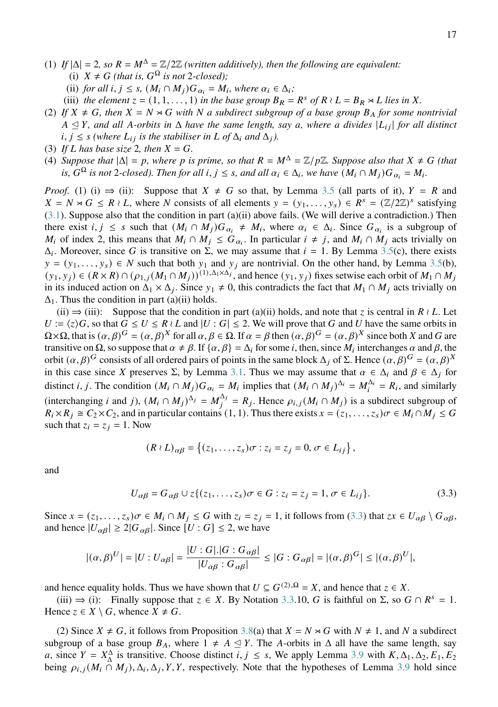- (1) If  $|\Delta| = 2$ , so  $R = M^{\Delta} = \mathbb{Z}/2\mathbb{Z}$  *(written additively), then the following are equivalent:* 
	- (i)  $X \neq G$  (that is,  $G^{\Omega}$  is not 2-closed);
	- (ii) *for all*  $i, j \leq s$ ,  $(M_i \cap M_j)G_{\alpha_i} = M_i$ , where  $\alpha_i \in \Delta_i$ ;
	- (iii) the element  $z = (1, 1, \ldots, 1)$  in the base group  $B_R = R^s$  of  $R \wr L = B_R \rtimes L$  lies in X.
- (2) If  $X \neq G$ , then  $X = N \rtimes G$  with N a subdirect subgroup of a base group  $B_A$  for some nontrivial  $A \trianglelefteq Y$ , and all A-orbits in  $\Delta$  have the same length, say a, where a divides  $|L_{ij}|$  for all distinct  $i, j \leq s$  (where  $L_{ij}$  is the stabiliser in  $L$  of  $\Delta_i$  and  $\Delta_j$ ).
- (3) If *L* has base size 2, then  $X = G$ .
- (4) *Suppose that*  $|\Delta| = p$ *, where p is prime, so that*  $R = M^{\Delta} = \mathbb{Z}/p\mathbb{Z}$ *. Suppose also that*  $X \neq G$  (that *is,*  $G^{\Omega}$  *is not* 2-closed). Then for all  $i, j \leq s$ , and all  $\alpha_i \in \Delta_i$ , we have  $(M_i \cap M_j)G_{\alpha_i} = M_i$ .

*Proof.* (1) (i)  $\Rightarrow$  (ii): Suppose that  $X \neq G$  so that, by Lemma [3.5](#page-12-0) (all parts of it),  $Y = R$  and  $X = N \rtimes G \leq R \wr L$ , where N consists of all elements  $y = (y_1, \ldots, y_s) \in R^s = (\mathbb{Z}/2\mathbb{Z})^s$  satisfying [\(3.1\)](#page-12-2). Suppose also that the condition in part (a)(ii) above fails. (We will derive a contradiction.) Then there exist  $i, j \leq s$  such that  $(M_i \cap M_j)G_{\alpha_i} \neq M_i$ , where  $\alpha_i \in \Delta_i$ . Since  $G_{\alpha_i}$  is a subgroup of  $M_i$  of index 2, this means that  $M_i \cap M_j \leq G_{\alpha_i}$ . In particular  $i \neq j$ , and  $M_i \cap M_j$  acts trivially on  $\Delta_i$ . Moreover, since G is transitive on  $\Sigma$ , we may assume that  $i = 1$ . By Lemma [3.5\(](#page-12-0)c), there exists  $y = (y_1, \ldots, y_s) \in N$  such that both  $y_1$  and  $y_j$  are nontrivial. On the other hand, by Lemma [3.5\(](#page-12-0)b),  $(y_1, y_j) \in (R \times R) \cap (p_{1,j}(M_1 \cap M_j))^{(1), \Delta_1 \times \Delta_j}$ , and hence  $(y_1, y_j)$  fixes setwise each orbit of  $M_1 \cap M_j$ in its induced action on  $\Delta_1 \times \Delta_j$ . Since  $y_1 \neq 0$ , this contradicts the fact that  $M_1 \cap M_j$  acts trivially on  $\Delta_1$ . Thus the condition in part (a)(ii) holds.

(ii)  $\Rightarrow$  (iii): Suppose that the condition in part (a)(ii) holds, and note that z is central in  $R \wr L$ . Let  $U := \langle z \rangle G$ , so that  $G \leq U \leq R \wr L$  and  $|U : G| \leq 2$ . We will prove that G and U have the same orbits in  $\Omega \times \Omega$ , that is  $(\alpha, \beta)^G = (\alpha, \beta)^X$  for all  $\alpha, \beta \in \Omega$ . If  $\alpha = \beta$  then  $(\alpha, \beta)^G = (\alpha, \beta)^X$  since both X and G are transitive on  $\Omega$ , so suppose that  $\alpha \neq \beta$ . If  $\{\alpha, \beta\} = \Delta_i$  for some *i*, then, since  $M_i$  interchanges  $\alpha$  and  $\beta$ , the orbit  $(\alpha, \beta)^G$  consists of all ordered pairs of points in the same block  $\Delta_j$  of  $\Sigma$ . Hence  $(\alpha, \beta)^G = (\alpha, \beta)^X$ in this case since X preserves  $\Sigma$ , by Lemma [3.1.](#page-10-0) Thus we may assume that  $\alpha \in \Delta_i$  and  $\beta \in \Delta_j$  for distinct *i*, *j*. The condition  $(M_i \cap M_j)G_{\alpha_i} = M_i$  implies that  $(M_i \cap M_j)^{\Delta_i} = M_i^{\Delta_i} = R_i$ , and similarly (interchanging *i* and *j*),  $(M_i \cap M_j)^{\Delta_j} = M_j^{\Delta_j} = R_j$ . Hence  $\rho_{i,j}(M_i \cap M_j)$  is a subdirect subgroup of  $R_i \times R_j \cong C_2 \times C_2$ , and in particular contains (1, 1). Thus there exists  $x = (z_1, \ldots, z_s) \sigma \in M_i \cap M_j \leq G$ such that  $z_i = z_j = 1$ . Now

<span id="page-16-0"></span>
$$
(R \wr L)_{\alpha\beta} = \left\{ (z_1, \ldots, z_s)\sigma : z_i = z_j = 0, \sigma \in L_{ij} \right\},\,
$$

and

$$
U_{\alpha\beta} = G_{\alpha\beta} \cup z \{ (z_1, \dots, z_s) \sigma \in G : z_i = z_j = 1, \sigma \in L_{ij} \}. \tag{3.3}
$$

Since  $x = (z_1, \ldots, z_s) \sigma \in M_i \cap M_j \le G$  with  $z_i = z_j = 1$ , it follows from [\(3.3\)](#page-16-0) that  $zx \in U_{\alpha\beta} \setminus G_{\alpha\beta}$ , and hence  $|U_{\alpha\beta}| \geq 2|G_{\alpha\beta}|$ . Since  $[U : G] \leq 2$ , we have

$$
|( \alpha, \beta)^U | = | U : U_{\alpha\beta} | = \frac{|U : G|. |G : G_{\alpha\beta}|}{|U_{\alpha\beta} : G_{\alpha\beta}|} \leq |G : G_{\alpha\beta}| = |(\alpha, \beta)^G| \leq |(\alpha, \beta)^U|,
$$

and hence equality holds. Thus we have shown that  $U \subseteq G^{(2),\Omega} = X$ , and hence that  $z \in X$ .

(iii)  $\Rightarrow$  (i): Finally suppose that  $z \in X$ . By Notation [3.3.](#page-10-1)10, G is faithful on  $\Sigma$ , so  $G \cap R^s = 1$ . Hence  $z \in X \setminus G$ , whence  $X \neq G$ .

(2) Since  $X \neq G$ , it follows from Proposition [3.8\(](#page-14-0)a) that  $X = N \rtimes G$  with  $N \neq 1$ , and N a subdirect subgroup of a base group  $B_A$ , where  $1 \neq A \leq Y$ . The A-orbits in  $\Delta$  all have the same length, say a, since  $Y = X_{\Delta}^{\Delta}$  is transitive. Choose distinct  $i, j \leq s$ , We apply Lemma [3.9](#page-15-1) with  $K, \Delta_1, \Delta_2, E_1, E_2$ being  $\rho_{i,j}(M_i \cap M_j)$ ,  $\Delta_i$ ,  $\Delta_j$ , Y, Y, respectively. Note that the hypotheses of Lemma [3.9](#page-15-1) hold since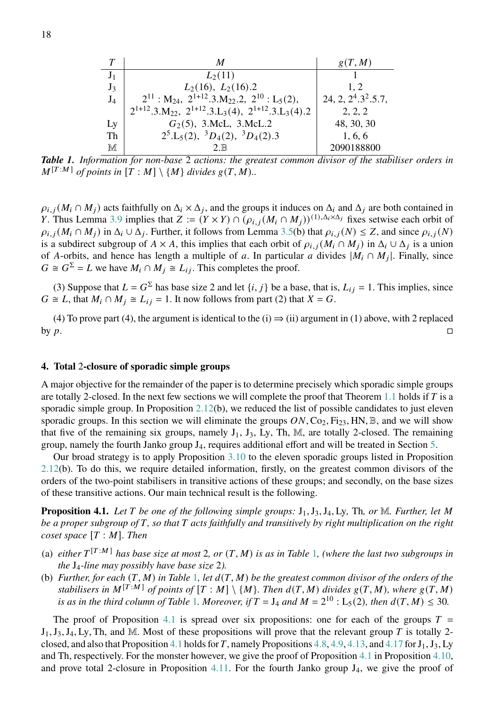|       | M                                                                                                           | g(T, M)               |
|-------|-------------------------------------------------------------------------------------------------------------|-----------------------|
| $J_1$ | $L_2(11)$                                                                                                   |                       |
| $J_3$ | $L_2(16)$ , $L_2(16)$ .2                                                                                    | 1.2                   |
| $J_4$ | $2^{11}$ : M <sub>24</sub> , $2^{1+12}$ .3.M <sub>22</sub> .2, $2^{10}$ : L <sub>5</sub> (2),               | $24, 2, 2^4.3^2.5.7,$ |
|       | $2^{1+12} \cdot 3 \cdot M_{22}$ , $2^{1+12} \cdot 3 \cdot L_3(4)$ , $2^{1+12} \cdot 3 \cdot L_3(4) \cdot 2$ | 2, 2, 2               |
| Ly    | $G_2(5)$ , 3.McL, 3.McL.2                                                                                   | 48, 30, 30            |
| Th    | $2^5$ .L <sub>5</sub> (2), ${}^3D_4(2)$ , ${}^3D_4(2)$ .3                                                   | 1, 6, 6               |
| M     | 2R                                                                                                          | 2090188800            |

<span id="page-17-1"></span>*Table 1. Information for non-base* 2 *actions: the greatest common divisor of the stabiliser orders in*  $M^{[T:M]}$  of points in  $[T : M] \setminus \{M\}$  divides  $g(T, M)$ ...

 $\rho_{i,j}(M_i \cap M_j)$  acts faithfully on  $\Delta_i \times \Delta_j$ , and the groups it induces on  $\Delta_i$  and  $\Delta_j$  are both contained in Y. Thus Lemma [3.9](#page-15-1) implies that  $Z := (Y \times Y) \cap (\rho_{i,j}(M_i \cap M_j))^{(1), \Delta_i \times \Delta_j}$  fixes setwise each orbit of  $\rho_{i,j}(M_i \cap M_j)$  in  $\Delta_i \cup \Delta_j$ . Further, it follows from Lemma [3.5\(](#page-12-0)b) that  $\rho_{i,j}(N) \leq Z$ , and since  $\rho_{i,j}(N)$ is a subdirect subgroup of  $A \times A$ , this implies that each orbit of  $\rho_{i,j}(M_i \cap M_j)$  in  $\Delta_i \cup \Delta_j$  is a union of A-orbits, and hence has length a multiple of a. In particular a divides  $|M_i \cap M_j|$ . Finally, since  $G \cong G^{\Sigma} = L$  we have  $M_i \cap M_j \cong L_{ij}$ . This completes the proof.

(3) Suppose that  $L = G^{\Sigma}$  has base size 2 and let  $\{i, j\}$  be a base, that is,  $L_{ij} = 1$ . This implies, since  $G \cong L$ , that  $M_i \cap M_j \cong L_{ij} = 1$ . It now follows from part (2) that  $X = G$ .

(4) To prove part (4), the argument is identical to the  $(i) \Rightarrow (ii)$  argument in (1) above, with 2 replaced by  $p$ .

## <span id="page-17-0"></span>**4. Total** 2**-closure of sporadic simple groups**

A major objective for the remainder of the paper is to determine precisely which sporadic simple groups are totally 2-closed. In the next few sections we will complete the proof that Theorem [1.1](#page-1-0) holds if  $T$  is a sporadic simple group. In Proposition [2.12\(](#page-8-1)b), we reduced the list of possible candidates to just eleven sporadic groups. In this section we will eliminate the groups  $ON, Co_2, Fi_{23}, HM, B$ , and we will show that five of the remaining six groups, namely  $J_1$ ,  $J_3$ , Ly, Th, M, are totally 2-closed. The remaining group, namely the fourth Janko group J4, requires additional effort and will be treated in Section [5.](#page-28-0)

Our broad strategy is to apply Proposition [3.10](#page-15-0) to the eleven sporadic groups listed in Proposition [2.12\(](#page-8-1)b). To do this, we require detailed information, firstly, on the greatest common divisors of the orders of the two-point stabilisers in transitive actions of these groups; and secondly, on the base sizes of these transitive actions. Our main technical result is the following.

<span id="page-17-2"></span>**Proposition 4.1.** Let T be one of the following simple groups:  $J_1, J_3, J_4, Ly$ , Th, or M. Further, let M *be a proper subgroup of , so that acts faithfully and transitively by right multiplication on the right coset space*  $[T : M]$ *. Then* 

- (a)  $\epsilon$  *either*  $T^{[T:M]}$  has base size at most 2, or  $(T, M)$  is as in Table [1](#page-17-1), (where the last two subgroups in *the* J4*-line may possibly have base size* 2*).*
- (b) *Further, for each*  $(T, M)$  *in Table* [1](#page-17-1)*, let*  $d(T, M)$  *be the greatest common divisor of the orders of the stabilisers in*  $M^{[T:M]}$  *of points of*  $[T : M] \setminus \{M\}$ *. Then*  $d(T, M)$  *divides*  $g(T, M)$ *, where*  $g(T, M)$ *is as in the third column of Table* [1](#page-17-1)*. Moreover, if*  $T = J_4$  *and*  $M = 2^{10}$  :  $L_5(2)$ *, then*  $d(T, M) \leq 30$ *.*

The proof of Proposition [4.1](#page-17-2) is spread over six propositions: one for each of the groups  $T =$  $J_1, J_3, J_4, Ly, Th$ , and M. Most of these propositions will prove that the relevant group T is totally 2-closed, and also that Proposition [4.1](#page-17-2) holds for T, namely Propositions [4.8,](#page-20-0) [4.9,](#page-21-0) [4.13,](#page-23-0) and [4.17](#page-26-1) for  $J_1, J_3, Ly$ and Th, respectively. For the monster however, we give the proof of Proposition [4.1](#page-17-2) in Proposition [4.10,](#page-22-0) and prove total 2-closure in Proposition [4.11.](#page-22-1) For the fourth Janko group  $J_4$ , we give the proof of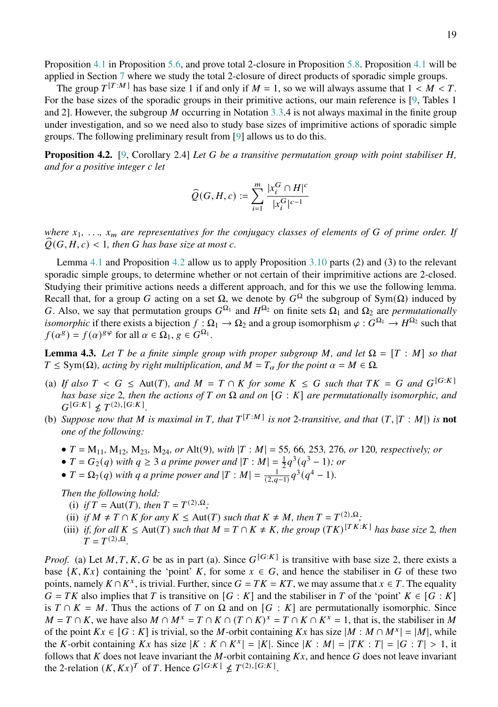The group  $T^{[T:M]}$  has base size 1 if and only if  $M = 1$ , so we will always assume that  $1 < M < T$ . For the base sizes of the sporadic groups in their primitive actions, our main reference is [\[9,](#page-51-9) Tables 1 and 2]. However, the subgroup M occurring in Notation [3.3.](#page-10-1)4 is not always maximal in the finite group under investigation, and so we need also to study base sizes of imprimitive actions of sporadic simple groups. The following preliminary result from [\[9\]](#page-51-9) allows us to do this.

<span id="page-18-0"></span>**Proposition 4.2.** [\[9,](#page-51-9) Corollary 2.4] *Let* G be a transitive permutation group with point stabiliser H, *and for a positive integer let*

$$
\widehat{Q}(G,H,c):=\sum_{i=1}^m \frac{|x_i^G\cap H|^c}{|x_i^G|^{c-1}}
$$

*where*  $x_1, \ldots, x_m$  are representatives for the conjugacy classes of elements of G of prime order. If  $\theta(G, H, c)$  < 1, then G has base size at most *c*.

Lemma [4.1](#page-17-2) and Proposition [4.2](#page-18-0) allow us to apply Proposition [3.10](#page-15-0) parts (2) and (3) to the relevant sporadic simple groups, to determine whether or not certain of their imprimitive actions are 2-closed. Studying their primitive actions needs a different approach, and for this we use the following lemma. Recall that, for a group G acting on a set  $\Omega$ , we denote by  $G^{\Omega}$  the subgroup of Sym( $\Omega$ ) induced by G. Also, we say that permutation groups  $G^{\Omega_1}$  and  $H^{\Omega_2}$  on finite sets  $\Omega_1$  and  $\Omega_2$  are *permutationally isomorphic* if there exists a bijection  $f : \Omega_1 \to \Omega_2$  and a group isomorphism  $\varphi : G^{\Omega_1} \to H^{\Omega_2}$  such that  $f(\alpha^g) = f(\alpha)^{g\varphi}$  for all  $\alpha \in \Omega_1, g \in G^{\Omega_1}$ .

<span id="page-18-1"></span>**Lemma 4.3.** Let T be a finite simple group with proper subgroup M, and let  $\Omega = [T : M]$  so that  $T \leq Sym(\Omega)$ , acting by right multiplication, and  $M = T_\alpha$  for the point  $\alpha = M \in \Omega$ .

- (a) If also  $T < G \leq$  Aut(T), and  $M = T \cap K$  for some  $K \leq G$  such that  $TK = G$  and  $G^{[G:K]}$ *has base size* 2, then the actions of T on  $\Omega$  and on [G : K] are permutationally isomorphic, and  $G^{[G:K]} \nleq T^{(2),[G:K]}.$
- (b) Suppose now that M is maximal in T, that  $T^{[T:M]}$  is not 2-transitive, and that  $(T, |T:M|)$  is **not** *one of the following:*
	- $\bullet$  *T* = M<sub>11</sub>*,* M<sub>12</sub>*,* M<sub>23</sub>*,* M<sub>24</sub>*, or* Alt(9*), with*  $|T : M|$  = 55*,* 66*,* 253*,* 276*, or* 120*, respectively; or*
	- $T = G_2(q)$  *with*  $q \ge 3$  *a prime power and*  $|T : M| = \frac{1}{2}q^3(q^3 1)$ *; or*
	- $T = \Omega_7(q)$  *with q a* prime power and  $|T : M| = \frac{1}{(2,q-1)} q^3 (q^4 1)$ *.*

*Then the following hold:*

- (i) *if*  $T = \text{Aut}(T)$ *, then*  $T = T^{(2), \Omega}$ *;*
- (ii) *if*  $M \neq T \cap K$  *for any*  $K \leq$  Aut(*T*) *such that*  $K \neq M$ *, then*  $T = T^{(2), \Omega}$ *;*
- (iii) *if, for all*  $K \leq \text{Aut}(T)$  *such that*  $M = T \cap K \neq K$ *, the group*  $(TK)^{[TK:K]}$  *has base size* 2*, then*  $T = T^{(2),\Omega}.$

*Proof.* (a) Let  $M, T, K, G$  be as in part (a). Since  $G^{[G:K]}$  is transitive with base size 2, there exists a base  $\{K, Kx\}$  containing the 'point' K, for some  $x \in G$ , and hence the stabiliser in G of these two points, namely  $K \cap K^x$ , is trivial. Further, since  $G = TK = KT$ , we may assume that  $x \in T$ . The equality  $G = TK$  also implies that T is transitive on  $[G : K]$  and the stabiliser in T of the 'point'  $K \in [G : K]$ is  $T \cap K = M$ . Thus the actions of T on  $\Omega$  and on  $[G : K]$  are permutationally isomorphic. Since  $M = T \cap K$ , we have also  $M \cap M^x = T \cap K \cap (T \cap K)^x = T \cap K \cap K^x = 1$ , that is, the stabiliser in M of the point  $Kx \in [G : K]$  is trivial, so the M-orbit containing  $Kx$  has size  $|M : M \cap M^x| = |M|$ , while the K-orbit containing Kx has size  $|K : K \cap K^x| = |K|$ . Since  $|K : M| = |TK : T| = |G : T| > 1$ , it follows that K does not leave invariant the M-orbit containing  $Kx$ , and hence G does not leave invariant the 2-relation  $(K, Kx)^T$  of T. Hence  $G^{[G:K]} \nleq T^{(2), [G:K]}$ .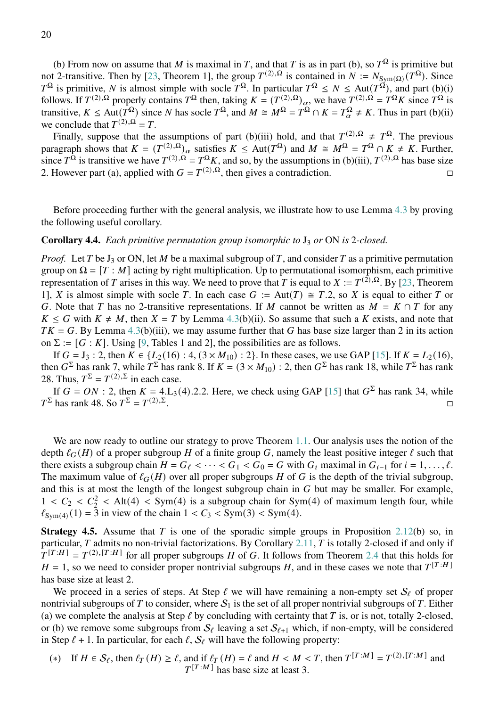(b) From now on assume that M is maximal in T, and that T is as in part (b), so  $T^{\Omega}$  is primitive but not 2-transitive. Then by [\[23,](#page-52-3) Theorem 1], the group  $T^{(2),\Omega}$  is contained in  $N := N_{Sym(\Omega)}(T^{\Omega})$ . Since  $T^{\Omega}$  is primitive, N is almost simple with socle  $T^{\Omega}$ . In particular  $T^{\Omega} \le N \le \text{Aut}(T^{\Omega})$ , and part (b)(i) follows. If  $T^{(2),\Omega}$  properly contains  $T^{\Omega}$  then, taking  $K = (T^{(2),\Omega})_\alpha$ , we have  $T^{(2),\Omega} = T^{\Omega}K$  since  $T^{\Omega}$  is transitive,  $K \leq \text{Aut}(T^{\Omega})$  since N has socle  $T^{\Omega}$ , and  $M \cong M^{\Omega} = T^{\Omega} \cap K = T_{\alpha}^{\Omega} \neq K$ . Thus in part (b)(ii) we conclude that  $T^{(2),\Omega} = T$ .

Finally, suppose that the assumptions of part (b)(iii) hold, and that  $T^{(2),\Omega} \neq T^{\Omega}$ . The previous paragraph shows that  $K = (T^{(2)}, \Omega)_{\alpha}$  satisfies  $K \leq \text{Aut}(T^{\Omega})$  and  $M \cong M^{\Omega} = T^{\Omega} \cap K \neq K$ . Further, since  $T^{\Omega}$  is transitive we have  $T^{(2),\Omega} = T^{\Omega}K$ , and so, by the assumptions in (b)(iii),  $T^{(2),\Omega}$  has base size 2. However part (a), applied with  $G = T^{(2),\Omega}$ , then gives a contradiction.

Before proceeding further with the general analysis, we illustrate how to use Lemma [4.3](#page-18-1) by proving the following useful corollary.

## <span id="page-19-1"></span>**Corollary 4.4.** *Each primitive permutation group isomorphic to*  $J_3$  *or* ON *is* 2*-closed.*

*Proof.* Let T be  $J_3$  or ON, let M be a maximal subgroup of T, and consider T as a primitive permutation group on  $\Omega = [T : M]$  acting by right multiplication. Up to permutational isomorphism, each primitive representation of T arises in this way. We need to prove that T is equal to  $X := T^{(2), \Omega}$ . By [\[23,](#page-52-3) Theorem 1], X is almost simple with socle T. In each case  $G := Aut(T) \cong T.2$ , so X is equal to either T or G. Note that T has no 2-transitive representations. If M cannot be written as  $M = K \cap T$  for any  $K \leq G$  with  $K \neq M$ , then  $X = T$  by Lemma [4.3\(](#page-18-1)b)(ii). So assume that such a K exists, and note that  $TK = G$ . By Lemma [4.3\(](#page-18-1)b)(iii), we may assume further that G has base size larger than 2 in its action on  $\Sigma := [G : K]$ . Using [\[9,](#page-51-9) Tables 1 and 2], the possibilities are as follows.

If  $G = J_3$ : 2, then  $K \in \{L_2(16) : 4, (3 \times M_{10}) : 2\}$ . In these cases, we use GAP [\[15\]](#page-51-10). If  $K = L_2(16)$ , then  $G^{\Sigma}$  has rank 7, while  $T^{\Sigma}$  has rank 8. If  $K = (3 \times M_{10}) : 2$ , then  $G^{\Sigma}$  has rank 18, while  $T^{\Sigma}$  has rank 28. Thus,  $T^{\Sigma} = T^{(2),\Sigma}$  in each case.

If  $G = ON$ : 2, then  $K = 4.L_3(4)$ .2.2. Here, we check using GAP [\[15\]](#page-51-10) that  $G^{\Sigma}$  has rank 34, while  $T^{\Sigma}$  has rank 48. So  $T^{\Sigma} = T^{(2),\Sigma}$ .

We are now ready to outline our strategy to prove Theorem [1.1.](#page-1-0) Our analysis uses the notion of the depth  $\ell_G(H)$  of a proper subgroup H of a finite group G, namely the least positive integer  $\ell$  such that there exists a subgroup chain  $H = G_\ell < \cdots < G_1 < G_0 = G$  with  $G_i$  maximal in  $G_{i-1}$  for  $i = 1, \ldots, \ell$ . The maximum value of  $\ell_G(H)$  over all proper subgroups H of G is the depth of the trivial subgroup, and this is at most the length of the longest subgroup chain in  $G$  but may be smaller. For example,  $1 < C_2 < C_2^2 <$  Alt(4) < Sym(4) is a subgroup chain for Sym(4) of maximum length four, while  $\ell_{\text{Sym}(4)}(1) = 3$  in view of the chain  $1 < C_3 < \text{Sym}(3) < \text{Sym}(4)$ .

<span id="page-19-0"></span>**Strategy 4.5.** Assume that  $T$  is one of the sporadic simple groups in Proposition [2.12\(](#page-8-1)b) so, in particular, T admits no non-trivial factorizations. By Corollary [2.11,](#page-8-2) T is totally 2-closed if and only if  $T^{[T:H]} = T^{(2),[T:H]}$  for all proper subgroups H of G. It follows from Theorem [2.4](#page-4-3) that this holds for  $H = 1$ , so we need to consider proper nontrivial subgroups H, and in these cases we note that  $T^{[T:H]}$ has base size at least 2.

We proceed in a series of steps. At Step  $\ell$  we will have remaining a non-empty set  $S_{\ell}$  of proper nontrivial subgroups of T to consider, where  $S_1$  is the set of all proper nontrivial subgroups of T. Either (a) we complete the analysis at Step  $\ell$  by concluding with certainty that T is, or is not, totally 2-closed, or (b) we remove some subgroups from  $S_f$  leaving a set  $S_{f+1}$  which, if non-empty, will be considered in Step  $\ell + 1$ . In particular, for each  $\ell$ ,  $S_{\ell}$  will have the following property:

(\*) If  $H \in \mathcal{S}_{\ell}$ , then  $\ell_T(H) \geq \ell$ , and if  $\ell_T(H) = \ell$  and  $H \leq M \leq T$ , then  $T^{[T:M]} = T^{(2),[T:M]}$  and  $T^{[T:M]}$  has base size at least 3.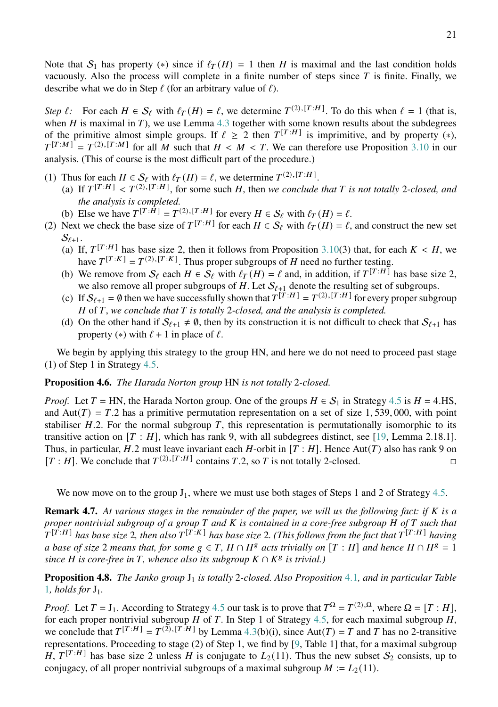Note that  $S_1$  has property (\*) since if  $\ell_T(H) = 1$  then H is maximal and the last condition holds vacuously. Also the process will complete in a finite number of steps since  $T$  is finite. Finally, we describe what we do in Step  $\ell$  (for an arbitrary value of  $\ell$ ).

*Step*  $\ell$ : For each  $H \in S_{\ell}$  with  $\ell_T(H) = \ell$ , we determine  $T^{(2),[T:H]}$ . To do this when  $\ell = 1$  (that is, when  $H$  is maximal in  $T$ ), we use Lemma [4.3](#page-18-1) together with some known results about the subdegrees of the primitive almost simple groups. If  $\ell \geq 2$  then  $T^{[T:H]}$  is imprimitive, and by property (\*),  $T^{[T:M]} = T^{(2),[T:M]}$  for all M such that  $H \lt M \lt T$ . We can therefore use Proposition [3.10](#page-15-0) in our analysis. (This of course is the most difficult part of the procedure.)

- (1) Thus for each  $H \in \mathcal{S}_{\ell}$  with  $\ell_T(H) = \ell$ , we determine  $T^{(2),[T:H]}$ .
	- (a) If  $T^{[T:H]} < T^{(2),[T:H]}$ , for some such H, then *we conclude that* T is not totally 2-closed, and *the analysis is completed.*
	- (b) Else we have  $T^{[T:\hat{H}]} = T^{(2),[T:H]}$  for every  $H \in \mathcal{S}_{\ell}$  with  $\ell_T(H) = \ell$ .
- (2) Next we check the base size of  $T^{[T:H]}$  for each  $H \in S_\ell$  with  $\ell_T(H) = \ell$ , and construct the new set  $S_{\ell+1}$ .
	- (a) If,  $T^{[T:H]}$  has base size 2, then it follows from Proposition [3.10\(](#page-15-0)3) that, for each  $K < H$ , we have  $T^{[T:K]} = T^{(2),[T:K]}$ . Thus proper subgroups of H need no further testing.
	- (b) We remove from  $\mathcal{S}_{\ell}$  each  $H \in \mathcal{S}_{\ell}$  with  $\ell_T(H) = \ell$  and, in addition, if  $T^{[T:H]}$  has base size 2, we also remove all proper subgroups of H. Let  $\mathcal{S}_{\ell+1}$  denote the resulting set of subgroups.
	- (c) If  $S_{\ell+1} = \emptyset$  then we have successfully shown that  $T^{[T:H]} = T^{(2),[T:H]}$  for every proper subgroup *H* of *T*, we conclude that *T* is totally 2-closed, and the analysis is completed.
	- (d) On the other hand if  $S_{\ell+1} \neq \emptyset$ , then by its construction it is not difficult to check that  $S_{\ell+1}$  has property (\*) with  $\ell + 1$  in place of  $\ell$ .

We begin by applying this strategy to the group HN, and here we do not need to proceed past stage (1) of Step 1 in Strategy [4.5.](#page-19-0)

# **Proposition 4.6.** *The Harada Norton group* HN *is not totally* 2*-closed.*

*Proof.* Let  $T = HN$ , the Harada Norton group. One of the groups  $H \in S_1$  in Strategy [4.5](#page-19-0) is  $H = 4.HS$ , and Aut $(T) = T.2$  has a primitive permutation representation on a set of size 1, 539, 000, with point stabiliser  $H.2$ . For the normal subgroup T, this representation is permutationally isomorphic to its transitive action on  $[T : H]$ , which has rank 9, with all subdegrees distinct, see [\[19,](#page-52-10) Lemma 2.18.1]. Thus, in particular, H.2 must leave invariant each H-orbit in  $[T : H]$ . Hence Aut $(T)$  also has rank 9 on  $[T : H]$ . We conclude that  $T^{(2),[T:H]}$  contains T.2, so T is not totally 2-closed.

We now move on to the group  $J_1$ , where we must use both stages of Steps 1 and 2 of Strategy [4.5.](#page-19-0)

**Remark 4.7.** *At various stages in the remainder of the paper, we will us the following fact: if is a proper nontrivial subgroup of a group* T and K is contained in a core-free subgroup H of T such that  $T^{[\hat{T}:H]}$  has base size 2, then also  $T^{[\hat{T}:K]}$  has base size 2. (This follows from the fact that  $T^{[T:H]}$  having *a base of size* 2 *means that, for some*  $g \in T$ ,  $H \cap H^g$  *acts trivially on*  $[T : H]$  *and hence*  $H \cap H^g = \overline{1}$  $\overline{s}$  *is core-free in*  $\overline{T}$ , whence also its subgroup  $K \cap K^g$  is trivial.)

<span id="page-20-0"></span>**Proposition [4](#page-17-2).8.** *The Janko group*  $J_1$  *is totally* 2-closed. Also Proposition 4.1, and in particular Table [1](#page-17-1)*, holds for* J1*.*

*Proof.* Let  $T = J_1$ . According to Strategy [4.5](#page-19-0) our task is to prove that  $T^{\Omega} = T^{(2),\Omega}$ , where  $\Omega = [T : H]$ , for each proper nontrivial subgroup  $H$  of  $T$ . In Step 1 of Strategy [4.5,](#page-19-0) for each maximal subgroup  $H$ , we conclude that  $T^{[T:H]} = T^{(\Sigma), [T:H]}$  by Lemma [4.3\(](#page-18-1)b)(i), since Aut(T) = T and T has no 2-transitive representations. Proceeding to stage (2) of Step 1, we find by [\[9,](#page-51-9) Table 1] that, for a maximal subgroup H,  $T^{[T:H]}$  has base size 2 unless H is conjugate to  $L_2(11)$ . Thus the new subset  $S_2$  consists, up to conjugacy, of all proper nontrivial subgroups of a maximal subgroup  $M := L_2(11)$ .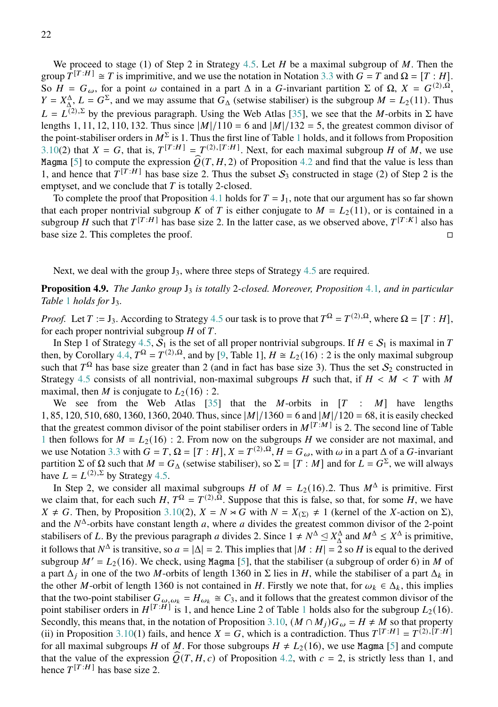We proceed to stage (1) of Step 2 in Strategy [4.5.](#page-19-0) Let  $H$  be a maximal subgroup of  $M$ . Then the group  $T^{[T:H]} \cong T$  is imprimitive, and we use the notation in Notation [3.3](#page-10-1) with  $G = T$  and  $\Omega = [T : H]$ . So  $H = G_{\omega}$ , for a point  $\omega$  contained in a part  $\Delta$  in a G-invariant partition  $\Sigma$  of  $\Omega$ ,  $X = G^{(2),\Omega}$ ,  $Y = X_{\Delta}^{\Delta}$ ,  $L = G^{\Sigma}$ , and we may assume that  $G_{\Delta}$  (setwise stabiliser) is the subgroup  $M = L_2(11)$ . Thus  $L = L^{(2),\Sigma}$  by the previous paragraph. Using the Web Atlas [\[35\]](#page-52-11), we see that the *M*-orbits in  $\Sigma$  have lengths 1, 11, 12, 110, 132. Thus since  $|M|/110 = 6$  and  $|M|/132 = 5$ , the greatest common divisor of the point-stabiliser orders in  $M^{\Sigma}$  is [1](#page-17-1). Thus the first line of Table 1 holds, and it follows from Proposition [3.10\(](#page-15-0)2) that  $X = G$ , that is,  $T^{[T:H]} = T^{(2), [T:H]}$ . Next, for each maximal subgroup H of M, we use Magma [\[5\]](#page-51-11) to compute the expression  $\hat{Q}(T, H, 2)$  of Proposition [4.2](#page-18-0) and find that the value is less than 1, and hence that  $T^{[T:H]}$  has base size 2. Thus the subset  $S_3$  constructed in stage (2) of Step 2 is the emptyset, and we conclude that  $T$  is totally 2-closed.

To complete the proof that Proposition [4](#page-17-2).1 holds for  $T = J_1$ , note that our argument has so far shown that each proper nontrivial subgroup K of T is either conjugate to  $M = L_2(11)$ , or is contained in a subgroup H such that  $T^{[T:H]}$  has base size 2. In the latter case, as we observed above,  $T^{[T:K]}$  also has base size 2. This completes the proof.

Next, we deal with the group  $J_3$ , where three steps of Strategy [4.5](#page-19-0) are required.

<span id="page-21-0"></span>**Proposition [4](#page-17-2).9.** *The Janko group*  $J_3$  *is totally* 2*-closed. Moreover, Proposition* 4.1*, and in particular Table* [1](#page-17-1) *holds for*  $J_3$ *.* 

*Proof.* Let  $T := J_3$ . According to Strategy [4.5](#page-19-0) our task is to prove that  $T^{\Omega} = T^{(2),\Omega}$ , where  $\Omega = [T : H]$ , for each proper nontrivial subgroup  $H$  of  $T$ .

In Step 1 of Strategy [4.5,](#page-19-0)  $S_1$  is the set of all proper nontrivial subgroups. If  $H \in S_1$  is maximal in T then, by Corollary [4.4,](#page-19-1)  $T^{\Omega} = T^{(2),\Omega}$ , and by [\[9,](#page-51-9) Table 1],  $H \cong L_2(16)$ : 2 is the only maximal subgroup such that  $T^{\Omega}$  has base size greater than 2 (and in fact has base size 3). Thus the set  $S_2$  constructed in Strategy [4.5](#page-19-0) consists of all nontrivial, non-maximal subgroups H such that, if  $H < M < T$  with M maximal, then M is conjugate to  $L_2(16)$ : 2.

We see from the Web Atlas [\[35\]](#page-52-11) that the M-orbits in  $[T : M]$  have lengths 1, 85, 120, 510, 680, 1360, 1360, 2040. Thus, since  $|M|/1360 = 6$  and  $|M|/120 = 68$ , it is easily checked that the greatest common divisor of the point stabiliser orders in  $M^{[T:M]}$  is 2. The second line of Table [1](#page-17-1) then follows for  $M = L_2(16)$ : 2. From now on the subgroups H we consider are not maximal, and we use Notation [3.3](#page-10-1) with  $G = T$ ,  $\Omega = [T : H]$ ,  $X = T^{(2), \Omega}$ ,  $H = G_{\omega}$ , with  $\omega$  in a part  $\Delta$  of a  $G$ -invariant partition  $\Sigma$  of  $\Omega$  such that  $M = G_{\Delta}$  (setwise stabiliser), so  $\Sigma = [T : M]$  and for  $L = G^{\Sigma}$ , we will always have  $L = L^{(2),\Sigma}$  by Strategy [4.5.](#page-19-0)

In Step 2, we consider all maximal subgroups H of  $M = L_2(16)$ . Thus  $M^{\Delta}$  is primitive. First we claim that, for each such H,  $T^{\Omega} = T^{(2),\Omega}$ . Suppose that this is false, so that, for some H, we have  $X \neq G$ . Then, by Proposition [3.10\(](#page-15-0)2),  $X = N \rtimes G$  with  $N = X_{(\Sigma)} \neq 1$  (kernel of the X-action on  $\Sigma$ ), and the  $N^{\Delta}$ -orbits have constant length a, where a divides the greatest common divisor of the 2-point stabilisers of L. By the previous paragraph a divides 2. Since  $1 \neq N^{\Delta} \leq X_{\Delta}^{\Delta}$  and  $M^{\Delta} \leq X^{\Delta}$  is primitive, it follows that  $N^{\Delta}$  is transitive, so  $a = |\Delta| = 2$ . This implies that  $|M : H| = 2$  so H is equal to the derived subgroup  $M' = L_2(16)$ . We check, using Magma [\[5\]](#page-51-11), that the stabiliser (a subgroup of order 6) in M of a part  $\Delta_i$  in one of the two M-orbits of length 1360 in  $\Sigma$  lies in H, while the stabiliser of a part  $\Delta_k$  in the other M-orbit of length 1360 is not contained in H. Firstly we note that, for  $\omega_k \in \Delta_k$ , this implies that the two-point stabiliser  $G_{\omega,\omega_k} = H_{\omega_k} \cong C_3$ , and it follows that the greatest common divisor of the point stabiliser orders in  $H^{[T:H]}$  is [1](#page-17-1), and hence Line 2 of Table 1 holds also for the subgroup  $L_2(16)$ . Secondly, this means that, in the notation of Proposition [3.10,](#page-15-0)  $(M \cap M_i)G_\omega = H \neq M$  so that property (ii) in Proposition [3.10\(](#page-15-0)1) fails, and hence  $X = G$ , which is a contradiction. Thus  $T^{[T:H]} = T^{(2),[T:H]}$ for all maximal subgroups *H* of *M*. For those subgroups  $H \neq L_2(16)$ , we use Magma [\[5\]](#page-51-11) and compute that the value of the expression  $\hat{Q}(T, H, c)$  of Proposition [4.2,](#page-18-0) with  $c = 2$ , is strictly less than 1, and hence  $T^{[T:H]}$  has base size 2.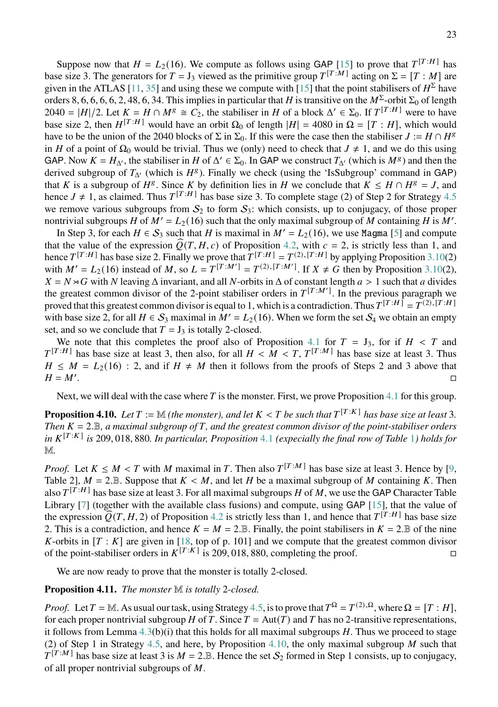Suppose now that  $H = L_2(16)$ . We compute as follows using GAP [\[15\]](#page-51-10) to prove that  $T^{[T:H]}$  has base size 3. The generators for  $T = J_3$  viewed as the primitive group  $T^{[T:M]}$  acting on  $\Sigma = [T : M]$  are given in the ATLAS [\[11,](#page-51-6) [35\]](#page-52-11) and using these we compute with [\[15\]](#page-51-10) that the point stabilisers of  $H^{\Sigma}$  have orders 8, 6, 6, 6, 6, 2, 48, 6, 34. This implies in particular that H is transitive on the  $M^{\Sigma}$ -orbit  $\Sigma_0$  of length 2040 =  $|H|/2$ . Let  $K = H \cap M^g \cong C_2$ , the stabiliser in H of a block  $\Delta' \in \Sigma_0$ . If  $T^{[T:H]}$  were to have base size 2, then  $H^{[T:H]}$  would have an orbit  $\Omega_0$  of length  $|H| = 4080$  in  $\Omega = [T:H]$ , which would have to be the union of the 2040 blocks of  $\Sigma$  in  $\Sigma_0$ . If this were the case then the stabiliser  $J := H \cap H^g$ in *H* of a point of  $\Omega_0$  would be trivial. Thus we (only) need to check that  $J \neq 1$ , and we do this using GAP. Now  $K = H_{\Delta'}$ , the stabiliser in H of  $\Delta' \in \Sigma_0$ . In GAP we construct  $T_{\Delta'}$  (which is  $M^g$ ) and then the derived subgroup of  $T_{\Delta}$  (which is  $H^g$ ). Finally we check (using the 'IsSubgroup' command in GAP) that K is a subgroup of  $H^g$ . Since K by definition lies in H we conclude that  $K \leq H \cap H^g = J$ , and hence  $J \neq 1$ , as claimed. Thus  $T^{[T:H]}$  has base size 3. To complete stage (2) of Step 2 for Strategy [4.5](#page-19-0) we remove various subgroups from  $S_2$  to form  $S_3$ : which consists, up to conjugacy, of those proper nontrivial subgroups H of  $M' = L_2(16)$  such that the only maximal subgroup of M containing H is M'.

In Step 3, for each  $H \in S_3$  such that H is maximal in  $M' = L_2(16)$ , we use Magma [\[5\]](#page-51-11) and compute that the value of the expression  $\widehat{Q}(T, H, c)$  of Proposition [4.2,](#page-18-0) with  $c = 2$ , is strictly less than 1, and hence  $T^{[T:H]}$  has base size 2. Finally we prove that  $T^{[T:H]} = T^{(2),[T:H]}$  by applying Proposition [3.10\(](#page-15-0)2) with  $M' = L_2(16)$  instead of M, so  $L = T^{[T:M']} = T^{(2),[T:M']}$ . If  $X \neq G$  then by Proposition [3.10\(](#page-15-0)2),  $X = N \rtimes G$  with N leaving  $\Delta$  invariant, and all N-orbits in  $\Delta$  of constant length  $a > 1$  such that a divides the greatest common divisor of the 2-point stabiliser orders in  $T^{[T:M']}$ . In the previous paragraph we proved that this greatest common divisor is equal to 1, which is a contradiction. Thus  $T^{[T:H]} = T^{(2),[T:H]}$ with base size 2, for all  $H \in S_3$  maximal in  $M' = L_2(16)$ . When we form the set  $S_4$  we obtain an empty set, and so we conclude that  $T = J_3$  is totally 2-closed.

We note that this completes the proof also of Proposition [4.1](#page-17-2) for  $T = J_3$ , for if  $H < T$  and  $T^{[T:H]}$  has base size at least 3, then also, for all  $H < M < T$ ,  $T^{[T:M]}$  has base size at least 3. Thus  $H \leq M = L_2(16)$ : 2, and if  $H \neq M$  then it follows from the proofs of Steps 2 and 3 above that  $H = M'.$ .<br>1980 - Paul Barbara, politikar eta aldera eta aldera eta aldera eta aldera eta aldera eta aldera eta aldera<br>1980 - Paul Barbara, profesiora eta aldera eta aldera eta aldera eta aldera eta aldera eta aldera eta aldera

Next, we will deal with the case where  $T$  is the monster. First, we prove Proposition [4.1](#page-17-2) for this group.

<span id="page-22-0"></span>**Proposition 4.10.** Let  $T := \mathbb{M}$  (the monster), and let  $K < T$  be such that  $T^{[T:K]}$  has base size at least 3. *Then*  $K = 2. \mathbb{B}$ , a maximal subgroup of  $T$ , and the greatest common divisor of the point-stabiliser orders *in*  $K^{[T:K]}$  *is* 209, 018, 880. In particular, Proposition [4](#page-17-2).[1](#page-17-1) (expecially the final row of Table 1) holds for M*.*

*Proof.* Let  $K \leq M < T$  with M maximal in T. Then also  $T^{[T:M]}$  has base size at least 3. Hence by [\[9,](#page-51-9) Table 2],  $M = 2 \text{.} \mathbb{B}$ . Suppose that  $K < M$ , and let H be a maximal subgroup of M containing K. Then also  $T^{[T:H]}$  has base size at least 3. For all maximal subgroups H of M, we use the GAP Character Table Library [\[7\]](#page-51-12) (together with the available class fusions) and compute, using GAP [\[15\]](#page-51-10), that the value of the expression  $\widehat{Q}(T, H, 2)$  of Proposition [4.2](#page-18-0) is strictly less than 1, and hence that  $T^{[T:H]}$  has base size 2. This is a contradiction, and hence  $K = M = 2.B$ . Finally, the point stabilisers in  $K = 2.B$  of the nine K-orbits in  $[T : K]$  are given in [\[18,](#page-52-12) top of p. 101] and we compute that the greatest common divisor of the point-stabiliser orders in  $K^{[T:K]}$  is 209, 018, 880, completing the proof.

We are now ready to prove that the monster is totally 2-closed.

# <span id="page-22-1"></span>**Proposition 4.11.** *The monster* M *is totally* 2*-closed.*

*Proof.* Let  $T = \mathbb{M}$ . As usual our task, using Strategy [4.5,](#page-19-0) is to prove that  $T^{\Omega} = T^{(2),\Omega}$ , where  $\Omega = [T : H]$ , for each proper nontrivial subgroup H of T. Since  $T = Aut(T)$  and T has no 2-transitive representations, it follows from Lemma  $4.3(b)(i)$  $4.3(b)(i)$  that this holds for all maximal subgroups H. Thus we proceed to stage (2) of Step 1 in Strategy [4.5,](#page-19-0) and here, by Proposition [4.10,](#page-22-0) the only maximal subgroup M such that  $T^{[T:M]}$  has base size at least 3 is  $M = 2$ . B. Hence the set  $S_2$  formed in Step 1 consists, up to conjugacy, of all proper nontrivial subgroups of  $M$ .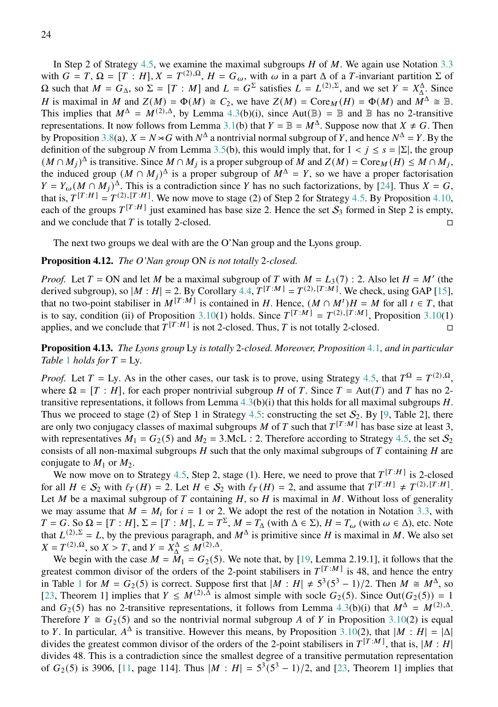In Step 2 of Strategy [4.5,](#page-19-0) we examine the maximal subgroups  $H$  of  $M$ . We again use Notation [3.3](#page-10-1) with  $G = T$ ,  $\Omega = [T : H]$ ,  $X = T^{(2), \Omega}$ ,  $H = G_{\omega}$ , with  $\omega$  in a part  $\Delta$  of a T-invariant partition  $\Sigma$  of  $\Omega$  such that  $M = G<sub>Δ</sub>$ , so  $\Sigma = [T : M]$  and  $L = G<sup>Σ</sup>$  satisfies  $L = L<sup>(2),Σ</sup>$ , and we set  $Y = X<sub>Δ</sub><sup>Δ</sup>$ . Since *A* is maximal in *M* and  $Z(M) = \Phi(M) \cong C_2$ , we have  $Z(M) = \text{Core}_M(H) = \Phi(M)$  and  $M^{\Delta} \cong \mathbb{B}$ . This implies that  $M^{\Delta} = M^{(2), \Delta}$ , by Lemma [4.3\(](#page-18-1)b)(i), since Aut( $\mathbb{B}$ ) =  $\mathbb{B}$  and  $\mathbb{B}$  has no 2-transitive representations. It now follows from Lemma [3.1\(](#page-10-0)b) that  $Y = \mathbb{B} = M^{\Delta}$ . Suppose now that  $X \neq G$ . Then by Proposition [3.8\(](#page-14-0)a),  $X = N \times G$  with  $N^{\Delta}$  a nontrivial normal subgroup of Y, and hence  $N^{\Delta} = Y$ . By the definition of the subgroup N from Lemma [3.5\(](#page-12-0)b), this would imply that, for  $1 < j \le s = |\Sigma|$ , the group  $(M \cap M_j)^{\Delta}$  is transitive. Since  $M \cap M_j$  is a proper subgroup of M and  $Z(M) = \text{Core}_M(H) \le M \cap M_j$ , the induced group  $(M \cap M_j)^{\Delta}$  is a proper subgroup of  $M^{\Delta} = Y$ , so we have a proper factorisation  $Y = Y_{\omega} (M \cap M_j)^{\Delta}$ . This is a contradiction since Y has no such factorizations, by [\[24\]](#page-52-2). Thus  $X = G$ , that is,  $T^{[T:H]} = T^{(2), [T:H]}$ . We now move to stage (2) of Step 2 for Strategy [4.5.](#page-19-0) By Proposition [4.10,](#page-22-0) each of the groups  $T^{[T:H]}$  just examined has base size 2. Hence the set  $S_3$  formed in Step 2 is empty, and we conclude that  $T$  is totally 2-closed.

The next two groups we deal with are the O'Nan group and the Lyons group.

#### <span id="page-23-1"></span>**Proposition 4.12.** *The O'Nan group* ON *is not totally* 2*-closed.*

*Proof.* Let  $T = ON$  and let M be a maximal subgroup of T with  $M = L_3(7)$ : 2. Also let  $H = M'$  (the derived subgroup), so  $|M : H| = 2$ . By Corollary [4.4,](#page-19-1)  $T^{[T:M]} = T^{(2),[T:M]}$ . We check, using GAP [\[15\]](#page-51-10), that no two-point stabiliser in  $M^{[T:M]}$  is contained in H. Hence,  $(M \cap M^t)H = M$  for all  $t \in T$ , that is to say, condition (ii) of Proposition [3.10\(](#page-15-0)1) holds. Since  $T^{[T:M]} = T^{(2),[T:M]}$ , Proposition 3.10(1) applies, and we conclude that  $T^{[T:H]}$  is not 2-closed. Thus, T is not totally 2-closed.

<span id="page-23-0"></span>**Proposition 4.13.** *The Lyons group* Ly *is totally* 2*-closed. Moreover, Proposition* [4](#page-17-2).1*, and in particular Table* [1](#page-17-1) *holds for*  $T = Ly$ .

*Proof.* Let  $T = Ly$ . As in the other cases, our task is to prove, using Strategy [4.5,](#page-19-0) that  $T^{\Omega} = T^{(2),\Omega}$ , where  $\Omega = [T : H]$ , for each proper nontrivial subgroup H of T. Since  $T = Aut(T)$  and T has no 2transitive representations, it follows from Lemma  $4.3(b)(i)$  $4.3(b)(i)$  that this holds for all maximal subgroups H. Thus we proceed to stage (2) of Step 1 in Strategy [4.5:](#page-19-0) constructing the set  $S_2$ . By [\[9,](#page-51-9) Table 2], there are only two conjugacy classes of maximal subgroups M of T such that  $T^{[T:M]}$  has base size at least 3, with representatives  $M_1 = G_2(5)$  and  $M_2 = 3$ .McL : 2. Therefore according to Strategy [4.5,](#page-19-0) the set  $S_2$ consists of all non-maximal subgroups  $H$  such that the only maximal subgroups of  $T$  containing  $H$  are conjugate to  $M_1$  or  $M_2$ .

We now move on to Strategy [4.5,](#page-19-0) Step 2, stage (1). Here, we need to prove that  $T^{[T:H]}$  is 2-closed for all  $H \in S_2$  with  $\ell_T(H) = 2$ . Let  $H \in S_2$  with  $\ell_T(H) = 2$ , and assume that  $T^{[T:H]} \neq T^{(2),[T:H]}$ . Let M be a maximal subgroup of T containing  $H$ , so  $H$  is maximal in  $M$ . Without loss of generality we may assume that  $M = M_i$  for  $i = 1$  or 2. We adopt the rest of the notation in Notation [3.3,](#page-10-1) with  $T = G$ . So  $\Omega = [T : H]$ ,  $\Sigma = [T : M]$ ,  $L = T^{\Sigma}$ ,  $M = T_{\Delta}$  (with  $\Delta \in \Sigma$ ),  $H = T_{\omega}$  (with  $\omega \in \Delta$ ), etc. Note that  $L^{(2),\Sigma} = L$ , by the previous paragraph, and  $M^{\Delta}$  is primitive since H is maximal in M. We also set  $X = T^{(2), \Omega}$ , so  $X > T$ , and  $Y = X^{\Delta} \le M^{(2), \Delta}$ .

We begin with the case  $M = M_1 = G_2(5)$ . We note that, by [\[19,](#page-52-10) Lemma 2.19.1], it follows that the greatest common divisor of the orders of the 2-point stabilisers in  $T^{[T:M]}$  is 48, and hence the entry in Table [1](#page-17-1) for  $M = G_2(5)$  is correct. Suppose first that  $|M : H| \neq 5^3(5^3 - 1)/2$ . Then  $M \cong M^{\Delta}$ , so [\[23,](#page-52-3) Theorem 1] implies that  $Y \n\t\leq M^{(2),\overline{\Delta}}$  is almost simple with socle  $G_2(5)$ . Since Out $(G_2(5)) = 1$ and  $G_2(5)$  has no 2-transitive representations, it follows from Lemma [4.3\(](#page-18-1)b)(i) that  $M^{\Delta} = M^{(2),\Delta}$ . Therefore  $Y \cong G_2(5)$  and so the nontrivial normal subgroup A of Y in Proposition [3.10\(](#page-15-0)2) is equal to Y. In particular,  $A^{\Delta}$  is transitive. However this means, by Proposition [3.10\(](#page-15-0)2), that  $|M : H| = |\Delta|$ divides the greatest common divisor of the orders of the 2-point stabilisers in  $T^{[T:M]}$ , that is,  $|M:H|$ divides 48. This is a contradiction since the smallest degree of a transitive permutation representation of  $G_2(5)$  is 3906, [\[11,](#page-51-6) page 114]. Thus  $|M : H| = 5^3(5^3 - 1)/2$ , and [\[23,](#page-52-3) Theorem 1] implies that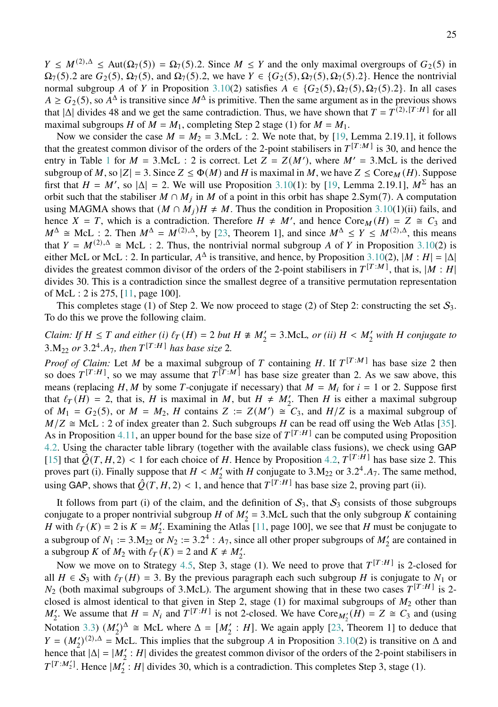$Y \leq M^{(2),\Delta} \leq \text{Aut}(\Omega_7(5)) = \Omega_7(5)$ .2. Since  $M \leq Y$  and the only maximal overgroups of  $G_2(5)$  in  $\Omega_7(5)$ .2 are  $G_2(5)$ ,  $\Omega_7(5)$ , and  $\Omega_7(5)$ .2, we have  $Y \in \{G_2(5), \Omega_7(5), \Omega_7(5)$ .2}. Hence the nontrivial normal subgroup A of Y in Proposition [3.10\(](#page-15-0)2) satisfies  $A \in \{G_2(5), \Omega_7(5), \Omega_7(5), 2\}$ . In all cases  $A \ge G_2(5)$ , so  $A^{\Delta}$  is transitive since  $M^{\Delta}$  is primitive. Then the same argument as in the previous shows that  $|\Delta|$  divides 48 and we get the same contradiction. Thus, we have shown that  $T = T^{(2),[T:H]}$  for all maximal subgroups H of  $M = M_1$ , completing Step 2 stage (1) for  $M = M_1$ .

Now we consider the case  $M = M_2 = 3$ . McL : 2. We note that, by [\[19,](#page-52-10) Lemma 2.19.1], it follows that the greatest common divisor of the orders of the 2-point stabilisers in  $T^{[T:M]}$  is 30, and hence the entry in Table [1](#page-17-1) for  $M = 3$ .McL : 2 is correct. Let  $Z = Z(M')$ , where  $M' = 3$ .McL is the derived subgroup of M, so  $|Z| = 3$ . Since  $Z \le \Phi(M)$  and H is maximal in M, we have  $Z \le \text{Core}_M(H)$ . Suppose first that  $H = M'$ , so  $|\Delta| = 2$ . We will use Proposition [3.10\(](#page-15-0)1): by [\[19,](#page-52-10) Lemma 2.19.1],  $M^{\Sigma}$  has an orbit such that the stabiliser  $M \cap M_j$  in M of a point in this orbit has shape 2.Sym(7). A computation using MAGMA shows that  $(M \cap M_i)H \neq M$ . Thus the condition in Proposition [3.10\(](#page-15-0)1)(ii) fails, and hence  $X = T$ , which is a contradiction. Therefore  $H \neq M'$ , and hence  $Cone_M(H) = Z \cong C_3$  and  $M^{\Delta} \cong \text{McL}: 2$ . Then  $M^{\Delta} = M^{(2), \Delta}$ , by [\[23,](#page-52-3) Theorem 1], and since  $M^{\Delta} \le Y \le M^{(2), \Delta}$ , this means that  $Y = M^{(2),\Delta} \cong \text{McL}$  : 2. Thus, the nontrivial normal subgroup A of Y in Proposition [3.10\(](#page-15-0)2) is either McL or McL : 2. In particular,  $A^{\Delta}$  is transitive, and hence, by Proposition [3.10\(](#page-15-0)2),  $|M : H| = |\Delta|$ divides the greatest common divisor of the orders of the 2-point stabilisers in  $T^{[T:M]}$ , that is,  $|M:H|$ divides 30. This is a contradiction since the smallest degree of a transitive permutation representation of McL : 2 is 275, [\[11,](#page-51-6) page 100].

This completes stage (1) of Step 2. We now proceed to stage (2) of Step 2: constructing the set  $S_3$ . To do this we prove the following claim.

*Claim: If*  $H \leq T$  and either (i)  $\ell_T(H) = 2$  *but*  $H \not\cong M'_2 = 3$ . McL, or (ii)  $H < M'_2$  with H conjugate to  $3.M_{22}$  or  $3.2^4.A_7$ , then  $T^{[T:H]}$  has base size 2.

*Proof of Claim:* Let M be a maximal subgroup of T containing H. If  $T^{[T:M]}$  has base size 2 then so does  $T^{[T:H]}$ , so we may assume that  $T^{[T:M]}$  has base size greater than 2. As we saw above, this means (replacing H, M by some T-conjugate if necessary) that  $M = M_i$  for  $i = 1$  or 2. Suppose first that  $\ell_T(H) = 2$ , that is, H is maximal in M, but  $H \neq M'_2$ . Then H is either a maximal subgroup of  $M_1 = G_2(5)$ , or  $M = M_2$ , H contains  $Z := Z(M') \cong C_3$ , and  $H/Z$  is a maximal subgroup of  $M/Z \cong \text{McL}: 2 \text{ of index greater than 2. Such subgroups } H \text{ can be read off using the Web Atlas [35].}$  $M/Z \cong \text{McL}: 2 \text{ of index greater than 2. Such subgroups } H \text{ can be read off using the Web Atlas [35].}$  $M/Z \cong \text{McL}: 2 \text{ of index greater than 2. Such subgroups } H \text{ can be read off using the Web Atlas [35].}$ As in Proposition [4.11,](#page-22-1) an upper bound for the base size of  $T^{[T:H]}$  can be computed using Proposition [4.2.](#page-18-0) Using the character table library (together with the available class fusions), we check using GAP [\[15\]](#page-51-10) that  $\tilde{Q}(T, H, 2)$  < 1 for each choice of H. Hence by Proposition [4.2,](#page-18-0)  $T^{[T:H]}$  has base size 2. This proves part (i). Finally suppose that  $H < M'_2$  with H conjugate to 3.M<sub>22</sub> or 3.2<sup>4</sup>.A<sub>7</sub>. The same method, using GAP, shows that  $\hat{Q}(T, H, 2) < 1$ , and hence that  $T^{[T:H]}$  has base size 2, proving part (ii).

It follows from part (i) of the claim, and the definition of  $S_3$ , that  $S_3$  consists of those subgroups conjugate to a proper nontrivial subgroup H of  $M'_2 = 3$ . McL such that the only subgroup K containing *H* with  $\ell_T(K) = 2$  is  $K = M'_2$ . Examining the Atlas [\[11,](#page-51-6) page 100], we see that *H* must be conjugate to a subgroup of  $N_1 := 3.M_{22}$  or  $N_2 := 3.2^4 : A_7$ , since all other proper subgroups of  $M'_2$  are contained in a subgroup K of  $M_2$  with  $\ell_T(K) = 2$  and  $K \neq M'_2$ .

Now we move on to Strategy [4.5,](#page-19-0) Step 3, stage (1). We need to prove that  $T^{[T:H]}$  is 2-closed for all  $H \in S_3$  with  $\ell_T(H) = 3$ . By the previous paragraph each such subgroup H is conjugate to  $N_1$  or  $N_2$  (both maximal subgroups of 3.McL). The argument showing that in these two cases  $T^{[T:H]}$  is 2closed is almost identical to that given in Step 2, stage (1) for maximal subgroups of  $M_2$  other than  $M'_2$ . We assume that  $H = N_i$  and  $T^{[T:H]}$  is not 2-closed. We have  $Core_{M'_2}(H) = Z \cong C_3$  and (using Notation [3.3\)](#page-10-1)  $(M'_2)^{\Delta} \cong$  McL where  $\Delta = [M'_2 : H]$ . We again apply [\[23,](#page-52-3) Theorem 1] to deduce that  $Y = (M_2')^{(2),\Delta} = \text{McL}$ . This implies that the subgroup A in Proposition [3.10\(](#page-15-0)2) is transitive on  $\Delta$  and hence that  $|\Delta| = |M'_2 : H|$  divides the greatest common divisor of the orders of the 2-point stabilisers in  $T^{[T:M_2']}$ . Hence  $|M_2^{\prime}: H|$  divides 30, which is a contradiction. This completes Step 3, stage (1).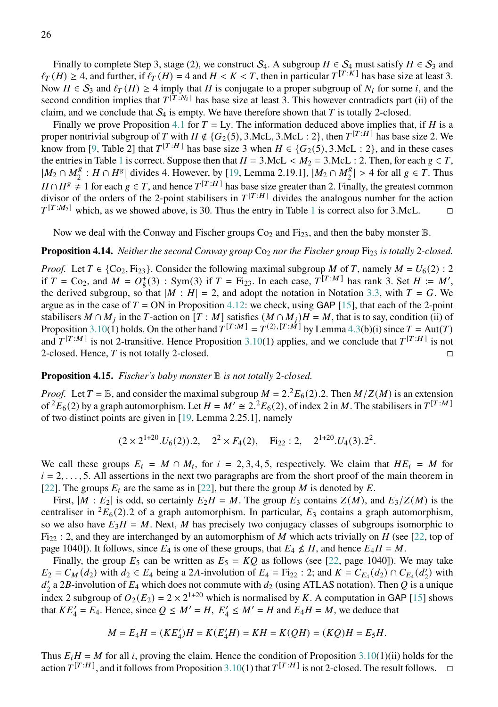Finally to complete Step 3, stage (2), we construct  $S_4$ . A subgroup  $H \in S_4$  must satisfy  $H \in S_3$  and  $\ell_T(H) \geq 4$ , and further, if  $\ell_T(H) = 4$  and  $H < K < T$ , then in particular  $T^{[T:K]}$  has base size at least 3. Now  $H \in S_3$  and  $\ell_T(H) \geq 4$  imply that H is conjugate to a proper subgroup of N<sub>i</sub> for some i, and the second condition implies that  $T^{[T:N_i]}$  has base size at least 3. This however contradicts part (ii) of the claim, and we conclude that  $S_4$  is empty. We have therefore shown that T is totally 2-closed.

Finally we prove Proposition [4.1](#page-17-2) for  $T = Ly$ . The information deduced above implies that, if H is a proper nontrivial subgroup of T with  $H \notin \{G_2(5), 3.\text{McL}, 3.\text{McL} : 2\}$ , then  $T^{[T:H]}$  has base size 2. We know from [\[9,](#page-51-9) Table 2] that  $T^{[T:H]}$  has base size 3 when  $H \in \{G_2(5), 3.McL : 2\}$ , and in these cases the entries in Table [1](#page-17-1) is correct. Suppose then that  $H = 3$ .McL  $\lt M_2 = 3$ .McL : 2. Then, for each  $g \in T$ ,  $|M_2 \cap M_2^g$  $\frac{1}{2}$ :  $H \cap H^g$  divides 4. However, by [\[19,](#page-52-10) Lemma 2.19.1],  $M_2 \cap M_2^g$  $\binom{g}{2}$  > 4 for all  $g \in T$ . Thus  $H \cap H^g \neq 1$  for each  $g \in T$ , and hence  $T^{[T:H]}$  has base size greater than 2. Finally, the greatest common divisor of the orders of the 2-point stabilisers in  $T^{[T:H]}$  divides the analogous number for the action  $T^{[T:M_2]}$  which, as we showed above, is 30. Thus the entry in Table [1](#page-17-1) is correct also for 3.McL.  $\Box$ 

Now we deal with the Conway and Fischer groups  $Co_2$  and  $Fi_{23}$ , and then the baby monster  $\mathbb{B}$ .

# **Proposition 4.14.** *Neither the second Conway group* Co<sub>2</sub> *nor the Fischer group* Fi<sub>23</sub> *is totally* 2-closed.

*Proof.* Let  $T \in \{ \text{Co}_2, \text{Fi}_{23} \}$ . Consider the following maximal subgroup M of T, namely  $M = U_6(2)$ : 2 if  $T = \text{Co}_2$ , and  $M = O_8^+(3)$ : Sym(3) if  $T = \text{Fi}_{23}$ . In each case,  $T^{[T:M]}$  has rank 3. Set  $H := M'$ , the derived subgroup, so that  $|M : H| = 2$ , and adopt the notation in Notation [3.3,](#page-10-1) with  $T = G$ . We argue as in the case of  $T = ON$  in Proposition [4.12:](#page-23-1) we check, using GAP [\[15\]](#page-51-10), that each of the 2-point stabilisers  $M \cap M_j$  in the T-action on  $[T : M]$  satisfies  $(M \cap M_j)H = M$ , that is to say, condition (ii) of Proposition [3.10\(](#page-15-0)1) holds. On the other hand  $T^{[T:M]} = T^{(2),[T:M]}$  by Lemma [4.3\(](#page-18-1)b)(i) since  $T = Aut(T)$ and  $T^{[T:M]}$  is not 2-transitive. Hence Proposition [3.10\(](#page-15-0)1) applies, and we conclude that  $T^{[T:H]}$  is not 2-closed. Hence, T is not totally 2-closed.

# **Proposition 4.15.** *Fischer's baby monster* B *is not totally* 2*-closed.*

*Proof.* Let  $T = \mathbb{B}$ , and consider the maximal subgroup  $M = 2 \cdot 2E_6(2)$ . Then  $M/Z(M)$  is an extension of  ${}^2E_6(2)$  by a graph automorphism. Let  $H = M' \cong 2.2 E_6(2)$ , of index 2 in M. The stabilisers in  $T^{[T:M]}$ of two distinct points are given in [\[19,](#page-52-10) Lemma 2.25.1], namely

$$
(2 \times 2^{1+20} \cdot U_6(2)).2
$$
,  $2^2 \times F_4(2)$ ,  $Fi_{22}:2$ ,  $2^{1+20} \cdot U_4(3).2^2$ .

We call these groups  $E_i = M \cap M_i$ , for  $i = 2, 3, 4, 5$ , respectively. We claim that  $HE_i = M$  for  $i = 2, \ldots, 5$ . All assertions in the next two paragraphs are from the short proof of the main theorem in [\[22\]](#page-52-13). The groups  $E_i$  are the same as in [22], but there the group M is denoted by E.

First,  $|M : E_2|$  is odd, so certainly  $E_2H = M$ . The group  $E_3$  contains  $Z(M)$ , and  $E_3/Z(M)$  is the centraliser in <sup>2</sup> $E_6(2)$ .2 of a graph automorphism. In particular,  $E_3$  contains a graph automorphism, so we also have  $E_3 H = M$ . Next, M has precisely two conjugacy classes of subgroups isomorphic to Fi<sub>22</sub> : 2, and they are interchanged by an automorphism of M which acts trivially on H (see [\[22,](#page-52-13) top of page 1040]). It follows, since  $E_4$  is one of these groups, that  $E_4 \nleq H$ , and hence  $E_4 H = M$ .

Finally, the group  $E_5$  can be written as  $E_5 = KQ$  as follows (see [\[22,](#page-52-13) page 1040]). We may take  $E_2 = C_M(d_2)$  with  $d_2 \in E_4$  being a 2A-involution of  $E_4 = F_{122}$ : 2; and  $K = C_{E_4}(d_2) \cap C_{E_4}(d'_2)$  with  $d'_2$  a 2B-involution of  $E_4$  which does not commute with  $d_2$  (using ATLAS notation). Then Q is a unique index 2 subgroup of  $O_2(E_2) = 2 \times 2^{1+20}$  which is normalised by K. A computation in GAP [\[15\]](#page-51-10) shows that  $KE'_4 = E_4$ . Hence, since  $Q \leq M' = H$ ,  $E'_4 \leq M' = H$  and  $E_4H = M$ , we deduce that

$$
M = E_4 H = (KE_4')H = K(E_4'H) = KH = K(QH) = (KQ)H = E_5H.
$$

Thus  $E_i H = M$  for all *i*, proving the claim. Hence the condition of Proposition [3.10\(](#page-15-0)1)(ii) holds for the action  $T^{[T:H]}$ , and it follows from Proposition [3.10\(](#page-15-0)1) that  $T^{[T:H]}$  is not 2-closed. The result follows.  $\Box$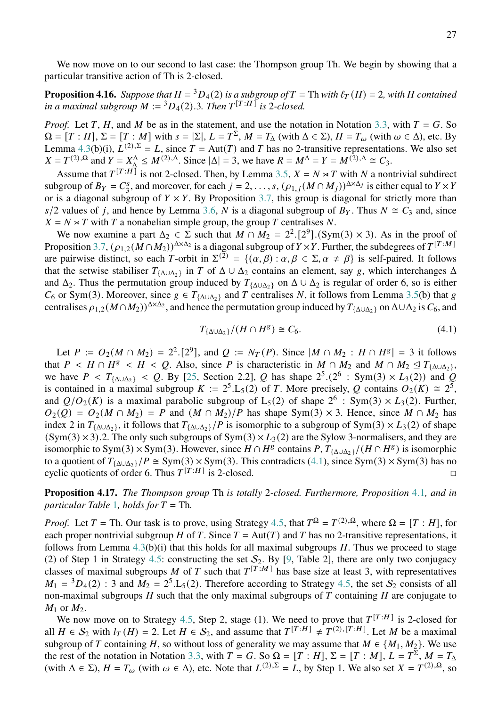We now move on to our second to last case: the Thompson group Th. We begin by showing that a particular transitive action of Th is 2-closed.

<span id="page-26-0"></span>**Proposition 4.16.** *Suppose that*  $H = {}^3D_4(2)$  *is a subgroup of*  $T = Th$  *with*  $\ell_T(H) = 2$ *, with*  $H$  *contained in a maximal subgroup*  $M := {}^{3}D_{4}(2).3$ *. Then*  $T^{[T:H]}$  *is* 2*-closed.* 

*Proof.* Let T, H, and M be as in the statement, and use the notation in Notation [3.3,](#page-10-1) with  $T = G$ . So  $\Omega = [T : H], \Sigma = [T : M]$  with  $s = |\Sigma|, L = T^{\Sigma}, M = T_{\Delta}$  (with  $\Delta \in \Sigma$ ),  $H = T_{\omega}$  (with  $\omega \in \Delta$ ), etc. By Lemma [4.3\(](#page-18-1)b)(i),  $L^{(2),\Sigma} = L$ , since  $T = Aut(T)$  and T has no 2-transitive representations. We also set  $X = T^{(2),\Omega}$  and  $Y = X^{\Delta}_{\Delta} \leq M^{(2),\Delta}$ . Since  $|\Delta| = 3$ , we have  $R = M^{\Delta} = Y = M^{(2),\Delta} \cong C_3$ .

Assume that  $T^{[T:H]}$  is not 2-closed. Then, by Lemma [3.5,](#page-12-0)  $X = N \rtimes T$  with N a nontrivial subdirect subgroup of  $B_Y = C_3^s$ <sup>s</sup>, and moreover, for each  $j = 2, ..., s$ ,  $(\rho_{1,j}(M \cap M_j))^{\Delta \times \Delta_j}$  is either equal to  $Y \times Y$ or is a diagonal subgroup of  $Y \times Y$ . By Proposition [3.7,](#page-13-1) this group is diagonal for strictly more than  $s/2$  values of j, and hence by Lemma [3.6,](#page-13-0) N is a diagonal subgroup of  $B<sub>Y</sub>$ . Thus  $N \cong C<sub>3</sub>$  and, since  $X = N \rtimes T$  with T a nonabelian simple group, the group T centralises N.

We now examine a part  $\Delta_2 \in \Sigma$  such that  $M \cap M_2 = 2^2 \cdot [2^9] \cdot (\text{Sym}(3) \times 3)$ . As in the proof of Proposition [3.7,](#page-13-1)  $(\rho_{1,2}(\tilde{M}\cap M_2))^{\Delta\times \Delta_2}$  is a diagonal subgroup of  $Y\times Y$ . Further, the subdegrees of  $T^{[T:M]}$ are pairwise distinct, so each T-orbit in  $\Sigma^{(2)} = \{(\alpha, \beta) : \alpha, \beta \in \Sigma, \alpha \neq \beta\}$  is self-paired. It follows that the setwise stabiliser  $T_{\{\Delta \cup \Delta_2\}}$  in T of  $\Delta \cup \Delta_2$  contains an element, say g, which interchanges  $\Delta$ and  $\Delta_2$ . Thus the permutation group induced by  $T_{\{\Delta \cup \Delta_2\}}$  on  $\Delta \cup \Delta_2$  is regular of order 6, so is either  $C_6$  or Sym(3). Moreover, since  $g \in T_{\{\Delta \cup \Delta\}}$  and T centralises N, it follows from Lemma [3.5\(](#page-12-0)b) that g centralises  $\rho_{1,2}(M \cap M_2)^{\Delta \times \Delta_2}$ , and hence the permutation group induced by  $T_{\{\Delta \cup \Delta_2\}}$  on  $\Delta \cup \Delta_2$  is  $C_6$ , and

<span id="page-26-2"></span>
$$
T_{\{\Delta \cup \Delta_2\}}/(H \cap H^g) \cong C_6. \tag{4.1}
$$

Let  $P := O_2(M \cap M_2) = 2^2 \cdot [2^9]$ , and  $Q := N_T(P)$ . Since  $|M \cap M_2 : H \cap H^8| = 3$  it follows that  $P \lt H \cap H^g \lt H \lt Q$ . Also, since P is characteristic in  $M \cap M_2$  and  $M \cap M_2 \leq T_{\{\Delta \cup \Delta_2\}}$ , we have  $P < T_{\{\Delta \cup \Delta_2\}} < Q$ . By [\[25,](#page-52-14) Section 2.2], Q has shape  $2^5 \cdot (2^6 : \text{Sym}(3) \times L_3(2))$  and Q is contained in a maximal subgroup  $K := 2^5 \text{L}_5(2)$  of T. More precisely, Q contains  $O_2(K) \cong 2^5$ , and  $Q/O_2(K)$  is a maximal parabolic subgroup of L<sub>5</sub>(2) of shape  $2^6$  : Sym(3)  $\times L_3(2)$ . Further,  $Q_2(Q) = Q_2(M \cap M_2) = P$  and  $(M \cap M_2)/P$  has shape Sym(3) × 3. Hence, since  $M \cap M_2$  has index 2 in  $T_{\{\Delta \cup \Delta_2\}}$ , it follows that  $T_{\{\Delta \cup \Delta_2\}}/P$  is isomorphic to a subgroup of Sym(3) × L<sub>3</sub>(2) of shape  $(Sym(3) \times 3)$ .2. The only such subgroups of  $Sym(3) \times L_3(2)$  are the Sylow 3-normalisers, and they are isomorphic to Sym(3)  $\times$  Sym(3). However, since  $H \cap H^g$  contains  $P, T_{\{\Delta \cup \Delta_2\}}/(H \cap H^g)$  is isomorphic to a quotient of  $T_{\{\Delta \cup \Delta_2\}}/P \cong \text{Sym}(3) \times \text{Sym}(3)$ . This contradicts [\(4.1\)](#page-26-2), since  $\text{Sym}(3) \times \text{Sym}(3)$  has no cyclic quotients of order 6. Thus  $T^{[T:H]}$  is 2-closed.

<span id="page-26-1"></span>**Proposition 4.17.** *The Thompson group* Th *is totally* 2*-closed. Furthermore, Proposition* [4](#page-17-2).1*, and in particular Table* [1](#page-17-1)*, holds for*  $T = Th$ .

*Proof.* Let  $T = \text{Th}$ . Our task is to prove, using Strategy [4.5,](#page-19-0) that  $T^{\Omega} = T^{(2),\Omega}$ , where  $\Omega = [T : H]$ , for each proper nontrivial subgroup H of T. Since  $T = Aut(T)$  and T has no 2-transitive representations, it follows from Lemma  $4.3(b)(i)$  $4.3(b)(i)$  that this holds for all maximal subgroups  $H$ . Thus we proceed to stage (2) of Step 1 in Strategy [4.5:](#page-19-0) constructing the set  $S_2$ . By [\[9,](#page-51-9) Table 2], there are only two conjugacy classes of maximal subgroups M of T such that  $T^{[T:M]}$  has base size at least 3, with representatives  $M_1 = {}^3D_4(2)$ : 3 and  $M_2 = 2^5$ . L<sub>5</sub>(2). Therefore according to Strategy [4.5,](#page-19-0) the set  $S_2$  consists of all non-maximal subgroups  $H$  such that the only maximal subgroups of  $T$  containing  $H$  are conjugate to  $M_1$  or  $M_2$ .

We now move on to Strategy [4.5,](#page-19-0) Step 2, stage (1). We need to prove that  $T^{[T:H]}$  is 2-closed for all  $H \in S_2$  with  $I_T(H) = 2$ . Let  $H \in S_2$ , and assume that  $T^{[T:H]} \neq T^{(2),[T:H]}$ . Let M be a maximal subgroup of T containing H, so without loss of generality we may assume that  $M \in \{M_1, M_2\}$ . We use the rest of the notation in Notation [3.3,](#page-10-1) with  $T = G$ . So  $\Omega = [T : H]$ ,  $\Sigma = [T : M]$ ,  $L = T^{\Sigma}$ ,  $M = T_{\Delta}$ (with  $\Delta \in \Sigma$ ),  $H = T_{\omega}$  (with  $\omega \in \Delta$ ), etc. Note that  $L^{(2),\Sigma} = L$ , by Step 1. We also set  $X = T^{(2),\Omega}$ , so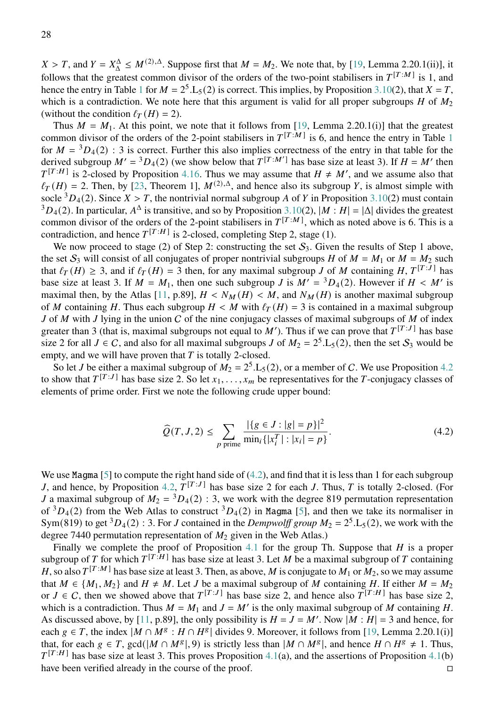$X > T$ , and  $Y = X^{\Delta} \leq M^{(2),\Delta}$ . Suppose first that  $M = M_2$ . We note that, by [\[19,](#page-52-10) Lemma 2.20.1(ii)], it follows that the greatest common divisor of the orders of the two-point stabilisers in  $T^{[T:M]}$  is 1, and hence the entry in Table [1](#page-17-1) for  $M = 2^5$ . L<sub>5</sub>(2) is correct. This implies, by Proposition [3.10\(](#page-15-0)2), that  $X = T$ , which is a contradiction. We note here that this argument is valid for all proper subgroups  $H$  of  $M_2$ (without the condition  $\ell_T(H) = 2$ ).

Thus  $M = M_1$ . At this point, we note that it follows from [\[19,](#page-52-10) Lemma 2.20.1(i)] that the greatest common divisor of the orders of the 2-point stabilisers in  $T^{[T:M]}$  is 6, and hence the entry in Table [1](#page-17-1) for  $M = {}^{3}D_{4}(2)$ : 3 is correct. Further this also implies correctness of the entry in that table for the derived subgroup  $M' = {}^3D_4(2)$  (we show below that  $T^{[T:M']}$  has base size at least 3). If  $H = M'$  then  $T^{[T:H]}$  is 2-closed by Proposition [4.16.](#page-26-0) Thus we may assume that  $H \neq M'$ , and we assume also that  $\ell_T(H) = 2$ . Then, by [\[23,](#page-52-3) Theorem 1],  $M^{(2),\Delta}$ , and hence also its subgroup Y, is almost simple with socle  ${}^{3}D_{4}(2)$ . Since  $X > T$ , the nontrivial normal subgroup A of Y in Proposition [3.10\(](#page-15-0)2) must contain  ${}^3D_4(2)$ . In particular,  $A^{\Delta}$  is transitive, and so by Proposition [3.10\(](#page-15-0)2),  $|M : H| = |\Delta|$  divides the greatest common divisor of the orders of the 2-point stabilisers in  $T^{[T:M]}$ , which as noted above is 6. This is a contradiction, and hence  $T^{[T:H]}$  is 2-closed, completing Step 2, stage (1).

We now proceed to stage (2) of Step 2: constructing the set  $S_3$ . Given the results of Step 1 above, the set  $S_3$  will consist of all conjugates of proper nontrivial subgroups H of  $M = M_1$  or  $M = M_2$  such that  $\ell_T(H) \geq 3$ , and if  $\ell_T(H) = 3$  then, for any maximal subgroup J of M containing H,  $T^{[T:J]}$  has base size at least 3. If  $M = M_1$ , then one such subgroup J is  $M' = {}^3D_4(2)$ . However if  $H \lt M'$  is maximal then, by the Atlas [\[11,](#page-51-6) p.89],  $H < N_M(H) < M$ , and  $N_M(H)$  is another maximal subgroup of M containing H. Thus each subgroup  $H < M$  with  $\ell_T(H) = 3$  is contained in a maximal subgroup  $J$  of  $M$  with  $J$  lying in the union  $C$  of the nine conjugacy classes of maximal subgroups of  $M$  of index greater than 3 (that is, maximal subgroups not equal to  $M'$ ). Thus if we can prove that  $T^{[T:J]}$  has base size 2 for all  $J \in C$ , and also for all maximal subgroups J of  $M_2 = 2^5 \text{L}_5(2)$ , then the set  $S_3$  would be empty, and we will have proven that  $T$  is totally 2-closed.

So let *J* be either a maximal subgroup of  $M_2 = 2^5$ . L<sub>5</sub>(2), or a member of *C*. We use Proposition [4.2](#page-18-0) to show that  $T^{[T:J]}$  has base size 2. So let  $x_1, \ldots, x_m$  be representatives for the T-conjugacy classes of elements of prime order. First we note the following crude upper bound:

<span id="page-27-0"></span>
$$
\widehat{Q}(T, J, 2) \le \sum_{p \text{ prime}} \frac{|\{g \in J : |g| = p\}|^2}{\min_i \{|x_i^T| : |x_i| = p\}}.
$$
\n(4.2)

We use Magma [\[5\]](#page-51-11) to compute the right hand side of [\(4.2\)](#page-27-0), and find that it is less than 1 for each subgroup J, and hence, by Proposition [4.2,](#page-18-0)  $T^{[T:J]}$  has base size 2 for each J. Thus, T is totally 2-closed. (For *J* a maximal subgroup of  $M_2 = {}^3D_4(2)$  : 3, we work with the degree 819 permutation representation of  ${}^{3}D_{4}(2)$  from the Web Atlas to construct  ${}^{3}D_{4}(2)$  in Magma [\[5\]](#page-51-11), and then we take its normaliser in Sym(819) to get <sup>3</sup> $D_4(2)$ : 3. For *J* contained in the *Dempwolff group*  $M_2 = 2^5$ . L<sub>5</sub>(2), we work with the degree 7440 permutation representation of  $M_2$  given in the Web Atlas.)

Finally we complete the proof of Proposition [4.1](#page-17-2) for the group Th. Suppose that  $H$  is a proper subgroup of T for which  $T^{[T:H]}$  has base size at least 3. Let M be a maximal subgroup of T containing H, so also  $T^{[T:M]}$  has base size at least 3. Then, as above, M is conjugate to  $M_1$  or  $M_2$ , so we may assume that  $M \in \{M_1, M_2\}$  and  $H \neq M$ . Let J be a maximal subgroup of M containing H. If either  $M = M_2$ or  $J \in C$ , then we showed above that  $T^{[T:J]}$  has base size 2, and hence also  $T^{[T:H]}$  has base size 2, which is a contradiction. Thus  $M = M_1$  and  $J = M'$  is the only maximal subgroup of M containing H. As discussed above, by [\[11,](#page-51-6) p.89], the only possibility is  $H = J = M'$ . Now  $|M : H| = 3$  and hence, for each  $g \in T$ , the index  $|M \cap M^g : H \cap H^g|$  divides 9. Moreover, it follows from [\[19,](#page-52-10) Lemma 2.20.1(i)] that, for each  $g \in T$ ,  $gcd(|M \cap M^g|, 9)$  is strictly less than  $|M \cap M^g|$ , and hence  $H \cap H^g \neq 1$ . Thus,  $T^{[T:H]}$  has base size at least 3. This proves Proposition [4.1\(](#page-17-2)a), and the assertions of Proposition 4.1(b) have been verified already in the course of the proof.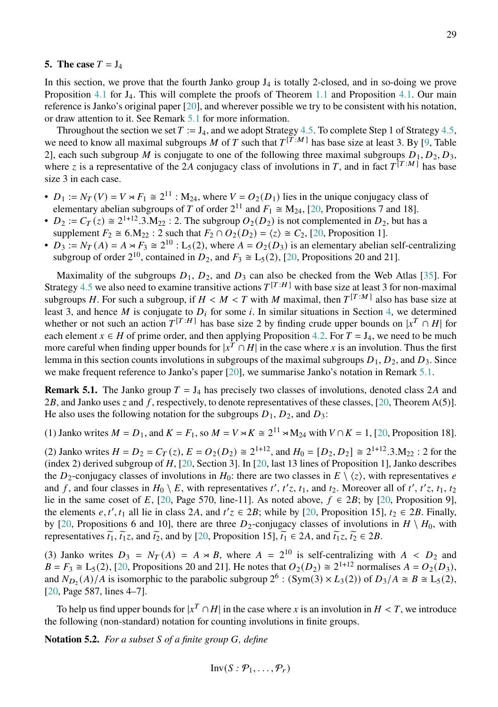#### <span id="page-28-0"></span>**5.** The case  $T = J_4$

In this section, we prove that the fourth Janko group  $J_4$  is totally 2-closed, and in so-doing we prove Proposition [4.1](#page-17-2) for J<sub>4</sub>. This will complete the proofs of Theorem [1.1](#page-1-0) and Proposition [4.1.](#page-17-2) Our main reference is Janko's original paper [\[20\]](#page-52-15), and wherever possible we try to be consistent with his notation, or draw attention to it. See Remark [5.1](#page-28-1) for more information.

Throughout the section we set  $T := J_4$ , and we adopt Strategy [4.5.](#page-19-0) To complete Step 1 of Strategy [4.5,](#page-19-0) we need to know all maximal subgroups M of T such that  $T^{[\overline{T}:M]}$  has base size at least 3. By [\[9,](#page-51-9) Table 2], each such subgroup M is conjugate to one of the following three maximal subgroups  $D_1, D_2, D_3$ , where z is a representative of the 2A conjugacy class of involutions in T, and in fact  $T^{[T:M]}$  has base size 3 in each case.

- $D_1 := N_T(V) = V \rtimes F_1 \cong 2^{11}$ :  $M_{24}$ , where  $V = O_2(D_1)$  lies in the unique conjugacy class of elementary abelian subgroups of T of order  $2^{11}$  and  $F_1 \cong M_{24}$ , [\[20,](#page-52-15) Propositions 7 and 18].
- $D_2 := C_T(z) \cong 2^{1+12} \cdot 3 \cdot M_{22}$ : 2. The subgroup  $O_2(D_2)$  is not complemented in  $D_2$ , but has a supplement  $F_2 \cong 6.M_{22}$ : 2 such that  $F_2 \cap O_2(D_2) = \langle z \rangle \cong C_2$ , [\[20,](#page-52-15) Proposition 1].
- $D_3 := N_T(A) = A \rtimes F_3 \cong 2^{10}$ : L<sub>5</sub>(2), where  $A = O_2(D_3)$  is an elementary abelian self-centralizing subgroup of order  $2^{10}$ , contained in  $D_2$ , and  $F_3 \cong L_5(2)$ , [\[20,](#page-52-15) Propositions 20 and 21].

Maximality of the subgroups  $D_1$ ,  $D_2$ , and  $D_3$  can also be checked from the Web Atlas [\[35\]](#page-52-11). For Strategy [4.5](#page-19-0) we also need to examine transitive actions  $T^{[T:H]}$  with base size at least 3 for non-maximal subgroups H. For such a subgroup, if  $H < M < T$  with M maximal, then  $T^{[T:M]}$  also has base size at least 3, and hence M is conjugate to  $D_i$  for some i. In similar situations in Section [4,](#page-17-0) we determined whether or not such an action  $T^{[T:H]}$  has base size 2 by finding crude upper bounds on  $|x^T \cap H|$  for each element  $x \in H$  of prime order, and then applying Proposition [4.2.](#page-18-0) For  $T = J_4$ , we need to be much more careful when finding upper bounds for  $|x^T \cap H|$  in the case where x is an involution. Thus the first lemma in this section counts involutions in subgroups of the maximal subgroups  $D_1, D_2$ , and  $D_3$ . Since we make frequent reference to Janko's paper [\[20\]](#page-52-15), we summarise Janko's notation in Remark [5.1.](#page-28-1)

<span id="page-28-1"></span>**Remark 5.1.** The Janko group  $T = J_4$  has precisely two classes of involutions, denoted class 2A and 2B, and Janko uses  $z$  and  $f$ , respectively, to denote representatives of these classes, [\[20,](#page-52-15) Theorem A(5)]. He also uses the following notation for the subgroups  $D_1, D_2$ , and  $D_3$ :

(1) Janko writes  $M = D_1$ , and  $K = F_1$ , so  $M = V \rtimes K \cong 2^{11} \rtimes M_{24}$  with  $V \cap K = 1$ , [\[20,](#page-52-15) Proposition 18].

(2) Janko writes  $H = D_2 = C_T(z)$ ,  $E = O_2(D_2) \cong 2^{1+12}$ , and  $H_0 = [D_2, D_2] \cong 2^{1+12} \cdot 3 \cdot M_{22}$ : 2 for the (index 2) derived subgroup of  $H$ , [\[20,](#page-52-15) Section 3]. In [20, last 13 lines of Proposition 1], Janko describes the  $D_2$ -conjugacy classes of involutions in  $H_0$ : there are two classes in  $E \setminus \langle z \rangle$ , with representatives e and f, and four classes in  $H_0 \setminus E$ , with representatives t', t'z, t<sub>1</sub>, and t<sub>2</sub>. Moreover all of t', t'z, t<sub>1</sub>, t<sub>2</sub> lie in the same coset of E, [\[20,](#page-52-15) Page 570, line-11]. As noted above,  $f \in 2B$ ; by [20, Proposition 9], the elements e, t', t<sub>1</sub> all lie in class 2A, and  $t'z \in 2B$ ; while by [\[20,](#page-52-15) Proposition 15],  $t_2 \in 2B$ . Finally, by [\[20,](#page-52-15) Propositions 6 and 10], there are three  $D_2$ -conjugacy classes of involutions in  $H \setminus H_0$ , with representatives  $\tilde{t}_1$ ,  $\tilde{t}_1 z$ , and  $\tilde{t}_2$ , and by [\[20,](#page-52-15) Proposition 15],  $\tilde{t}_1 \in 2A$ , and  $\tilde{t}_1 z$ ,  $\tilde{t}_2 \in 2B$ .

(3) Janko writes  $D_3 = N_T(A) = A \times B$ , where  $A = 2^{10}$  is self-centralizing with  $A \times D_2$  and  $B = F_3 \cong L_5(2)$ , [\[20,](#page-52-15) Propositions 20 and 21]. He notes that  $O_2(D_2) \cong 2^{1+12}$  normalises  $A = O_2(D_3)$ , and  $N_{D_2}(A)/A$  is isomorphic to the parabolic subgroup  $2^6$ :  $(Sym(3) \times L_3(2))$  of  $D_3/A \cong B \cong L_5(2)$ , [\[20,](#page-52-15) Page 587, lines 4–7].

To help us find upper bounds for  $|x^T \cap H|$  in the case where x is an involution in  $H < T$ , we introduce the following (non-standard) notation for counting involutions in finite groups.

**Notation 5.2.** *For a subset S of a finite group G, define* 

$$
Inv(S: \mathcal{P}_1, \ldots, \mathcal{P}_r)
$$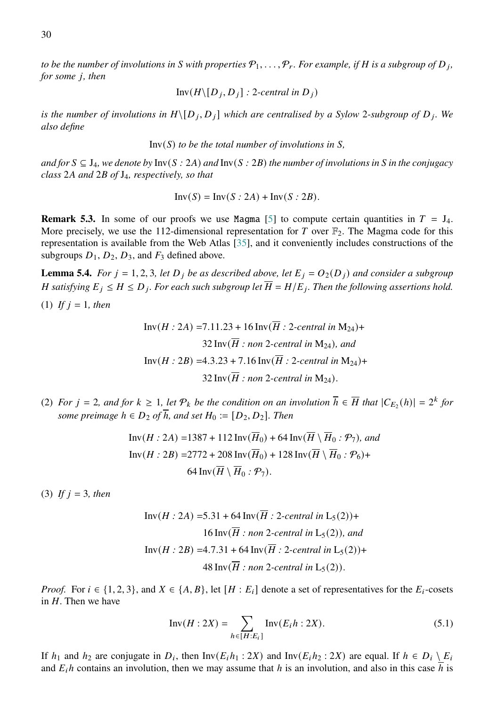*to be the number of involutions in* S with properties  $\mathcal{P}_1, \ldots, \mathcal{P}_r$ . For example, if H is a subgroup of D<sub>j</sub>, *for some <i>j*, *then* 

$$
Inv(H\backslash [D_j, D_j] : 2\text{-}central in D_j)
$$

*is the number of involutions in*  $H \setminus [D_j, D_j]$  which are centralised by a Sylow 2-subgroup of  $D_j$ . We *also define*

 $Inv(S)$  *to be the total number of involutions in*  $S$ .

*and for*  $S ⊆ J_4$ *, we denote by* Inv( $S : 2A$ *) and* Inv( $S : 2B$ *) the number of involutions in*  $S$  *in the conjugacy class* 2 *and* 2 *of* J4*, respectively, so that*

$$
Inv(S) = Inv(S : 2A) + Inv(S : 2B).
$$

<span id="page-29-0"></span>**Remark 5.3.** In some of our proofs we use Magma [\[5\]](#page-51-11) to compute certain quantities in  $T = J_4$ . More precisely, we use the 112-dimensional representation for T over  $\mathbb{F}_2$ . The Magma code for this representation is available from the Web Atlas [\[35\]](#page-52-11), and it conveniently includes constructions of the subgroups  $D_1$ ,  $D_2$ ,  $D_3$ , and  $F_3$  defined above.

<span id="page-29-2"></span>**Lemma 5.4.** *For*  $j = 1, 2, 3$ *, let*  $D_j$  *be as described above, let*  $E_j = O_2(D_j)$  *and consider a subgroup H* satisfying  $E_j \leq H \leq D_j$ . For each such subgroup let  $\overline{H} = H/E_j$ . Then the following assertions hold.

(1) *If*  $j = 1$ *, then* 

Inv(*H* : 2*A*) =7.11.23 + 16 Inv(
$$
\overline{H}
$$
 : 2-central in M<sub>24</sub>)+  
32 Inv( $\overline{H}$  : non 2-central in M<sub>24</sub>), and  
Inv(*H* : 2*B*) =4.3.23 + 7.16 Inv( $\overline{H}$  : 2-central in M<sub>24</sub>)+  
32 Inv( $\overline{H}$  : non 2-central in M<sub>24</sub>).

(2) *For*  $j = 2$ , and for  $k \ge 1$ , let  $\mathcal{P}_k$  be the condition on an involution  $\overline{h} \in \overline{H}$  that  $|C_{E_2}(h)| = 2^k$  for *some preimage*  $h \in D_2$  *of*  $\overline{h}$ *, and set*  $H_0 := [D_2, D_2]$ *. Then* 

$$
\text{Inv}(H:2A) = 1387 + 112 \text{ Inv}(\overline{H}_0) + 64 \text{ Inv}(\overline{H} \setminus \overline{H}_0: \mathcal{P}_7), \text{ and}
$$

$$
\text{Inv}(H:2B) = 2772 + 208 \text{ Inv}(\overline{H}_0) + 128 \text{ Inv}(\overline{H} \setminus \overline{H}_0: \mathcal{P}_6) + 64 \text{ Inv}(\overline{H} \setminus \overline{H}_0: \mathcal{P}_7).
$$

(3) *If*  $j = 3$ *, then* 

Inv(*H* : 2*A*) =5.31 + 64 Inv(
$$
\overline{H}
$$
 : 2-central in L<sub>5</sub>(2))+  
16 Inv( $\overline{H}$  : non 2-central in L<sub>5</sub>(2)), and  
Inv(*H* : 2*B*) =4.7.31 + 64 Inv( $\overline{H}$  : 2-central in L<sub>5</sub>(2))+  
48 Inv( $\overline{H}$  : non 2-central in L<sub>5</sub>(2)).

*Proof.* For  $i \in \{1, 2, 3\}$ , and  $X \in \{A, B\}$ , let  $[H : E_i]$  denote a set of representatives for the  $E_i$ -cosets in  $H$ . Then we have

<span id="page-29-1"></span>
$$
Inv(H:2X) = \sum_{h \in [H:E_i]} Inv(E_i h:2X).
$$
 (5.1)

If  $h_1$  and  $h_2$  are conjugate in  $D_i$ , then Inv $(E_i h_1 : 2X)$  and Inv $(E_i h_2 : 2X)$  are equal. If  $h \in D_i \setminus E_i$ and  $E_i h$  contains an involution, then we may assume that h is an involution, and also in this case h is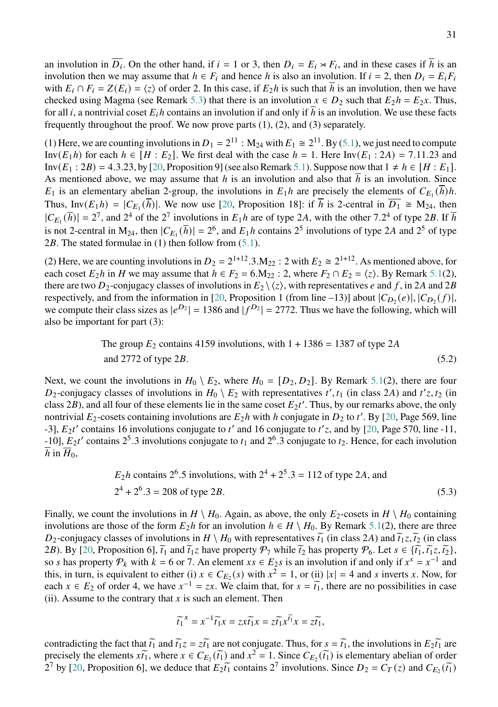an involution in  $\overline{D_i}$ . On the other hand, if  $i = 1$  or 3, then  $D_i = E_i \rtimes F_i$ , and in these cases if  $\overline{h}$  is an involution then we may assume that  $h \in F_i$  and hence h is also an involution. If  $i = 2$ , then  $D_i = E_i F_i$ with  $E_i \cap F_i = Z(E_i) = \langle z \rangle$  of order 2. In this case, if  $E_2 h$  is such that  $\overline{h}$  is an involution, then we have checked using Magma (see Remark [5.3\)](#page-29-0) that there is an involution  $x \in D_2$  such that  $E_2h = E_2x$ . Thus, for all *i*, a nontrivial coset  $E_i h$  contains an involution if and only if h is an involution. We use these facts frequently throughout the proof. We now prove parts (1), (2), and (3) separately.

(1) Here, we are counting involutions in  $D_1 = 2^{11}$ :  $M_{24}$  with  $E_1 \cong 2^{11}$ . By [\(5.1\)](#page-29-1), we just need to compute Inv $(E_1 h)$  for each  $h \in [H : E_2]$ . We first deal with the case  $h = 1$ . Here Inv $(E_1 : 2A) = 7.11.23$  and Inv( $E_1 : 2B$ ) = 4.3.23, by [\[20,](#page-52-15) Proposition 9] (see also Remark [5.1\)](#page-28-1). Suppose now that  $1 \neq h \in [H : E_1]$ . As mentioned above, we may assume that  $h$  is an involution and also that  $h$  is an involution. Since  $E_1$  is an elementary abelian 2-group, the involutions in  $E_1h$  are precisely the elements of  $C_{E_1}(\overline{h})h$ . Thus, Inv $(E_1 h) = |C_{E_1}(\overline{h})|$ . We now use [\[20,](#page-52-15) Proposition 18]: if  $\overline{h}$  is 2-central in  $\overline{D_1} \cong M_{24}$ , then  $|C_{E_1}(\overline{h})| = 2^7$ , and  $2^4$  of the  $2^7$  involutions in  $E_1h$  are of type 2A, with the other 7.2<sup>4</sup> of type 2B. If  $\overline{h}$ is not 2-central in M<sub>24</sub>, then  $|C_{E_1}(\overline{h})| = 2^6$ , and  $E_1h$  contains  $2^5$  involutions of type 2A and  $2^5$  of type 2B. The stated formulae in  $(1)$  then follow from  $(5.1)$ .

(2) Here, we are counting involutions in  $D_2 = 2^{1+12} \cdot 3 \cdot M_{22}$  : 2 with  $E_2 \cong 2^{1+12}$ . As mentioned above, for each coset  $E_2h$  in H we may assume that  $h \in F_2 = 6.M_{22}$ : 2, where  $F_2 \cap E_2 = \langle z \rangle$ . By Remark [5.1\(](#page-28-1)2), there are two  $D_2$ -conjugacy classes of involutions in  $E_2 \setminus \langle z \rangle$ , with representatives e and f, in 2A and 2B respectively, and from the information in [\[20,](#page-52-15) Proposition 1 (from line –13)] about  $|C_{D_2}(e)|, |C_{D_2}(f)|$ , we compute their class sizes as  $|e^{D_2}| = 1386$  and  $|f^{D_2}| = 2772$ . Thus we have the following, which will also be important for part (3):

> <span id="page-30-0"></span>The group  $E_2$  contains 4159 involutions, with  $1 + 1386 = 1387$  of type 2A and 2772 of type  $2B$ . (5.2)

Next, we count the involutions in  $H_0 \setminus E_2$ , where  $H_0 = [D_2, D_2]$ . By Remark [5.1\(](#page-28-1)2), there are four  $D_2$ -conjugacy classes of involutions in  $H_0 \setminus E_2$  with representatives  $t', t_1$  (in class 2A) and  $t'z, t_2$  (in class 2B), and all four of these elements lie in the same coset  $E_2 t'$ . Thus, by our remarks above, the only nontrivial  $E_2$ -cosets containing involutions are  $E_2h$  with h conjugate in  $D_2$  to t'. By [\[20,](#page-52-15) Page 569, line -3],  $E_2t'$  contains 16 involutions conjugate to t' and 16 conjugate to t'z, and by [\[20,](#page-52-15) Page 570, line -11, -10],  $E_2t'$  contains  $2^5.3$  involutions conjugate to  $t_1$  and  $2^6.3$  conjugate to  $t_2$ . Hence, for each involution h in  $H_0$ ,

$$
E_2 h
$$
 contains 2<sup>6</sup>.5 involutions, with 2<sup>4</sup> + 2<sup>5</sup>.3 = 112 of type 2A, and  
2<sup>4</sup> + 2<sup>6</sup>.3 = 208 of type 2B. (5.3)

Finally, we count the involutions in  $H \setminus H_0$ . Again, as above, the only  $E_2$ -cosets in  $H \setminus H_0$  containing involutions are those of the form  $E_2h$  for an involution  $h \in H \setminus H_0$ . By Remark [5.1\(](#page-28-1)2), there are three  $D_2$ -conjugacy classes of involutions in  $H \setminus H_0$  with representatives  $\tilde{t_1}$  (in class 2A) and  $\tilde{t_1}$ ,  $\tilde{t_2}$  (in class 2B). By [\[20,](#page-52-15) Proposition 6],  $\tilde{t}_1$  and  $\tilde{t}_1 z$  have property  $\mathcal{P}_7$  while  $\tilde{t}_2$  has property  $\mathcal{P}_6$ . Let  $s \in \{ \tilde{t}_1, \tilde{t}_1 z, \tilde{t}_2 \}$ , so *s* has property  $P_k$  with  $k = 6$  or 7. An element  $xs \in E_2s$  is an involution if and only if  $x^s = x^{-1}$  and this, in turn, is equivalent to either (i)  $x \in C_{E_2}(s)$  with  $x^2 = 1$ , or (ii)  $|x| = 4$  and s inverts x. Now, for each  $x \in E_2$  of order 4, we have  $x^{-1} = zx$ . We claim that, for  $s = \tilde{t_1}$ , there are no possibilities in case (ii). Assume to the contrary that  $x$  is such an element. Then

<span id="page-30-1"></span>
$$
\widetilde{t_1}^x = x^{-1} \widetilde{t_1} x = z x \widetilde{t_1} x = z \widetilde{t_1} x^{\widetilde{t_1}} x = z \widetilde{t_1},
$$

contradicting the fact that  $\tilde{t}_1$  and  $\tilde{t}_1 z = z \tilde{t}_1$  are not conjugate. Thus, for  $s = \tilde{t}_1$ , the involutions in  $E_2 \tilde{t}_1$  are precisely the elements  $x \tilde{t_1}$ , where  $x \in C_{E_2}(\tilde{t_1})$  and  $x^2 = 1$ . Since  $C_{E_2}(\tilde{t_1})$  is elementary abelian of order  $2^7$  by [\[20,](#page-52-15) Proposition 6], we deduce that  $E_2\tilde{t}_1$  contains  $2^7$  involutions. Since  $D_2 = C_T(z)$  and  $C_{E_2}(\tilde{t}_1)$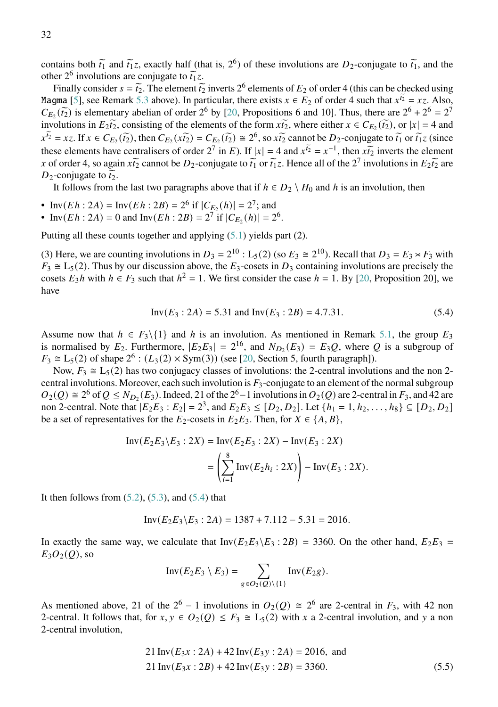contains both  $\tilde{t}_1$  and  $\tilde{t}_1 z$ , exactly half (that is, 2<sup>6</sup>) of these involutions are  $D_2$ -conjugate to  $\tilde{t}_1$ , and the other 2<sup>6</sup> involutions are conjugate to  $\tilde{t}_1 z$ .<br>Finally consider  $s = \tilde{t}$ . The element  $\tilde{t}$ 

Finally consider  $s = \tilde{t}_2$ . The element  $\tilde{t}_2$  inverts  $2^6$  elements of  $E_2$  of order 4 (this can be checked using<br>rma [5], see Bernark 5.3 above). In perticular, there exists  $x \in E$ , of order 4 such that  $x^{\tilde{t}}$ Magma [\[5\]](#page-51-11), see Remark [5.3](#page-29-0) above). In particular, there exists  $x \in E_2$  of order 4 such that  $x^{T_2} = xz$ . Also,  $C_{E_2}(\tilde{t}_2)$  is elementary abelian of order 2<sup>6</sup> by [\[20,](#page-52-15) Propositions 6 and 10]. Thus, there are  $2^6 + 2^6 = 2^7$ <br>involutions in  $E_2$ , consisting of the elements of the form  $\tilde{t}_1$ , where either  $\tilde{t}_2 \in C_1(\tilde{t}_$ involutions in  $E_2\tilde{t_2}$ , consisting of the elements of the form  $x\tilde{t_2}$ , where either  $x \in C_{E_2}(\tilde{t_2})$ , or  $|x| = 4$  and  $x^{\tilde{t}_2} = xz$ . If  $x \in C_{E_2}(\tilde{t}_2)$ , then  $C_{E_2}(x\tilde{t}_2) = C_{E_2}(\tilde{t}_2) \cong 2^6$ , so  $x\tilde{t}_2$  cannot be  $D_2$ -conjugate to  $\tilde{t}_1$  or  $\tilde{t}_1 z$  (since these elements have centralisers of order  $2^7$  in E). If  $|x| = 4$  and  $x^{\tilde{i}2} = x^{-1}$ , then  $x\tilde{i}_2$  inverts the element x of order 4, so again  $x\tilde{t_2}$  cannot be  $D_2$ -conjugate to  $\tilde{t_1}$  or  $\tilde{t_1}z$ . Hence all of the  $2^7$  involutions in  $E_2\tilde{t_2}$  are D<sub>2</sub>-conjugate to  $\tilde{t_2}$ .

It follows from the last two paragraphs above that if  $h \in D_2 \setminus H_0$  and h is an involution, then

- Inv( $Eh : 2A$ ) = Inv( $Eh : 2B$ ) =  $2^6$  if  $|C_{\underline{F}_2}(h)| = 2^7$ ; and
- Inv( $Eh : 2A$ ) = 0 and Inv( $Eh : 2B$ ) =  $2^7$  if  $|C_{E_2}(h)| = 2^6$ .

Putting all these counts together and applying [\(5.1\)](#page-29-1) yields part (2).

(3) Here, we are counting involutions in  $D_3 = 2^{10}$  : L<sub>5</sub>(2) (so  $E_3 \cong 2^{10}$ ). Recall that  $D_3 = E_3 \rtimes F_3$  with  $F_3 \cong L_5(2)$ . Thus by our discussion above, the  $E_3$ -cosets in  $D_3$  containing involutions are precisely the cosets  $E_3 h$  with  $h \in F_3$  such that  $h^2 = 1$ . We first consider the case  $h = 1$ . By [\[20,](#page-52-15) Proposition 20], we have

<span id="page-31-0"></span>
$$
Inv(E_3:2A) = 5.31 \text{ and } Inv(E_3:2B) = 4.7.31. \tag{5.4}
$$

Assume now that  $h \in F_3 \setminus \{1\}$  and h is an involution. As mentioned in Remark [5.1,](#page-28-1) the group  $E_3$ is normalised by  $E_2$ . Furthermore,  $|E_2E_3| = 2^{16}$ , and  $N_{D_2}(E_3) = E_3Q$ , where Q is a subgroup of  $F_3 \cong L_5(2)$  of shape  $2^6$ :  $(L_3(2) \times Sym(3))$  (see [\[20,](#page-52-15) Section 5, fourth paragraph]).

Now,  $F_3 \cong L_5(2)$  has two conjugacy classes of involutions: the 2-central involutions and the non 2central involutions. Moreover, each such involution is  $F_3$ -conjugate to an element of the normal subgroup  $O_2(Q) \cong 2^6$  of  $Q \le N_{D_2}(E_3)$ . Indeed, 21 of the  $2^6-1$  involutions in  $O_2(Q)$  are 2-central in  $F_3$ , and 42 are non 2-central. Note that  $|E_2E_3 : E_2| = 2^3$ , and  $E_2E_3 \leq [D_2, D_2]$ . Let  $\{h_1 = 1, h_2, \ldots, h_8\} \subseteq [D_2, D_2]$ be a set of representatives for the  $E_2$ -cosets in  $E_2E_3$ . Then, for  $X \in \{A, B\}$ ,

$$
\text{Inv}(E_2E_3 \backslash E_3 : 2X) = \text{Inv}(E_2E_3 : 2X) - \text{Inv}(E_3 : 2X)
$$

$$
= \left(\sum_{i=1}^{8} \text{Inv}(E_2h_i : 2X)\right) - \text{Inv}(E_3 : 2X).
$$

It then follows from  $(5.2)$ ,  $(5.3)$ , and  $(5.4)$  that

$$
Inv(E_2E_3 \backslash E_3 : 2A) = 1387 + 7.112 - 5.31 = 2016.
$$

In exactly the same way, we calculate that  $Inv(E_2E_3 \setminus E_3 : 2B) = 3360$ . On the other hand,  $E_2E_3 =$  $E_3O_2(Q)$ , so

<span id="page-31-1"></span>
$$
Inv(E_2E_3 \setminus E_3) = \sum_{g \in O_2(Q) \setminus \{1\}} Inv(E_2g).
$$

As mentioned above, 21 of the  $2^6 - 1$  involutions in  $O_2(Q) \cong 2^6$  are 2-central in  $F_3$ , with 42 non 2-central. It follows that, for  $x, y \in O_2(Q) \leq F_3 \cong L_5(2)$  with x a 2-central involution, and y a non 2-central involution,

$$
21 \text{ Inv}(E_3x : 2A) + 42 \text{ Inv}(E_3y : 2A) = 2016, \text{ and}
$$
  

$$
21 \text{ Inv}(E_3x : 2B) + 42 \text{ Inv}(E_3y : 2B) = 3360.
$$
 (5.5)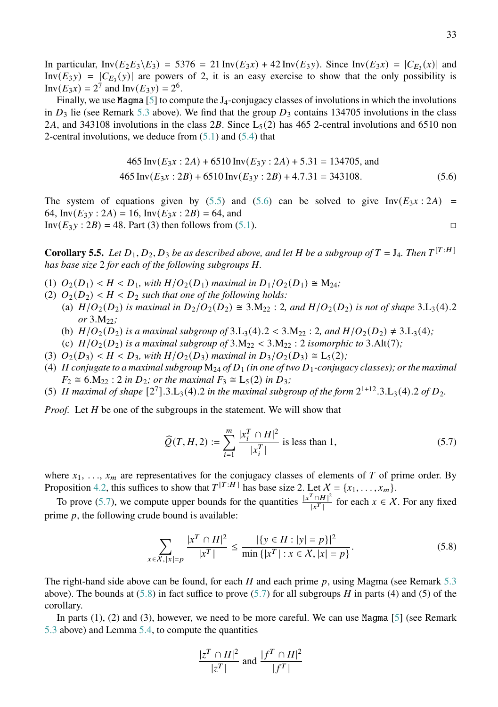In particular,  $Inv(E_2E_3 \setminus E_3) = 5376 = 21 Inv(E_3x) + 42 Inv(E_3y)$ . Since  $Inv(E_3x) = |C_{E_3}(x)|$  and Inv $(E_3y) = |C_{E_3}(y)|$  are powers of 2, it is an easy exercise to show that the only possibility is  $Inv(E_3x) = 2^7$  and  $Inv(E_3y) = 2^6$ .

Finally, we use Magma  $[5]$  to compute the J<sub>4</sub>-conjugacy classes of involutions in which the involutions in  $D_3$  lie (see Remark [5.3](#page-29-0) above). We find that the group  $D_3$  contains 134705 involutions in the class 2A, and 343108 involutions in the class 2B. Since  $L_5(2)$  has 465 2-central involutions and 6510 non 2-central involutions, we deduce from  $(5.1)$  and  $(5.4)$  that

<span id="page-32-0"></span>
$$
465 \operatorname{Inv}(E_{3}x:2A) + 6510 \operatorname{Inv}(E_{3}y:2A) + 5.31 = 134705, \text{ and}
$$
  

$$
465 \operatorname{Inv}(E_{3}x:2B) + 6510 \operatorname{Inv}(E_{3}y:2B) + 4.7.31 = 343108.
$$
 (5.6)

The system of equations given by [\(5.5\)](#page-31-1) and [\(5.6\)](#page-32-0) can be solved to give Inv( $E_3x : 2A$ ) = 64, Inv $(E_3 y : 2A) = 16$ , Inv $(E_3 x : 2B) = 64$ , and  $Inv(E_3y : 2B) = 48$ . Part (3) then follows from [\(5.1\)](#page-29-1).

<span id="page-32-3"></span>**Corollary 5.5.** Let  $D_1, D_2, D_3$  be as described above, and let H be a subgroup of  $T = J_4$ . Then  $T^{[T:H]}$ *has base size* 2 *for each of the following subgroups H.* 

- (1)  $O_2(D_1) < H < D_1$ , with  $H/O_2(D_1)$  maximal in  $D_1/O_2(D_1) \cong M_{24}$ ;
- (2)  $O_2(D_2)$  <  $H$  <  $D_2$  such that one of the following holds:
	- (a)  $H/O_2(D_2)$  *is maximal in*  $D_2/O_2(D_2) \cong 3.M_{22}$ : 2*, and*  $H/O_2(D_2)$  *is not of shape* 3.L<sub>3</sub>(4).2 *or* 3.M22*;*
	- (b)  $H/O_2(D_2)$  is a maximal subgroup of 3.L<sub>3</sub>(4).2 < 3.M<sub>22</sub> : 2*, and*  $H/O_2(D_2) \neq 3.L_3(4)$ ;
	- (c)  $H/O_2(D_2)$  *is a maximal subgroup of*  $3.M_{22} < 3.M_{22}$  : 2 *isomorphic to*  $3.Alt(7)$ *;*
- (3)  $O_2(D_3) < H < D_3$ , with  $H/O_2(D_3)$  maximal in  $D_3/O_2(D_3) \cong L_5(2)$ ;
- (4) *H* conjugate to a maximal subgroup  $M_{24}$  of  $D_1$  (in one of two  $D_1$ -conjugacy classes); or the maximal  $F_2 \cong 6.M_{22}$ : 2 *in*  $D_2$ ; *or the maximal*  $F_3 \cong L_5(2)$  *in*  $D_3$ ;
- (5) *H* maximal of shape  $[2^7]$ .3.L<sub>3</sub>(4).2 in the maximal subgroup of the form  $2^{1+12}$ .3.L<sub>3</sub>(4).2 of  $D_2$ .

*Proof.* Let *H* be one of the subgroups in the statement. We will show that

<span id="page-32-1"></span>
$$
\widehat{Q}(T, H, 2) := \sum_{i=1}^{m} \frac{|x_i^T \cap H|^2}{|x_i^T|} \text{ is less than 1,}
$$
\n(5.7)

where  $x_1, \ldots, x_m$  are representatives for the conjugacy classes of elements of T of prime order. By Proposition [4.2,](#page-18-0) this suffices to show that  $T^{[T:H]}$  has base size 2. Let  $X = \{x_1, \ldots, x_m\}$ .

To prove [\(5.7\)](#page-32-1), we compute upper bounds for the quantities  $\frac{|x^T \cap H|^2}{|x^T|}$  $\frac{f \cap H|^2}{|x^T|}$  for each  $x \in \mathcal{X}$ . For any fixed prime  $p$ , the following crude bound is available:

$$
\sum_{x \in X, |x| = p} \frac{|x^T \cap H|^2}{|x^T|} \le \frac{|\{y \in H : |y| = p\}|^2}{\min \{ |x^T| : x \in X, |x| = p \}}.
$$
\n(5.8)

The right-hand side above can be found, for each H and each prime p, using Magma (see Remark [5.3](#page-29-0)) above). The bounds at  $(5.8)$  in fact suffice to prove  $(5.7)$  for all subgroups H in parts (4) and (5) of the corollary.

In parts  $(1)$ ,  $(2)$  and  $(3)$ , however, we need to be more careful. We can use Magma  $[5]$  (see Remark [5.3](#page-29-0) above) and Lemma [5.4,](#page-29-2) to compute the quantities

<span id="page-32-2"></span>
$$
\frac{|z^T \cap H|^2}{|z^T|}
$$
 and 
$$
\frac{|f^T \cap H|^2}{|f^T|}
$$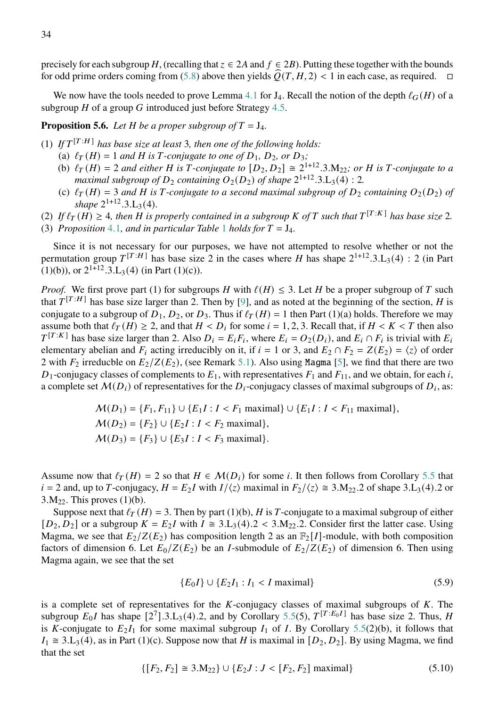precisely for each subgroup H, (recalling that  $z \in 2A$  and  $f \in 2B$ ). Putting these together with the bounds for odd prime orders coming from [\(5.8\)](#page-32-2) above then yields  $\tilde{O}(T, H, 2) < 1$  in each case, as required.  $\Box$ 

We now have the tools needed to prove Lemma [4.1](#page-17-2) for  $J_4$ . Recall the notion of the depth  $\ell_G(H)$  of a subgroup  $H$  of a group  $G$  introduced just before Strategy [4.5.](#page-19-0)

<span id="page-33-0"></span>**Proposition 5.6.** Let *H* be a proper subgroup of  $T = J_4$ .

- (1)  $\int f T^{[T:H]}$  has base size at least 3, then one of the following holds:
	- (a)  $\ell_T(H) = 1$  *and H* is *T*-conjugate to one of  $D_1$ ,  $D_2$ , or  $D_3$ ;
	- (b)  $\ell_T(H) = 2$  and either *H* is *T*-conjugate to  $[D_2, D_2] \cong 2^{1+12} \cdot 3 \cdot M_{22}$ ; or *H* is *T*-conjugate to a *maximal subgroup of*  $D_2$  *containing*  $O_2(D_2)$  *of shape*  $2^{1+12}.3.L_3(4):2$ .
	- (c)  $\ell_T(H) = 3$  and H is T-conjugate to a second maximal subgroup of  $D_2$  containing  $O_2(D_2)$  of  $shape 2^{1+12}.3.L_3(4).$
- (2) If  $\ell_T(H) \geq 4$ , then H is properly contained in a subgroup K of T such that  $T^{[T:K]}$  has base size 2.
- (3) *Proposition* [4](#page-17-2).[1](#page-17-1)*, and in particular Table* 1 *holds for*  $T = J_4$ *.*

Since it is not necessary for our purposes, we have not attempted to resolve whether or not the permutation group  $T^{[T:H]}$  has base size 2 in the cases where H has shape  $2^{1+12}.3.L_3(4):2$  (in Part  $(1)(b)$ , or  $2^{1+12}.3.L_3(4)$  (in Part  $(1)(c)$ ).

*Proof.* We first prove part (1) for subgroups H with  $\ell(H) \leq 3$ . Let H be a proper subgroup of T such that  $T^{[T:H]}$  has base size larger than 2. Then by [\[9\]](#page-51-9), and as noted at the beginning of the section, H is conjugate to a subgroup of  $D_1$ ,  $D_2$ , or  $D_3$ . Thus if  $\ell_T(H) = 1$  then Part (1)(a) holds. Therefore we may assume both that  $\ell_T(H) \geq 2$ , and that  $H < D_i$  for some  $i = 1, 2, 3$ . Recall that, if  $H < K < T$  then also  $T^{[T:K]}$  has base size larger than 2. Also  $D_i = E_i F_i$ , where  $E_i = O_2(D_i)$ , and  $E_i \cap F_i$  is trivial with  $E_i$ elementary abelian and  $F_i$  acting irreducibly on it, if  $i = 1$  or 3, and  $E_2 \cap F_2 = Z(E_2) = \langle z \rangle$  of order 2 with  $F_2$  irreducble on  $E_2/Z(E_2)$ , (see Remark [5.1\)](#page-28-1). Also using Magma [\[5\]](#page-51-11), we find that there are two  $D_1$ -conjugacy classes of complements to  $E_1$ , with representatives  $F_1$  and  $F_{11}$ , and we obtain, for each i, a complete set  $M(D_i)$  of representatives for the  $D_i$ -conjugacy classes of maximal subgroups of  $D_i$ , as:

$$
M(D_1) = \{F_1, F_{11}\} \cup \{E_1I : I < F_1 \text{ maximal}\} \cup \{E_1I : I < F_{11} \text{ maximal}\},
$$
\n
$$
M(D_2) = \{F_2\} \cup \{E_2I : I < F_2 \text{ maximal}\},
$$
\n
$$
M(D_3) = \{F_3\} \cup \{E_3I : I < F_3 \text{ maximal}\}.
$$

Assume now that  $\ell_T(H) = 2$  so that  $H \in \mathcal{M}(D_i)$  for some i. It then follows from Corollary [5.5](#page-32-3) that  $i = 2$  and, up to T-conjugacy,  $H = E_2 I$  with  $I/\langle z \rangle$  maximal in  $F_2/\langle z \rangle \approx 3.M_{22}.2$  of shape 3.L<sub>3</sub>(4).2 or  $3.M_{22}$ . This proves  $(1)(b)$ .

Suppose next that  $\ell_T(H) = 3$ . Then by part (1)(b), H is T-conjugate to a maximal subgroup of either  $[D_2, D_2]$  or a subgroup  $K = E_2 I$  with  $I \cong 3.L_3(4).2 < 3.M_{22}.$  Consider first the latter case. Using Magma, we see that  $E_2/Z(E_2)$  has composition length 2 as an  $\mathbb{F}_2[I]$ -module, with both composition factors of dimension 6. Let  $E_0/Z(E_2)$  be an *I*-submodule of  $E_2/Z(E_2)$  of dimension 6. Then using Magma again, we see that the set

<span id="page-33-1"></span>
$$
\{E_0 I\} \cup \{E_2 I_1 : I_1 < I \text{ maximal}\}\tag{5.9}
$$

is a complete set of representatives for the  $K$ -conjugacy classes of maximal subgroups of  $K$ . The subgroup  $E_0 I$  has shape  $[2^7]$ .3.L<sub>3</sub>(4).2, and by Corollary [5.5\(](#page-32-3)5),  $T^{[T:E_0 I]}$  has base size 2. Thus, *H* is K-conjugate to  $E_2I_1$  for some maximal subgroup  $I_1$  of I. By Corollary [5.5\(](#page-32-3)2)(b), it follows that  $I_1 \cong 3.L_3(4)$ , as in Part (1)(c). Suppose now that H is maximal in  $[D_2, D_2]$ . By using Magma, we find that the set

<span id="page-33-2"></span>
$$
\{ [F_2, F_2] \cong 3.M_{22} \} \cup \{ E_2 J : J < [F_2, F_2] \text{ maximal} \} \tag{5.10}
$$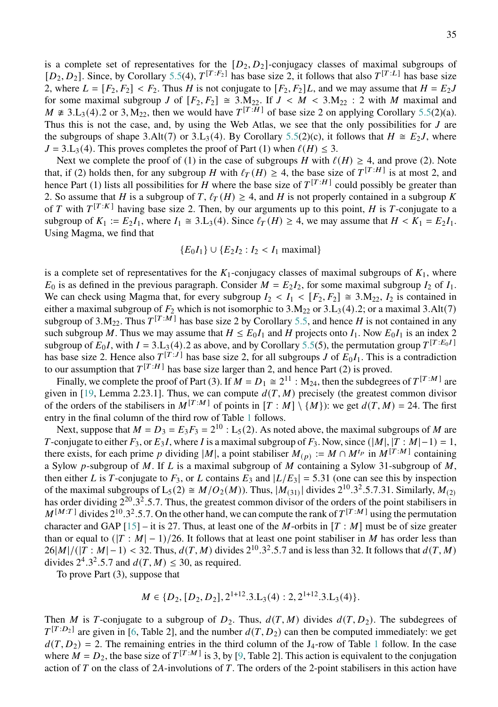is a complete set of representatives for the  $[D_2, D_2]$ -conjugacy classes of maximal subgroups of  $[D_2, D_2]$ . Since, by Corollary [5.5\(](#page-32-3)4),  $T^{[T:F_2]}$  has base size 2, it follows that also  $T^{[T:L]}$  has base size 2, where  $L = [F_2, F_2] < F_2$ . Thus H is not conjugate to  $[F_2, F_2]L$ , and we may assume that  $H = E_2J$ for some maximal subgroup J of  $[F_2, F_2] \cong 3.M_{22}$ . If  $J < M < 3.M_{22}$ : 2 with M maximal and  $M \neq 3.L_3(4)$ .2 or 3,  $M_{22}$ , then we would have  $T^{[T:H]}$  of base size 2 on applying Corollary [5.5\(](#page-32-3)2)(a). Thus this is not the case, and, by using the Web Atlas, we see that the only possibilities for  $J$  are the subgroups of shape 3.Alt(7) or 3.L<sub>3</sub>(4). By Corollary [5.5\(](#page-32-3)2)(c), it follows that  $H \cong E_2J$ , where  $J = 3.L<sub>3</sub>(4)$ . This proves completes the proof of Part (1) when  $\ell(H) \leq 3$ .

Next we complete the proof of (1) in the case of subgroups H with  $\ell(H) \geq 4$ , and prove (2). Note that, if (2) holds then, for any subgroup H with  $\ell_T(H) \geq 4$ , the base size of  $T^{[T:H]}$  is at most 2, and hence Part (1) lists all possibilities for H where the base size of  $T^{[T:H]}$  could possibly be greater than 2. So assume that H is a subgroup of T,  $\ell_T(H) \geq 4$ , and H is not properly contained in a subgroup K of T with  $T^{[T:K]}$  having base size 2. Then, by our arguments up to this point, H is T-conjugate to a subgroup of  $K_1 := E_2 I_1$ , where  $I_1 \cong 3.L_3(4)$ . Since  $\ell_T(H) \geq 4$ , we may assume that  $H < K_1 = E_2 I_1$ . Using Magma, we find that

$$
{E_0I_1} \cup {E_2I_2 : I_2 < I_1
$$
 maximal}

is a complete set of representatives for the  $K_1$ -conjugacy classes of maximal subgroups of  $K_1$ , where  $E_0$  is as defined in the previous paragraph. Consider  $M = E_2 I_2$ , for some maximal subgroup  $I_2$  of  $I_1$ . We can check using Magma that, for every subgroup  $I_2 < I_1 < [F_2, F_2] \cong 3.M_{22}$ ,  $I_2$  is contained in either a maximal subgroup of  $F_2$  which is not isomorphic to 3.M<sub>22</sub> or 3.L<sub>3</sub>(4).2; or a maximal 3.Alt(7) subgroup of 3.M<sub>22</sub>. Thus  $T^{[T:M]}$  has base size 2 by Corollary [5.5,](#page-32-3) and hence H is not contained in any such subgroup M. Thus we may assume that  $H \le E_0 I_1$  and H projects onto  $I_1$ . Now  $E_0 I_1$  is an index 2 subgroup of  $E_0 I$ , with  $I = 3.L_3(4)$ .2 as above, and by Corollary [5.5\(](#page-32-3)5), the permutation group  $T^{[T:E_0 I]}$ has base size 2. Hence also  $T^{[T:J]}$  has base size 2, for all subgroups J of  $E_0I_1$ . This is a contradiction to our assumption that  $T^{[T:H]}$  has base size larger than 2, and hence Part (2) is proved.

Finally, we complete the proof of Part (3). If  $M = D_1 \cong 2^{11}$  : M<sub>24</sub>, then the subdegrees of  $T^{[T:M]}$  are given in [\[19,](#page-52-10) Lemma 2.23.1]. Thus, we can compute  $d(T, M)$  precisely (the greatest common divisor of the orders of the stabilisers in  $M^{[T:M]}$  of points in  $[T : M] \setminus \{M\}$ ): we get  $d(T, M) = 24$ . The first entry in the final column of the third row of Table [1](#page-17-1) follows.

Next, suppose that  $M = D_3 = E_3 F_3 = 2^{10}$  : L<sub>5</sub>(2). As noted above, the maximal subgroups of M are T-conjugate to either  $F_3$ , or  $E_3I$ , where I is a maximal subgroup of  $F_3$ . Now, since  $(|M|, |T : M|-1) = 1$ , there exists, for each prime p dividing |M|, a point stabiliser  $M(p) := M \cap M^{t_p}$  in  $M^{[T:M]}$  containing a Sylow p-subgroup of M. If L is a maximal subgroup of M containing a Sylow 31-subgroup of M, then either L is T-conjugate to  $F_3$ , or L contains  $E_3$  and  $|L/E_3| = 5.31$  (one can see this by inspection of the maximal subgroups of  $L_5(2) \cong M/O_2(M)$ . Thus,  $|M_{(31)}|$  divides  $2^{10} \cdot 3^2 \cdot 5 \cdot 7 \cdot 31$ . Similarly,  $M_{(2)}$ has order dividing  $2^{20}$ .3<sup>2</sup>.5.7. Thus, the greatest common divisor of the orders of the point stabilisers in  $M^{[M:T]}$  divides 2<sup>10</sup>.3<sup>2</sup>.5.7. On the other hand, we can compute the rank of  $T^{[T:M]}$  using the permutation character and GAP  $[15]$  – it is 27. Thus, at least one of the *M*-orbits in  $[T : M]$  must be of size greater than or equal to  $(|T : M| - 1)/26$ . It follows that at least one point stabiliser in M has order less than  $26|M|/(|T:M|-1) < 32$ . Thus,  $d(T, M)$  divides  $2^{10} \cdot 3^2 \cdot 5.7$  and is less than 32. It follows that  $d(T, M)$ divides  $2^4 \cdot 3^2 \cdot 5 \cdot 7$  and  $d(T, M) \leq 30$ , as required.

To prove Part (3), suppose that

$$
M \in \{D_2, [D_2, D_2], 2^{1+12} \cdot 3 \cdot L_3(4) : 2, 2^{1+12} \cdot 3 \cdot L_3(4)\}.
$$

Then M is T-conjugate to a subgroup of  $D_2$ . Thus,  $d(T, M)$  divides  $d(T, D_2)$ . The subdegrees of  $T^{[T:D_2]}$  are given in [\[6,](#page-51-13) Table 2], and the number  $d(T, D_2)$  can then be computed immediately: we get  $d(T, D_2) = 2$ . The remaining entries in the third column of the J<sub>4</sub>-row of Table [1](#page-17-1) follow. In the case where  $\tilde{M} = D_2$ , the base size of  $T^{[T:M]}$  is 3, by [\[9,](#page-51-9) Table 2]. This action is equivalent to the conjugation action of  $T$  on the class of  $2A$ -involutions of  $T$ . The orders of the 2-point stabilisers in this action have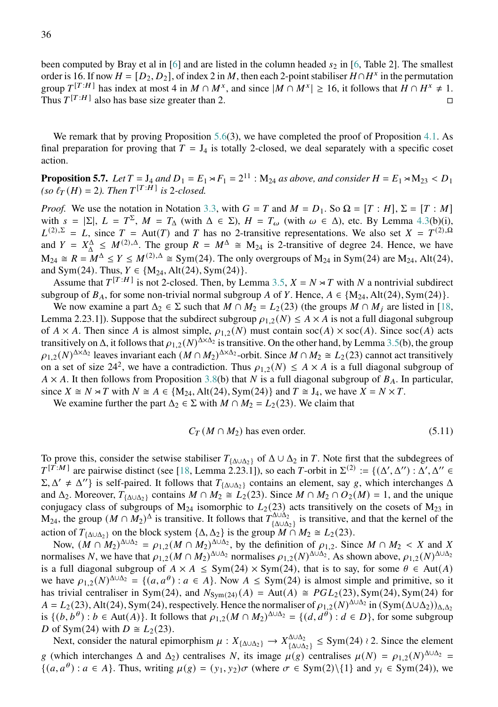been computed by Bray et al in [\[6\]](#page-51-13) and are listed in the column headed  $s_2$  in [\[6,](#page-51-13) Table 2]. The smallest order is 16. If now  $H = [D_2, D_2]$ , of index 2 in M, then each 2-point stabiliser  $H \cap H^x$  in the permutation group  $T^{[T:H]}$  has index at most 4 in  $M \cap M^x$ , and since  $|M \cap M^x| \ge 16$ , it follows that  $H \cap H^x \ne 1$ . Thus  $T^{[T:H]}$  also has base size greater than 2.

We remark that by proving Proposition [5.6\(](#page-33-0)3), we have completed the proof of Proposition [4.1.](#page-17-2) As final preparation for proving that  $T = J_4$  is totally 2-closed, we deal separately with a specific coset action.

<span id="page-35-1"></span>**Proposition 5.7.** Let  $T = J_4$  and  $D_1 = E_1 \rtimes F_1 = 2^{11}$  :  $M_{24}$  as above, and consider  $H = E_1 \rtimes M_{23} < D_1$  $(so \ell_T(H) = 2)$ . Then  $T^{[T:H]}$  is 2-closed.

*Proof.* We use the notation in Notation [3.3,](#page-10-1) with  $G = T$  and  $M = D_1$ . So  $\Omega = [T : H]$ ,  $\Sigma = [T : M]$ with  $s = |\Sigma|$ ,  $L = T^{\Sigma}$ ,  $M = T_{\Delta}$  (with  $\Delta \in \Sigma$ ),  $H = T_{\omega}$  (with  $\omega \in \Delta$ ), etc. By Lemma [4.3\(](#page-18-1)b)(i),  $L^{(2),\Sigma} = L$ , since  $T = Aut(T)$  and T has no 2-transitive representations. We also set  $X = T^{(2),\Omega}$ and  $Y = X^{\Delta} \leq M^{(2), \Delta}$ . The group  $R = M^{\Delta} \cong M_{24}$  is 2-transitive of degree 24. Hence, we have  $M_{24} \cong R = M^{\Delta} \le Y \le M^{(2),\Delta} \cong Sym(24)$ . The only overgroups of  $M_{24}$  in Sym(24) are  $M_{24}$ , Alt(24), and Sym(24). Thus,  $Y \in \{M_{24}, \text{Alt}(24), \text{Sym}(24)\}.$ 

Assume that  $T^{[T:H]}$  is not 2-closed. Then, by Lemma [3.5,](#page-12-0)  $X = N \rtimes T$  with N a nontrivial subdirect subgroup of  $B_A$ , for some non-trivial normal subgroup A of Y. Hence,  $A \in \{M_{24}, Alt(24), Sym(24)\}.$ 

We now examine a part  $\Delta_2 \in \Sigma$  such that  $M \cap M_2 = L_2(23)$  (the groups  $M \cap M_i$  are listed in [\[18,](#page-52-12) Lemma 2.23.1]). Suppose that the subdirect subgroup  $\rho_{1,2}(N) \leq A \times A$  is not a full diagonal subgroup of  $A \times A$ . Then since A is almost simple,  $\rho_{1,2}(N)$  must contain soc(A)  $\times$  soc(A). Since soc(A) acts transitively on  $\Delta$ , it follows that  $\rho_{1,2}(N)^{\Delta \times \Delta_2}$  is transitive. On the other hand, by Lemma [3.5\(](#page-12-0)b), the group  $\rho_{1,2}(N)^{\Delta \times \Delta_2}$  leaves invariant each  $(M \cap M_2)^{\Delta \times \Delta_2}$ -orbit. Since  $M \cap M_2 \cong L_2(23)$  cannot act transitively on a set of size 24<sup>2</sup>, we have a contradiction. Thus  $\rho_{1,2}(N) \leq A \times A$  is a full diagonal subgroup of  $A \times A$ . It then follows from Proposition [3.8\(](#page-14-0)b) that N is a full diagonal subgroup of  $B_A$ . In particular, since  $X \cong N \rtimes T$  with  $N \cong A \in \{M_{24}, Alt(24), Sym(24)\}\$  and  $T \cong J_4$ , we have  $X = N \times T$ .

We examine further the part  $\Delta_2 \in \Sigma$  with  $M \cap M_2 = L_2(23)$ . We claim that

<span id="page-35-0"></span>
$$
C_T(M \cap M_2) \text{ has even order.}
$$
\n<sup>(5.11)</sup>

To prove this, consider the setwise stabiliser  $T_{\{\Delta \cup \Delta_2\}}$  of  $\Delta \cup \Delta_2$  in T. Note first that the subdegrees of  $T^{[\tilde{T}:M]}$  are pairwise distinct (see [\[18,](#page-52-12) Lemma 2.23.1]), so each T-orbit in  $\Sigma^{(2)} := \{(\Delta', \Delta'') : \Delta', \Delta'' \in \Pi\}$  $\Sigma$ ,  $\Delta' \neq \Delta''$ } is self-paired. It follows that  $T_{\{\Delta \cup \Delta_2\}}$  contains an element, say g, which interchanges  $\Delta$ and  $\Delta_2$ . Moreover,  $T_{\{\Delta\cup\Delta_2\}}$  contains  $M \cap M_2 \cong L_2(23)$ . Since  $M \cap M_2 \cap O_2(M) = 1$ , and the unique conjugacy class of subgroups of  $M_{24}$  isomorphic to  $L_2(23)$  acts transitively on the cosets of  $M_{23}$  in  $M_{24}$ , the group  $(M \cap M_2)^{\Delta}$  is transitive. It follows that  $T_{\{A \} \cup A_2}^{\Delta \cup \Delta_2}$  $\frac{d_1\Delta_0\Delta_2}{d_1\Delta_2}$  is transitive, and that the kernel of the action of  $T_{\{\Delta \cup \Delta_2\}}$  on the block system  $\{\Delta, \Delta_2\}$  is the group  $\overline{M} \cap M_2 \cong L_2(23)$ .

Now,  $(M \cap M_2)^{\Delta \cup \Delta_2} = \rho_{1,2}(M \cap M_2)^{\Delta \cup \Delta_2}$ , by the definition of  $\rho_{1,2}$ . Since  $M \cap M_2 < X$  and X normalises N, we have that  $\rho_{1,2}(M \cap M_2)^{\Delta \cup \Delta_2}$  normalises  $\rho_{1,2}(N)^{\Delta \cup \Delta_2}$ . As shown above,  $\rho_{1,2}(N)^{\Delta \cup \Delta_2}$ is a full diagonal subgroup of  $A \times A \leq Sym(24) \times Sym(24)$ , that is to say, for some  $\theta \in Aut(A)$ we have  $\rho_{1,2}(N)^{\Delta\cup\Delta_2} = \{(a,a^{\theta}) : a \in A\}$ . Now  $A \leq Sym(24)$  is almost simple and primitive, so it has trivial centraliser in Sym(24), and  $N_{\text{Sym}(24)}(A) = \text{Aut}(A) \cong PGL_2(23), \text{Sym}(24), \text{Sym}(24)$  for  $A = L_2(23)$ , Alt(24), Sym(24), respectively. Hence the normaliser of  $\rho_{1,2}(N)^{\Delta\cup\Delta_2}$  in  $(\text{Sym}(\Delta\cup\Delta_2))_{\Delta,\Delta_2}$ is  $\{(b, b^{\theta}) : b \in \text{Aut}(A)\}\)$ . It follows that  $\rho_{1,2}(M \cap M_2)^{\Delta \cup \Delta_2} = \{(d, d^{\theta}) : d \in D\}$ , for some subgroup D of Sym(24) with  $D \cong L_2(23)$ .

Next, consider the natural epimorphism  $\mu : X_{\{\Delta \cup \Delta_2\}} \to X_{\{\Delta \cup \Delta_2\}}^{\Delta \cup \Delta_2}$  $\{\Delta \cup \Delta_2\}$   $\leq$  Sym(24)  $\lambda$  2. Since the element g (which interchanges  $\Delta$  and  $\Delta_2$ ) centralises N, its image  $\mu(g)$  centralises  $\mu(N) = \rho_{1,2}(N)^{\Delta \cup \Delta_2}$  $\{(a, a^{\theta}): a \in A\}$ . Thus, writing  $\mu(g) = (y_1, y_2) \sigma$  (where  $\sigma \in \text{Sym}(2) \setminus \{1\}$  and  $y_i \in \text{Sym}(24)$ ), we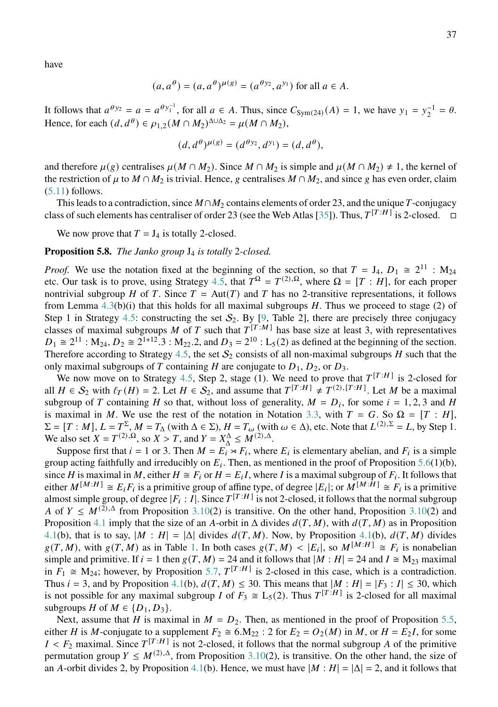have

$$
(a, a^{\theta}) = (a, a^{\theta})^{\mu(g)} = (a^{\theta y_2}, a^{y_1})
$$
 for all  $a \in A$ .

It follows that  $a^{\theta y_2} = a = a^{\theta y_1^{-1}}$ , for all  $a \in A$ . Thus, since  $C_{Sym(24)}(A) = 1$ , we have  $y_1 = y_2^{-1} = \theta$ . Hence, for each  $(d, d^{\theta}) \in \rho_{1,2}(M \cap M_2)^{\Delta \cup \Delta_2} = \mu(M \cap M_2),$ 

$$
(d, d^{\theta})^{\mu(g)} = (d^{\theta y_2}, d^{y_1}) = (d, d^{\theta}),
$$

and therefore  $\mu(g)$  centralises  $\mu(M \cap M_2)$ . Since  $M \cap M_2$  is simple and  $\mu(M \cap M_2) \neq 1$ , the kernel of the restriction of  $\mu$  to  $M \cap M_2$  is trivial. Hence, g centralises  $M \cap M_2$ , and since g has even order, claim  $(5.11)$  follows.

This leads to a contradiction, since  $M \cap M_2$  contains elements of order 23, and the unique T-conjugacy class of such elements has centraliser of order 23 (see the Web Atlas [\[35\]](#page-52-11)). Thus,  $T^{[T:H]}$  is 2-closed.  $\Box$ 

We now prove that  $T = J_4$  is totally 2-closed.

# <span id="page-36-0"></span>**Proposition 5.8.** *The Janko group* J<sup>4</sup> *is totally* 2*-closed.*

*Proof.* We use the notation fixed at the beginning of the section, so that  $T = J_4$ ,  $D_1 \cong 2^{11}$ : M<sub>24</sub> etc. Our task is to prove, using Strategy [4.5,](#page-19-0) that  $T^{\Omega} = T^{(2),\Omega}$ , where  $\Omega = [T : H]$ , for each proper nontrivial subgroup *H* of *T*. Since  $T = Aut(T)$  and *T* has no 2-transitive representations, it follows from Lemma  $4.3(b)(i)$  $4.3(b)(i)$  that this holds for all maximal subgroups H. Thus we proceed to stage (2) of Step 1 in Strategy [4.5:](#page-19-0) constructing the set  $S_2$ . By [\[9,](#page-51-9) Table 2], there are precisely three conjugacy classes of maximal subgroups M of T such that  $T^{[T:M]}$  has base size at least 3, with representatives  $D_1 \cong 2^{11}$ :  $M_{24}$ ,  $D_2 \cong 2^{1+12}$ .3:  $M_{22}$ .2, and  $D_3 = 2^{10}$ :  $L_5(2)$  as defined at the beginning of the section. Therefore according to Strategy [4.5,](#page-19-0) the set  $S_2$  consists of all non-maximal subgroups H such that the only maximal subgroups of T containing H are conjugate to  $D_1, D_2$ , or  $D_3$ .

We now move on to Strategy [4.5,](#page-19-0) Step 2, stage (1). We need to prove that  $T^{[T:H]}$  is 2-closed for all  $H \in S_2$  with  $\ell_T(H) = 2$ . Let  $H \in S_2$ , and assume that  $T^{[T:H]} \neq T^{(2),[T:H]}$ . Let M be a maximal subgroup of T containing H so that, without loss of generality,  $M = D_i$ , for some  $i = 1, 2, 3$  and H is maximal in M. We use the rest of the notation in Notation [3.3,](#page-10-1) with  $T = G$ . So  $\Omega = [T : H]$ ,  $\Sigma = [T : M], L = T^{\Sigma}, M = T_{\Delta}$  (with  $\Delta \in \Sigma$ ),  $H = T_{\omega}$  (with  $\omega \in \Delta$ ), etc. Note that  $L^{(2),\Sigma} = L$ , by Step 1. We also set  $X = T^{(2),\Omega}$ , so  $X > T$ , and  $Y = X^{\Delta}_{\Delta} \leq M^{(2),\Delta}$ .

Suppose first that  $i = 1$  or 3. Then  $M = E_i \times F_i$ , where  $E_i$  is elementary abelian, and  $F_i$  is a simple group acting faithfully and irreducibly on  $E_i$ . Then, as mentioned in the proof of Proposition [5.6\(](#page-33-0)1)(b), since H is maximal in M, either  $H \cong F_i$  or  $H = E_i I$ , where I is a maximal subgroup of  $F_i$ . It follows that either  $M^{[M:H]} \cong E_i F_i$  is a primitive group of affine type, of degree  $|E_i|$ ; or  $M^{[M:\tilde{H}]} \cong F_i$  is a primitive almost simple group, of degree  $|F_i : I|$ . Since  $T^{[T:H]}$  is not 2-closed, it follows that the normal subgroup A of  $Y \n\leq M^{(2),\Delta}$  from Proposition [3.10\(](#page-15-0)2) is transitive. On the other hand, Proposition 3.10(2) and Proposition [4.1](#page-17-2) imply that the size of an A-orbit in  $\Delta$  divides  $d(T, M)$ , with  $d(T, M)$  as in Proposition [4.1\(](#page-17-2)b), that is to say,  $|M : H| = |\Delta|$  divides  $d(T, M)$ . Now, by Proposition 4.1(b),  $d(T, M)$  divides  $g(T, M)$ , with  $g(T, M)$  as in Table [1.](#page-17-1) In both cases  $g(T, M) < |E_i|$ , so  $M^{[M:H]} \cong F_i$  is nonabelian simple and primitive. If  $i = 1$  then  $g(T, M) = 24$  and it follows that  $|M : H| = 24$  and  $I \cong M_{23}$  maximal in  $F_1 \cong M_{24}$ ; however, by Proposition [5.7,](#page-35-1)  $T^{[T:H]}$  is 2-closed in this case, which is a contradiction. Thus  $i = 3$ , and by Proposition [4.1\(](#page-17-2)b),  $d(T, M) < 30$ . This means that  $|M : H| = |F_3 : I| < 30$ , which is not possible for any maximal subgroup *I* of  $F_3 \cong L_5(2)$ . Thus  $T^{[T:H]}$  is 2-closed for all maximal subgroups *H* of  $M \in \{D_1, D_3\}$ .

Next, assume that H is maximal in  $M = D_2$ . Then, as mentioned in the proof of Proposition [5.5,](#page-32-3) either *H* is *M*-conjugate to a supplement  $F_2 \cong 6.M_{22}$ : 2 for  $E_2 = O_2(M)$  in M, or  $H = E_2I$ , for some  $I < F_2$  maximal. Since  $T^{[T:H]}$  is not 2-closed, it follows that the normal subgroup A of the primitive permutation group  $Y \n\t\leq M^{(2),\Delta}$ , from Proposition [3.10\(](#page-15-0)2), is transitive. On the other hand, the size of an A-orbit divides 2, by Proposition [4.1\(](#page-17-2)b). Hence, we must have  $|M : H| = |\Delta| = 2$ , and it follows that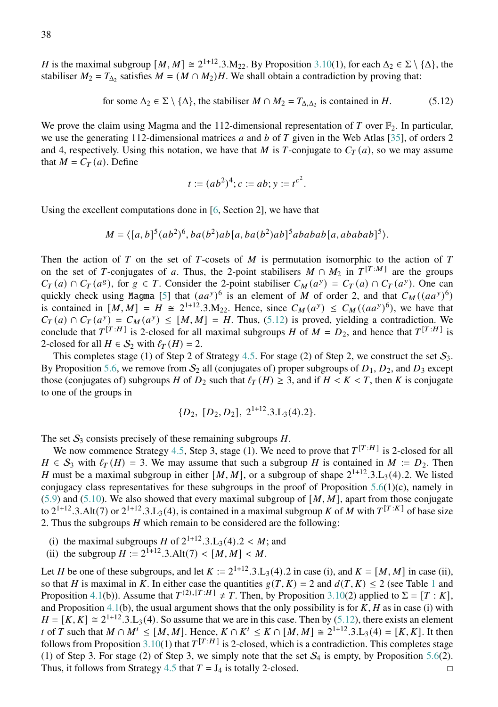for some 
$$
\Delta_2 \in \Sigma \setminus \{\Delta\}
$$
, the stabiliser  $M \cap M_2 = T_{\Delta, \Delta_2}$  is contained in H. (5.12)

We prove the claim using Magma and the 112-dimensional representation of T over  $\mathbb{F}_2$ . In particular, we use the generating 112-dimensional matrices  $a$  and  $b$  of  $T$  given in the Web Atlas [\[35\]](#page-52-11), of orders 2 and 4, respectively. Using this notation, we have that  $M$  is  $T$ -conjugate to  $C_T(a)$ , so we may assume that  $M = C_T(a)$ . Define

<span id="page-37-0"></span>
$$
t := (ab^2)^4
$$
;  $c := ab$ ;  $y := t^{c^2}$ .

Using the excellent computations done in [\[6,](#page-51-13) Section 2], we have that

$$
M = \langle [a,b]^5 (ab^2)^6, ba(b^2) ab [a, ba(b^2) ab]^5 ababab [a, ababab]^5 \rangle.
$$

Then the action of  $T$  on the set of  $T$ -cosets of  $M$  is permutation isomorphic to the action of  $T$ on the set of T-conjugates of a. Thus, the 2-point stabilisers  $M \cap M_2$  in  $T^{[T:M]}$  are the groups  $C_T(a) \cap C_T(a^g)$ , for  $g \in T$ . Consider the 2-point stabiliser  $C_M(a^y) = C_T(a) \cap C_T(a^y)$ . One can quickly check using Magma [\[5\]](#page-51-11) that  $(aa^y)^6$  is an element of M of order 2, and that  $C_M((aa^y)^6)$ is contained in  $[M, M] = H \cong 2^{1+12} \cdot 3 \cdot M_{22}$ . Hence, since  $C_M(a^y) \le C_M((aa^y)^6)$ , we have that  $C_T(a) \cap C_T(a^y) = C_M(a^y) \leq [M, M] = H$ . Thus, [\(5.12\)](#page-37-0) is proved, yielding a contradiction. We conclude that  $T^{[T:H]}$  is 2-closed for all maximal subgroups H of  $M = D_2$ , and hence that  $T^{[T:H]}$  is 2-closed for all  $H \in S_2$  with  $\ell_T(H) = 2$ .

This completes stage (1) of Step 2 of Strategy [4.5.](#page-19-0) For stage (2) of Step 2, we construct the set  $S_3$ . By Proposition [5.6,](#page-33-0) we remove from  $S_2$  all (conjugates of) proper subgroups of  $D_1$ ,  $D_2$ , and  $D_3$  except those (conjugates of) subgroups *H* of  $D_2$  such that  $\ell_T(H) \geq 3$ , and if  $H < K < T$ , then *K* is conjugate to one of the groups in

$$
\{D_2, [D_2, D_2], 2^{1+12} \ldots 3 \ldots 4 \ldots 2 \}.
$$

The set  $S_3$  consists precisely of these remaining subgroups  $H$ .

We now commence Strategy [4.5,](#page-19-0) Step 3, stage (1). We need to prove that  $T^{[T:H]}$  is 2-closed for all  $H \in S_3$  with  $\ell_T(H) = 3$ . We may assume that such a subgroup H is contained in  $M := D_2$ . Then H must be a maximal subgroup in either  $[M, M]$ , or a subgroup of shape  $2^{1+12} \cdot 3 \cdot L_3(4) \cdot 2$ . We listed conjugacy class representatives for these subgroups in the proof of Proposition  $5.6(1)(c)$  $5.6(1)(c)$ , namely in [\(5.9\)](#page-33-1) and [\(5.10\)](#page-33-2). We also showed that every maximal subgroup of  $[M, M]$ , apart from those conjugate to  $2^{1+12}$ .3.Alt(7) or  $2^{1+12}$ .3.L<sub>3</sub>(4), is contained in a maximal subgroup K of M with  $T^{[T:K]}$  of base size 2. Thus the subgroups  $H$  which remain to be considered are the following:

- (i) the maximal subgroups H of  $2^{1+12} \cdot 3 \cdot L_3(4) \cdot 2 \cdot M$ ; and
- (ii) the subgroup  $H := 2^{1+12} \cdot 3.$  Alt $(7)$  <  $[M, M]$  < M.

Let *H* be one of these subgroups, and let  $K := 2^{1+12} \cdot 3 \cdot L_3(4) \cdot 2$  in case (i), and  $K = [M, M]$  in case (ii), so that H is maximal in K. In either case the quantities  $g(T, K) = 2$  and  $d(T, K) < 2$  (see Table [1](#page-17-1) and Proposition [4.1\(](#page-17-2)b)). Assume that  $T^{(2),[T:H]} \neq T$ . Then, by Proposition [3.10\(](#page-15-0)2) applied to  $\Sigma = [T:K]$ , and Proposition [4.1\(](#page-17-2)b), the usual argument shows that the only possibility is for  $K$ ,  $H$  as in case (i) with  $H = [K, K] \cong 2^{1+12} \cdot 3 \cdot L_3(4)$ . So assume that we are in this case. Then by [\(5.12\)](#page-37-0), there exists an element t of T such that  $M \cap M^t \leq [M, M]$ . Hence,  $K \cap K^t \leq K \cap [M, M] \cong 2^{1+12} \cdot 3 \cdot L_3(4) = [K, K]$ . It then follows from Proposition [3.10\(](#page-15-0)1) that  $T^{[T:H]}$  is 2-closed, which is a contradiction. This completes stage (1) of Step 3. For stage (2) of Step 3, we simply note that the set  $S_4$  is empty, by Proposition [5.6\(](#page-33-0)2). Thus, it follows from Strategy [4.5](#page-19-0) that  $T = J_4$  is totally 2-closed.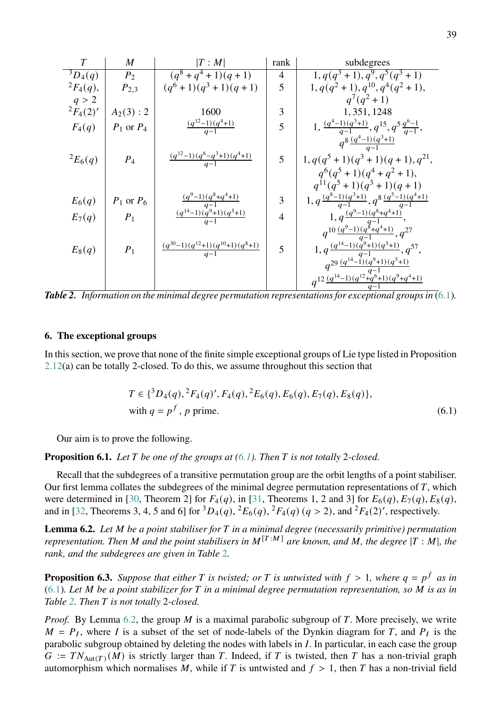| $\overline{T}$            | $\boldsymbol{M}$ | T:M                                                   | rank           | subdegrees                                                             |
|---------------------------|------------------|-------------------------------------------------------|----------------|------------------------------------------------------------------------|
| $\overline{^{3}D_{4}(q)}$ | P <sub>2</sub>   | $(q^{8} + q^{4} + 1)(q + 1)$                          | $\overline{4}$ | $1, q(q^3+1), q^9, q^5(q^3+1)$                                         |
| ${}^{2}F_{4}(q),$         | $P_{2,3}$        | $(q6+1)(q3+1)(q+1)$                                   | 5              | $1, q(q^2+1), q^{10}, q^4(q^2+1),$                                     |
| q > 2                     |                  |                                                       |                | $q^7(q^2+1)$                                                           |
| ${}^{2}F_{4}(2)'$         | $A_2(3): 2$      | 1600                                                  | 3              | 1, 351, 1248                                                           |
| $F_4(q)$                  | $P_1$ or $P_4$   | $\frac{(q^{12}-1)(q^4+1)}{q-1}$                       | 5              | 1, $\frac{(q^4-1)(q^3+1)}{q-1}$ , $q^{15}$ , $q^5 \frac{q^6-1}{q-1}$ , |
|                           |                  |                                                       |                | $q^{8}\frac{(q^4-1)(q^3+1)}{q-1}$                                      |
| ${}^{2}E_{6}(q)$          | $P_4$            | $\frac{(q^{12}-1)(q^6-q^3+1)(q^4+1)}{q-1}$            | 5              | $1, q(q^5 + 1)(q^3 + 1)(q + 1), q^{21},$                               |
|                           |                  |                                                       |                | $q^{6}(q^{5}+1)(q^{4}+q^{2}+1),$                                       |
|                           |                  |                                                       |                | $q^{11}(q^5+1)(q^3+1)(q+1)$                                            |
| $E_6(q)$                  | $P_1$ or $P_6$   | $\frac{(q^9-1)(q^8+q^4+1)}{q-1}$                      | 3              | 1, $q\frac{(q^8-1)(q^3+1)}{q-1}, q^8\frac{(q^5-1)(q^4+1)}{q-1}$        |
| $E_7(q)$                  | $P_1$            | $\frac{(q^{14}-1)\,(q^{9}+1)\,(q^{5}+1)}{q-1}$        | $\overline{4}$ | 1, $q \frac{(q^9-1)(q^8+q^4+1)}{q-1}$ ,                                |
|                           |                  |                                                       |                | $q^{10}\frac{(q^9-1)(q^{\xi}+q^4+1)}{q-1},q^{27}$                      |
| $E_8(q)$                  | $P_1$            | $\frac{(q^{30}-1)(q^{12}+1)(q^{10}+1)(q^{8}+1)}{q-1}$ | 5              | $1, q \frac{(q^{14}-1)(q^9+1)(q^5+1)}{q-1}, q^{57},$                   |
|                           |                  |                                                       |                | $q^{29}\frac{(q^{14}-1)(q^9+1)(q^5+1)}{q-1}$                           |
|                           |                  |                                                       |                | $q^{12}\frac{(q^{14}-1)(q^{12}+q^{6}+1)(q^{9}+q^{4}+1)}{q-1}$          |

<span id="page-38-2"></span>*Table 2. Information on the minimal degree permutation representations for exceptional groups in* [\(6.1\)](#page-38-1)*.*

# <span id="page-38-0"></span>**6. The exceptional groups**

In this section, we prove that none of the finite simple exceptional groups of Lie type listed in Proposition [2.12\(](#page-8-1)a) can be totally 2-closed. To do this, we assume throughout this section that

<span id="page-38-1"></span>
$$
T \in \{^{3}D_{4}(q), {^{2}F_{4}(q)}', F_{4}(q), {^{2}E_{6}(q)}, E_{6}(q), E_{7}(q), E_{8}(q)\},
$$
  
with  $q = p^{f}$ , p prime. (6.1)

Our aim is to prove the following.

<span id="page-38-4"></span>**Proposition 6.1.** *Let be one of the groups at [\(6.1\)](#page-38-1). Then is not totally* 2*-closed.*

Recall that the subdegrees of a transitive permutation group are the orbit lengths of a point stabiliser. Our first lemma collates the subdegrees of the minimal degree permutation representations of  $T$ , which were determined in [\[30,](#page-52-16) Theorem 2] for  $F_4(q)$ , in [\[31,](#page-52-17) Theorems 1, 2 and 3] for  $E_6(q)$ ,  $E_7(q)$ ,  $E_8(q)$ , and in [\[32,](#page-52-18) Theorems 3, 4, 5 and 6] for  ${}^3D_4(q)$ ,  ${}^2E_6(q)$ ,  ${}^2F_4(q)$  ( $q > 2$ ), and  ${}^2F_4(2)'$ , respectively.

<span id="page-38-3"></span>**Lemma 6.2.** *Let be a point stabiliser for in a minimal degree (necessarily primitive) permutation representation. Then M* and the point stabilisers in  $M^{[T:M]}$  are known, and M, the degree |T : M|, the *rank, and the subdegrees are given in Table* [2](#page-38-2)*.*

<span id="page-38-5"></span>**Proposition 6.3.** Suppose that either T is twisted; or T is untwisted with  $f > 1$ , where  $q = p^f$  as in [\(6.1\)](#page-38-1)*. Let be a point stabilizer for in a minimal degree permutation representation, so is as in Table [2.](#page-38-2) Then is not totally* 2*-closed.*

*Proof.* By Lemma [6.2,](#page-38-3) the group  $M$  is a maximal parabolic subgroup of  $T$ . More precisely, we write  $M = P_I$ , where I is a subset of the set of node-labels of the Dynkin diagram for T, and  $P_I$  is the parabolic subgroup obtained by deleting the nodes with labels in  $I$ . In particular, in each case the group  $G := TN_{\text{Aut}(T)}(M)$  is strictly larger than T. Indeed, if T is twisted, then T has a non-trivial graph automorphism which normalises M, while if T is untwisted and  $f > 1$ , then T has a non-trivial field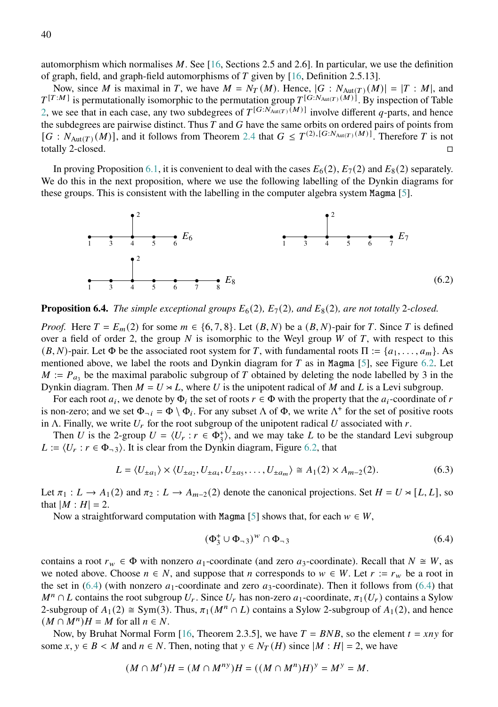automorphism which normalises  $M$ . See [\[16,](#page-51-14) Sections 2.5 and 2.6]. In particular, we use the definition of graph, field, and graph-field automorphisms of  $T$  given by [\[16,](#page-51-14) Definition 2.5.13].

Now, since M is maximal in T, we have  $M = N_T(M)$ . Hence,  $|G : N_{\text{Aut}(T)}(M)| = |T : M|$ , and  $T^{[T:M]}$  is permutationally isomorphic to the permutation group  $T^{[G:N_{Aut(T)}(M)]}$ . By inspection of Table [2,](#page-38-2) we see that in each case, any two subdegrees of  $T^{[G:N_{\text{Aut}(T)}(M)]}$  involve different q-parts, and hence the subdegrees are pairwise distinct. Thus  $T$  and  $G$  have the same orbits on ordered pairs of points from  $[G: N_{Aut(T)}(M)]$ , and it follows from Theorem [2.4](#page-4-3) that  $G \leq T^{(2), [G:N_{Aut(T)}(M)]}$ . Therefore T is not totally 2-closed.

In proving Proposition [6.1,](#page-38-4) it is convenient to deal with the cases  $E_6(2)$ ,  $E_7(2)$  and  $E_8(2)$  separately. We do this in the next proposition, where we use the following labelling of the Dynkin diagrams for these groups. This is consistent with the labelling in the computer algebra system Magma [\[5\]](#page-51-11).



<span id="page-39-2"></span>**Proposition 6.4.** *The simple exceptional groups*  $E_6(2)$ ,  $E_7(2)$ , and  $E_8(2)$ , are not totally 2-closed.

*Proof.* Here  $T = E_m(2)$  for some  $m \in \{6, 7, 8\}$ . Let  $(B, N)$  be a  $(B, N)$ -pair for T. Since T is defined over a field of order 2, the group  $N$  is isomorphic to the Weyl group  $W$  of  $T$ , with respect to this  $(B, N)$ -pair. Let  $\Phi$  be the associated root system for T, with fundamental roots  $\Pi := \{a_1, \ldots, a_m\}$ . As mentioned above, we label the roots and Dynkin diagram for  $T$  as in Magma [\[5\]](#page-51-11), see Figure [6.2.](#page-39-0) Let  $M := P_{a_3}$  be the maximal parabolic subgroup of T obtained by deleting the node labelled by 3 in the Dynkin diagram. Then  $M = U \times L$ , where U is the unipotent radical of M and L is a Levi subgroup.

For each root  $a_i$ , we denote by  $\Phi_i$  the set of roots  $r \in \Phi$  with the property that the  $a_i$ -coordinate of r is non-zero; and we set  $\Phi_{-i} = \Phi \setminus \Phi_i$ . For any subset  $\Lambda$  of  $\Phi$ , we write  $\Lambda^+$  for the set of positive roots in Λ. Finally, we write  $U_r$  for the root subgroup of the unipotent radical U associated with r.

Then U is the 2-group  $U = \langle U_r : r \in \Phi_3^* \rangle$ , and we may take L to be the standard Levi subgroup  $L := \langle U_r : r \in \Phi_{\neg 3} \rangle$ . It is clear from the Dynkin diagram, Figure [6.2,](#page-39-0) that

$$
L = \langle U_{\pm a_1} \rangle \times \langle U_{\pm a_2}, U_{\pm a_4}, U_{\pm a_5}, \dots, U_{\pm a_m} \rangle \cong A_1(2) \times A_{m-2}(2). \tag{6.3}
$$

Let  $\pi_1 : L \to A_1(2)$  and  $\pi_2 : L \to A_{m-2}(2)$  denote the canonical projections. Set  $H = U \rtimes [L, L]$ , so that  $|M : H| = 2$ .

Now a straightforward computation with Magma [\[5\]](#page-51-11) shows that, for each  $w \in W$ ,

<span id="page-39-1"></span><span id="page-39-0"></span>
$$
(\Phi_3^+ \cup \Phi_{-3})^w \cap \Phi_{-3} \tag{6.4}
$$

contains a root  $r_w \in \Phi$  with nonzero  $a_1$ -coordinate (and zero  $a_3$ -coordinate). Recall that  $N \cong W$ , as we noted above. Choose  $n \in N$ , and suppose that *n* corresponds to  $w \in W$ . Let  $r := r_w$  be a root in the set in [\(6.4\)](#page-39-1) (with nonzero  $a_1$ -coordinate and zero  $a_3$ -coordinate). Then it follows from (6.4) that  $M^n \cap L$  contains the root subgroup  $U_r$ . Since  $U_r$  has non-zero  $a_1$ -coordinate,  $\pi_1(U_r)$  contains a Sylow 2-subgroup of  $A_1(2) \cong Sym(3)$ . Thus,  $\pi_1(M^n \cap L)$  contains a Sylow 2-subgroup of  $A_1(2)$ , and hence  $(M \cap M^n)H = M$  for all  $n \in N$ .

Now, by Bruhat Normal Form [\[16,](#page-51-14) Theorem 2.3.5], we have  $T = BNB$ , so the element  $t = xny$  for some  $x, y \in B \lt M$  and  $n \in N$ . Then, noting that  $y \in N_T(H)$  since  $|M : H| = 2$ , we have

$$
(M \cap M^{t})H = (M \cap M^{ny})H = ((M \cap M^{n})H)^{y} = M^{y} = M.
$$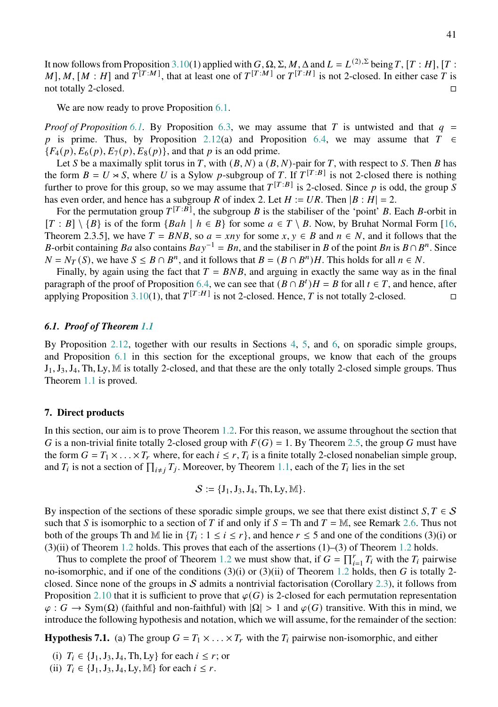It now follows from Proposition [3.10\(](#page-15-0)1) applied with  $G$ ,  $\Omega$ ,  $\Sigma$ ,  $M$ ,  $\Delta$  and  $L = L^{(2),\Sigma}$  being  $T$ ,  $[T : H]$ ,  $[T : H]$ M], M, [M : H] and  $T^{[T:M]}$ , that at least one of  $T^{[T:M]}$  or  $T^{[T:H]}$  is not 2-closed. In either case T is not totally 2-closed.

We are now ready to prove Proposition [6.1.](#page-38-4)

*Proof of Proposition* [6.1.](#page-38-4) By Proposition [6.3,](#page-38-5) we may assume that T is untwisted and that  $q =$ p is prime. Thus, by Proposition [2.12\(](#page-8-1)a) and Proposition [6.4,](#page-39-2) we may assume that  $T \in$  ${F_4(p), F_6(p), F_7(p), F_8(p)}$ , and that p is an odd prime.

Let S be a maximally split torus in T, with  $(B, N)$  a  $(B, N)$ -pair for T, with respect to S. Then B has the form  $B = U \rtimes S$ , where U is a Sylow p-subgroup of T. If  $T^{[T:B]}$  is not 2-closed there is nothing further to prove for this group, so we may assume that  $T^{[T:B]}$  is 2-closed. Since p is odd, the group S has even order, and hence has a subgroup R of index 2. Let  $H := UR$ . Then  $|B : H| = 2$ .

For the permutation group  $T^{[T:B]}$ , the subgroup B is the stabiliser of the 'point' B. Each B-orbit in  $[T : B] \setminus {B}$  is of the form  ${Bah | h \in B}$  for some  $a \in T \setminus B$ . Now, by Bruhat Normal Form [\[16,](#page-51-14) Theorem 2.3.5], we have  $T = BNB$ , so  $a = xny$  for some  $x, y \in B$  and  $n \in N$ , and it follows that the B-orbit containing Ba also contains  $Bay^{-1} = Bn$ , and the stabiliser in B of the point Bn is  $B \cap B<sup>n</sup>$ . Since  $N = N_T(S)$ , we have  $S \leq B \cap B^n$ , and it follows that  $B = (B \cap B^n)H$ . This holds for all  $n \in N$ .

Finally, by again using the fact that  $T = BNB$ , and arguing in exactly the same way as in the final paragraph of the proof of Proposition [6.4,](#page-39-2) we can see that  $(B \cap B^t)H = B$  for all  $t \in T$ , and hence, after applying Proposition [3.10\(](#page-15-0)1), that  $T^{[T:H]}$  is not 2-closed. Hence, T is not totally 2-closed.

# *6.1. Proof of Theorem [1.1](#page-1-0)*

By Proposition [2.12,](#page-8-1) together with our results in Sections [4,](#page-17-0) [5,](#page-28-0) and [6,](#page-38-0) on sporadic simple groups, and Proposition [6.1](#page-38-4) in this section for the exceptional groups, we know that each of the groups  $J_1, J_3, J_4$ , Th, Ly, M is totally 2-closed, and that these are the only totally 2-closed simple groups. Thus Theorem [1.1](#page-1-0) is proved.

# <span id="page-40-0"></span>**7. Direct products**

In this section, our aim is to prove Theorem [1.2.](#page-1-2) For this reason, we assume throughout the section that G is a non-trivial finite totally 2-closed group with  $F(G) = 1$ . By Theorem [2.5,](#page-5-0) the group G must have the form  $G = T_1 \times \ldots \times T_r$  where, for each  $i \leq r$ ,  $T_i$  is a finite totally 2-closed nonabelian simple group, and  $T_i$  is not a section of  $\prod_{i \neq j} T_j$ . Moreover, by Theorem [1.1,](#page-1-0) each of the  $T_i$  lies in the set

$$
\mathcal{S}:=\{J_1,J_3,J_4,Th,Ly,\mathbb{M}\}.
$$

By inspection of the sections of these sporadic simple groups, we see that there exist distinct  $S, T \in S$ such that S is isomorphic to a section of T if and only if  $S = Th$  and  $T = M$ , see Remark [2.6.](#page-6-0) Thus not both of the groups Th and M lie in  $\{T_i : 1 \le i \le r\}$ , and hence  $r \le 5$  and one of the conditions (3)(i) or  $(3)(ii)$  of Theorem [1.2](#page-1-2) holds. This proves that each of the assertions  $(1)$ – $(3)$  of Theorem 1.2 holds.

Thus to complete the proof of Theorem [1.2](#page-1-2) we must show that, if  $G = \prod_{i=1}^r T_i$  with the  $T_i$  pairwise no-isomorphic, and if one of the conditions  $(3)(i)$  or  $(3)(ii)$  of Theorem [1.2](#page-1-2) holds, then G is totally 2-closed. Since none of the groups in S admits a nontrivial factorisation (Corollary [2.3\)](#page-4-4), it follows from Proposition [2.10](#page-7-0) that it is sufficient to prove that  $\varphi(G)$  is 2-closed for each permutation representation  $\varphi$ :  $G \to \text{Sym}(\Omega)$  (faithful and non-faithful) with  $|\Omega| > 1$  and  $\varphi(G)$  transitive. With this in mind, we introduce the following hypothesis and notation, which we will assume, for the remainder of the section:

<span id="page-40-1"></span>**Hypothesis 7.1.** (a) The group  $G = T_1 \times \ldots \times T_r$  with the  $T_i$  pairwise non-isomorphic, and either

- (i)  $T_i \in \{J_1, J_3, J_4, Th, Ly\}$  for each  $i \le r$ ; or
- (ii)  $T_i \in \{J_1, J_3, J_4, Ly, M\}$  for each  $i \leq r$ .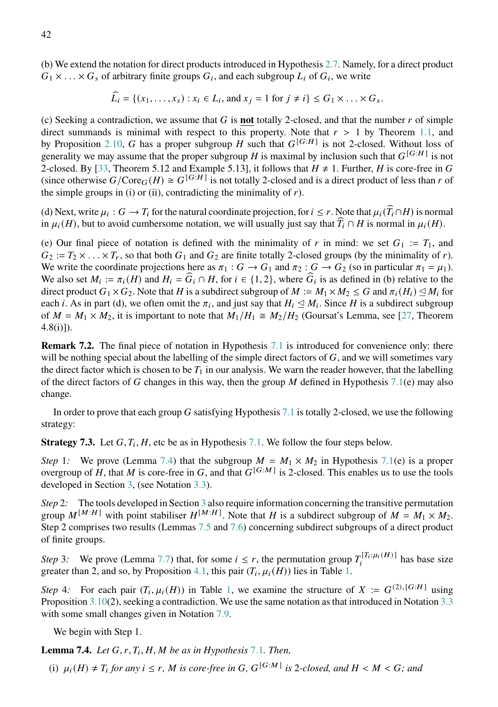(b) We extend the notation for direct products introduced in Hypothesis [2.7.](#page-6-1) Namely, for a direct product  $G_1 \times \ldots \times G_s$  of arbitrary finite groups  $G_i$ , and each subgroup  $L_i$  of  $G_i$ , we write

$$
\widehat{L_i} = \{(x_1, \ldots, x_s) : x_i \in L_i, \text{ and } x_j = 1 \text{ for } j \neq i\} \le G_1 \times \ldots \times G_s.
$$

(c) Seeking a contradiction, we assume that  $G$  is **not** totally 2-closed, and that the number  $r$  of simple direct summands is minimal with respect to this property. Note that  $r > 1$  by Theorem [1.1,](#page-1-0) and by Proposition [2.10,](#page-7-0) G has a proper subgroup H such that  $G^{[G:H]}$  is not 2-closed. Without loss of generality we may assume that the proper subgroup H is maximal by inclusion such that  $G^{[G:H]}$  is not 2-closed. By [\[33,](#page-52-0) Theorem 5.12 and Example 5.13], it follows that  $H \neq 1$ . Further, H is core-free in G (since otherwise  $G/\text{Core}_G(H) \cong G^{[G:H]}$  is not totally 2-closed and is a direct product of less than r of the simple groups in (i) or (ii), contradicting the minimality of  $r$ ).

(d) Next, write  $\mu_i : G \to T_i$  for the natural coordinate projection, for  $i \leq r$ . Note that  $\mu_i(\widehat{T}_i \cap H)$  is normal in  $\mu_i(H)$ , but to avoid cumbersome notation, we will usually just say that  $\widehat{T}_i \cap H$  is normal in  $\mu_i(H)$ .

(e) Our final piece of notation is defined with the minimality of r in mind: we set  $G_1 := T_1$ , and  $G_2 := T_2 \times \ldots \times T_r$ , so that both  $G_1$  and  $G_2$  are finite totally 2-closed groups (by the minimality of r). We write the coordinate projections here as  $\pi_1 : G \to G_1$  and  $\pi_2 : G \to G_2$  (so in particular  $\pi_1 = \mu_1$ ). We also set  $M_i := \pi_i(H)$  and  $H_i = \widehat{G}_i \cap H$ , for  $i \in \{1, 2\}$ , where  $\widehat{G}_i$  is as defined in (b) relative to the direct product  $G_1 \times G_2$ . Note that H is a subdirect subgroup of  $M := M_1 \times M_2 \leq G$  and  $\pi_i(H_i) \leq M_i$  for each *i*. As in part (d), we often omit the  $\pi_i$ , and just say that  $H_i \leq M_i$ . Since *H* is a subdirect subgroup of  $M = M_1 \times M_2$ , it is important to note that  $M_1/H_1 \cong M_2/H_2$  (Goursat's Lemma, see [\[27,](#page-52-4) Theorem 4.8(i)]).

<span id="page-41-2"></span>**Remark 7.2.** The final piece of notation in Hypothesis [7.1](#page-40-1) is introduced for convenience only: there will be nothing special about the labelling of the simple direct factors of  $G$ , and we will sometimes vary the direct factor which is chosen to be  $T_1$  in our analysis. We warn the reader however, that the labelling of the direct factors of G changes in this way, then the group M defined in Hypothesis [7.1\(](#page-40-1)e) may also change.

In order to prove that each group  $G$  satisfying Hypothesis [7.1](#page-40-1) is totally 2-closed, we use the following strategy:

<span id="page-41-1"></span>**Strategy 7.3.** Let  $G, T_i, H$ , etc be as in Hypothesis [7.1.](#page-40-1) We follow the four steps below.

*Step* 1*:* We prove (Lemma [7.4\)](#page-41-0) that the subgroup  $M = M_1 \times M_2$  in Hypothesis [7.1\(](#page-40-1)e) is a proper overgroup of H, that M is core-free in G, and that  $G^{[G:M]}$  is 2-closed. This enables us to use the tools developed in Section [3,](#page-9-0) (see Notation [3.3\)](#page-10-1).

*Step* 2*:* The tools developed in Section [3](#page-9-0) also require information concerning the transitive permutation group  $M^{[M:H]}$  with point stabiliser  $H^{[M:H]}$ . Note that H is a subdirect subgroup of  $M = M_1 \times M_2$ . Step 2 comprises two results (Lemmas [7.5](#page-42-0) and [7.6\)](#page-43-0) concerning subdirect subgroups of a direct product of finite groups.

*Step* 3: We prove (Lemma [7.7\)](#page-43-1) that, for some  $i \leq r$ , the permutation group  $T_i^{[T_i:\mu_i(H)]}$  has base size greater than 2, and so, by Proposition [4.1,](#page-17-2) this pair  $(T_i, \mu_i(H))$  lies in Table [1.](#page-17-1)

*Step* 4: For each pair  $(T_i, \mu_i(H))$  in Table [1,](#page-17-1) we examine the structure of  $X := G^{(2), [G:H]}$  using Proposition [3.10\(](#page-15-0)2), seeking a contradiction. We use the same notation as that introduced in Notation [3.3](#page-10-1) with some small changes given in Notation [7.9.](#page-44-0)

We begin with Step 1.

<span id="page-41-0"></span>**Lemma [7](#page-40-1).4.** *Let*  $G, r, T_i, H, M$  *be as in Hypothesis* 7.1*. Then,* 

(i)  $\mu_i(H) \neq T_i$  for any  $i \leq r$ , M is core-free in G,  $G^{[G:M]}$  is 2-closed, and  $H \lt M \lt G$ ; and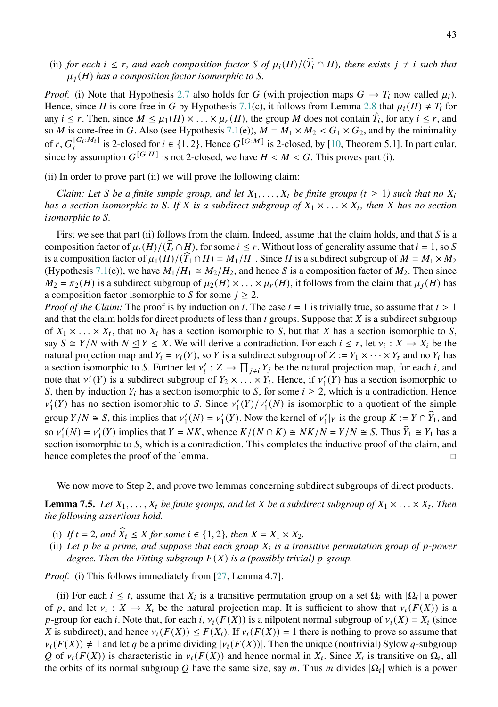(ii) *for each*  $i \leq r$ , and each composition factor *S* of  $\mu_i(H)/(\widehat{T}_i \cap H)$ , there exists  $j \neq i$  such that  $\mu_i(H)$  has a composition factor isomorphic to *S*.

*Proof.* (i) Note that Hypothesis [2.7](#page-6-1) also holds for G (with projection maps  $G \to T_i$  now called  $\mu_i$ ). Hence, since *H* is core-free in *G* by Hypothesis [7.1\(](#page-40-1)c), it follows from Lemma [2.8](#page-6-2) that  $\mu_i(H) \neq T_i$  for any  $i \leq r$ . Then, since  $M \leq \mu_1(H) \times \ldots \times \mu_r(H)$ , the group M does not contain  $\hat{T}_i$ , for any  $i \leq r$ , and so *M* is core-free in G. Also (see Hypothesis [7.1\(](#page-40-1)e)),  $M = M_1 \times M_2 < G_1 \times G_2$ , and by the minimality of r,  $G_i^{[G_i:M_i]}$  is 2-closed for  $i \in \{1,2\}$ . Hence  $G^{[G:M]}$  is 2-closed, by [\[10,](#page-51-15) Theorem 5.1]. In particular, since by assumption  $G^{[G:H]}$  is not 2-closed, we have  $H < M < G$ . This proves part (i).

(ii) In order to prove part (ii) we will prove the following claim:

*Claim: Let S* be a finite simple group, and let  $X_1, \ldots, X_t$  be finite groups ( $t \geq 1$ ) such that no  $X_i$ has a section isomorphic to S. If X is a subdirect subgroup of  $X_1 \times \ldots \times X_t$ , then X has no section *isomorphic to S.* 

First we see that part (ii) follows from the claim. Indeed, assume that the claim holds, and that  $S$  is a composition factor of  $\mu_i(H)/(\overline{T}_i \cap H)$ , for some  $i \leq r$ . Without loss of generality assume that  $i = 1$ , so S is a composition factor of  $\mu_1(H)/(\widehat{T_1} \cap H) = M_1/H_1$ . Since H is a subdirect subgroup of  $M = M_1 \times M_2$ (Hypothesis [7.1\(](#page-40-1)e)), we have  $M_1/H_1 \cong M_2/H_2$ , and hence S is a composition factor of  $M_2$ . Then since  $M_2 = \pi_2(H)$  is a subdirect subgroup of  $\mu_2(H) \times \ldots \times \mu_r(H)$ , it follows from the claim that  $\mu_i(H)$  has a composition factor isomorphic to S for some  $j \geq 2$ .

*Proof of the Claim:* The proof is by induction on t. The case  $t = 1$  is trivially true, so assume that  $t > 1$ and that the claim holds for direct products of less than  $t$  groups. Suppose that  $X$  is a subdirect subgroup of  $X_1 \times \ldots \times X_t$ , that no  $X_i$  has a section isomorphic to S, but that X has a section isomorphic to S, say  $S \cong Y/N$  with  $N \leq Y \leq X$ . We will derive a contradiction. For each  $i \leq r$ , let  $v_i : X \to X_i$  be the natural projection map and  $Y_i = v_i(Y)$ , so Y is a subdirect subgroup of  $Z := Y_1 \times \cdots \times Y_t$  and no  $Y_i$  has a section isomorphic to S. Further let  $v'_i : Z \to \prod_{j \neq i} Y_j$  be the natural projection map, for each i, and note that  $v'_1(Y)$  is a subdirect subgroup of  $Y_2 \times \ldots \times Y_t$ . Hence, if  $v'_1(Y)$  has a section isomorphic to S, then by induction  $Y_i$  has a section isomorphic to S, for some  $i \geq 2$ , which is a contradiction. Hence  $v'_{1}(Y)$  has no section isomorphic to S. Since  $v'_{1}(Y)/v'_{1}(N)$  is isomorphic to a quotient of the simple group  $Y/N \cong S$ , this implies that  $v'_1(N) = v'_1(Y)$ . Now the kernel of  $v'_1|_Y$  is the group  $K := Y \cap \widehat{Y}_1$ , and so  $v'_1(N) = v'_1(Y)$  implies that  $Y = NK$ , whence  $K/(N \cap K) \cong NK/N = Y/N \cong S$ . Thus  $\widehat{Y}_1 \cong Y_1$  has a section isomorphic to  $S$ , which is a contradiction. This completes the inductive proof of the claim, and hence completes the proof of the lemma.

We now move to Step 2, and prove two lemmas concerning subdirect subgroups of direct products.

<span id="page-42-0"></span>**Lemma 7.5.** Let  $X_1, \ldots, X_t$  be finite groups, and let X be a subdirect subgroup of  $X_1 \times \ldots \times X_t$ . Then *the following assertions hold.*

- (i) If  $t = 2$ , and  $\widehat{X}_i \leq X$  for some  $i \in \{1, 2\}$ , then  $X = X_1 \times X_2$ .
- (ii) Let  $p$  be a prime, and suppose that each group  $X_i$  is a transitive permutation group of  $p$ -power *degree. Then the Fitting subgroup*  $F(X)$  *is a (possibly trivial) p-group.*

*Proof.* (i) This follows immediately from [\[27,](#page-52-4) Lemma 4.7].

(ii) For each  $i \leq t$ , assume that  $X_i$  is a transitive permutation group on a set  $\Omega_i$  with  $|\Omega_i|$  a power of p, and let  $v_i : X \to X_i$  be the natural projection map. It is sufficient to show that  $v_i(F(X))$  is a p-group for each i. Note that, for each i,  $v_i(F(X))$  is a nilpotent normal subgroup of  $v_i(X) = X_i$  (since X is subdirect), and hence  $v_i(F(X)) \leq F(X_i)$ . If  $v_i(F(X)) = 1$  there is nothing to prove so assume that  $v_i(F(X)) \neq 1$  and let q be a prime dividing  $|v_i(F(X))|$ . Then the unique (nontrivial) Sylow q-subgroup Q of  $v_i(F(X))$  is characteristic in  $v_i(F(X))$  and hence normal in  $X_i$ . Since  $X_i$  is transitive on  $\Omega_i$ , all the orbits of its normal subgroup Q have the same size, say m. Thus m divides  $|\Omega_i|$  which is a power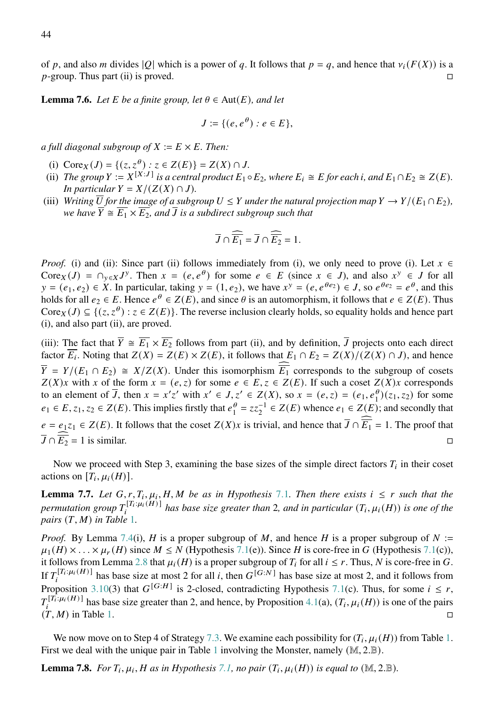of p, and also m divides |Q| which is a power of q. It follows that  $p = q$ , and hence that  $v_i(F(X))$  is a  $p$ -group. Thus part (ii) is proved.

<span id="page-43-0"></span>**Lemma 7.6.** *Let*  $E$  *be a finite group, let*  $\theta \in Aut(E)$ *, and let* 

$$
J := \{ (e, e^{\theta}) : e \in E \},
$$

*a full diagonal subgroup of*  $X := E \times E$ . Then:

- (i)  $Core_X(J) = \{(z, z^{\theta}) : z \in Z(E)\} = Z(X) \cap J$ .
- (ii) *The group*  $Y := X^{[X:J]}$  *is a central product*  $E_1 \circ E_2$ *, where*  $E_i \cong E$  *for each <i>i*, *and*  $E_1 \cap E_2 \cong Z(E)$ *. In particular*  $Y = X/(Z(X) \cap J)$ *.*
- (iii) *Writing*  $\overline{U}$  for the image of a subgroup  $U \leq Y$  under the natural projection map  $Y \to Y/(E_1 \cap E_2)$ , *we have*  $\overline{Y} \cong \overline{E_1} \times \overline{E_2}$ , and  $\overline{J}$  is a subdirect subgroup such that

$$
\overline{J}\cap \overline{\widehat{E_1}}=\overline{J}\cap \overline{\widehat{E_2}}=1.
$$

*Proof.* (i) and (ii): Since part (ii) follows immediately from (i), we only need to prove (i). Let  $x \in$ Core  $\chi$  (*J*) =  $\cap_{y \in X} J^y$ . Then  $x = (e, e^{\theta})$  for some  $e \in E$  (since  $x \in J$ ), and also  $x^y \in J$  for all  $y = (e_1, e_2) \in X$ . In particular, taking  $y = (1, e_2)$ , we have  $x^y = (e, e^{\theta e_2}) \in J$ , so  $e^{\theta e_2} = e^{\theta}$ , and this holds for all  $e_2 \in E$ . Hence  $e^{\theta} \in Z(E)$ , and since  $\theta$  is an automorphism, it follows that  $e \in Z(E)$ . Thus Core  $(x, z^{\theta})$ :  $z \in Z(E)$ . The reverse inclusion clearly holds, so equality holds and hence part (i), and also part (ii), are proved.

(iii): The fact that  $\overline{Y} \cong \overline{E_1} \times \overline{E_2}$  follows from part (ii), and by definition,  $\overline{J}$  projects onto each direct factor  $\overline{E_i}$ . Noting that  $Z(X) = Z(E) \times Z(E)$ , it follows that  $E_1 \cap E_2 = Z(X)/(Z(X) \cap J)$ , and hence  $\overline{Y} = Y/(E_1 \cap E_2) \cong X/Z(X)$ . Under this isomorphism  $\widehat{\overline{E_1}}$  corresponds to the subgroup of cosets  $Z(X)x$  with x of the form  $x = (e, z)$  for some  $e \in E$ ,  $z \in Z(E)$ . If such a coset  $Z(X)x$  corresponds to an element of  $\overline{J}$ , then  $x = x'z'$  with  $x' \in J$ ,  $z' \in Z(X)$ , so  $x = (e, z) = (e_1, e_1^{\theta})(z_1, z_2)$  for some  $e_1 \in E$ ,  $z_1$ ,  $z_2 \in Z(E)$ . This implies firstly that  $e_1^{\theta}$  $\frac{\theta}{1} = zz_2^{-1} \in Z(E)$  whence  $e_1 \in Z(E)$ ; and secondly that  $e = e_1 z_1 \in Z(E)$ . It follows that the coset  $Z(X)x$  is trivial, and hence that  $\overline{J} \cap \overline{\widehat{E}_1} = 1$ . The proof that  $\overline{J} \cap \overline{E_2} = 1$  is similar.

Now we proceed with Step 3, examining the base sizes of the simple direct factors  $T_i$  in their coset actions on  $[T_i, \mu_i(H)]$ .

<span id="page-43-1"></span>**Lemma [7](#page-40-1).7.** Let  $G, r, T_i, \mu_i, H, M$  be as in Hypothesis 7.1. Then there exists  $i \leq r$  such that the *permutation group*  $T_i^{[T_i:\mu_i(H)]}$  has base size greater than 2, and in particular  $(T_i,\mu_i(H))$  is one of the *pairs*  $(T, M)$  *in Table* [1](#page-17-1)*.* 

*Proof.* By Lemma [7.4\(](#page-41-0)i), H is a proper subgroup of M, and hence H is a proper subgroup of  $N :=$  $\mu_1(H) \times \ldots \times \mu_r(H)$  since  $M \le N$  (Hypothesis [7.1\(](#page-40-1)e)). Since H is core-free in G (Hypothesis 7.1(c)), it follows from Lemma [2.8](#page-6-2) that  $\mu_i(H)$  is a proper subgroup of  $T_i$  for all  $i \leq r$ . Thus, N is core-free in G. If  $T_i^{[T_i:\mu_i(H)]}$  has base size at most 2 for all i, then  $G^{[G:N]}$  has base size at most 2, and it follows from Proposition [3.10\(](#page-15-0)3) that  $G^{[G:H]}$  is 2-closed, contradicting Hypothesis [7.1\(](#page-40-1)c). Thus, for some  $i \leq r$ ,  $T_i^{[T_i:\mu_i(H)]}$  has base size greater than 2, and hence, by Proposition [4.1\(](#page-17-2)a),  $(T_i,\mu_i(H))$  is one of the pairs  $(T, M)$  in Table [1.](#page-17-1)

We now move on to Step 4 of Strategy [7.3.](#page-41-1) We examine each possibility for  $(T_i, \mu_i(H))$  from Table [1.](#page-17-1) First we deal with the unique pair in Table [1](#page-17-1) involving the Monster, namely  $(M, 2.B)$ .

<span id="page-43-2"></span>**Lemma 7.8.** For  $T_i$ ,  $\mu_i$ ,  $H$  as in Hypothesis [7.1,](#page-40-1) no pair  $(T_i, \mu_i(H))$  is equal to  $(M, 2.B)$ .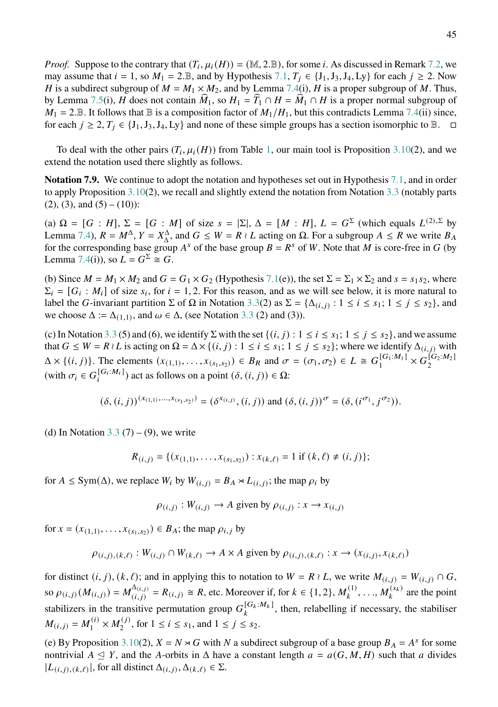*Proof.* Suppose to the contrary that  $(T_i, \mu_i(H)) = (\mathbb{M}, 2 \mathbb{J})$ , for some *i*. As discussed in Remark [7.2,](#page-41-2) we may assume that  $i = 1$ , so  $M_1 = 2.\mathbb{B}$ , and by Hypothesis [7.1,](#page-40-1)  $T_i \in \{J_1, J_3, J_4, Ly\}$  for each  $j \ge 2$ . Now H is a subdirect subgroup of  $M = M_1 \times M_2$ , and by Lemma [7.4\(](#page-41-0)i), H is a proper subgroup of M. Thus, by Lemma [7.5\(](#page-42-0)i), H does not contain  $\hat{M}_1$ , so  $H_1 = \hat{T}_1 \cap H = \hat{M}_1 \cap H$  is a proper normal subgroup of  $M_1 = 2$ . B. It follows that B is a composition factor of  $M_1/H_1$ , but this contradicts Lemma [7.4\(](#page-41-0)ii) since, for each  $j \ge 2$ ,  $T_j \in \{J_1, J_3, J_4, L_y\}$  and none of these simple groups has a section isomorphic to  $\mathbb{B}$ .  $\Box$ 

To deal with the other pairs  $(T_i, \mu_i(H))$  from Table [1,](#page-17-1) our main tool is Proposition [3.10\(](#page-15-0)2), and we extend the notation used there slightly as follows.

<span id="page-44-0"></span>**Notation 7.9.** We continue to adopt the notation and hypotheses set out in Hypothesis [7.1,](#page-40-1) and in order to apply Proposition [3.10\(](#page-15-0)2), we recall and slightly extend the notation from Notation [3.3](#page-10-1) (notably parts  $(2)$ ,  $(3)$ , and  $(5) - (10)$ :

(a)  $\Omega = [G : H], \Sigma = [G : M]$  of size  $s = |\Sigma|, \Delta = [M : H], L = G^{\Sigma}$  (which equals  $L^{(2),\Sigma}$  by Lemma [7.4\)](#page-41-0),  $R = M^{\Delta}$ ,  $Y = X_{\Delta}^{\Delta}$ , and  $G \le W = R \wr L$  acting on  $\Omega$ . For a subgroup  $A \le R$  we write  $B_A$ for the corresponding base group  $A^s$  of the base group  $B = R^s$  of W. Note that M is core-free in G (by Lemma [7.4\(](#page-41-0)i)), so  $L = G^{\Sigma} \cong G$ .

(b) Since  $M = M_1 \times M_2$  and  $G = G_1 \times G_2$  (Hypothesis [7.1\(](#page-40-1)e)), the set  $\Sigma = \Sigma_1 \times \Sigma_2$  and  $s = s_1 s_2$ , where  $\Sigma_i = [G_i : M_i]$  of size  $s_i$ , for  $i = 1, 2$ . For this reason, and as we will see below, it is more natural to label the G-invariant partition  $\Sigma$  of  $\Omega$  in Notation [3.3\(](#page-10-1)2) as  $\Sigma = {\Delta_{(i,j)} : 1 \le i \le s_1; 1 \le j \le s_2}$ , and we choose  $\Delta := \Delta_{(1,1)}$ , and  $\omega \in \Delta$ , (see Notation [3.3](#page-10-1) (2) and (3)).

(c) In Notation [3.3](#page-10-1) (5) and (6), we identify  $\Sigma$  with the set  $\{(i, j) : 1 \le i \le s_1; 1 \le j \le s_2\}$ , and we assume that  $G \leq W = R \wr L$  is acting on  $\Omega = \Delta \times \{(i, j) : 1 \leq i \leq s_1; 1 \leq j \leq s_2\}$ ; where we identify  $\Delta_{(i, j)}$  with  $\Delta \times \{(i, j)\}\)$ . The elements  $(x_{(1,1)}, \ldots, x_{(s_1, s_2)}) \in B_R$  and  $\sigma = (\sigma_1, \sigma_2) \in L \cong G_1^{[G_1:M_1]} \times G_2^{[G_2:M_2]}$ (with  $\sigma_i \in G_i^{[G_i:M_i]}$ ) act as follows on a point  $(\delta, (i, j)) \in \Omega$ :

$$
(\delta,(i,j))^{(x_{(1,1)},...,x_{(s_1,s_2)})}=(\delta^{x_{(i,j)}},(i,j)) \text{ and } (\delta,(i,j))^{\sigma}=(\delta,(i^{\sigma_1},j^{\sigma_2})).
$$

(d) In Notation  $3.3(7) - (9)$  $3.3(7) - (9)$ , we write

$$
R_{(i,j)} = \{ (x_{(1,1)}, \ldots, x_{(s_1,s_2)}) : x_{(k,\ell)} = 1 \text{ if } (k,\ell) \neq (i,j) \};
$$

for  $A \leq Sym(\Delta)$ , we replace  $W_i$  by  $W_{(i,j)} = B_A \rtimes L_{(i,j)}$ ; the map  $\rho_i$  by

$$
\rho_{(i,j)} : W_{(i,j)} \to A
$$
 given by  $\rho_{(i,j)} : x \to x_{(i,j)}$ 

for  $x = (x_{(1,1)}, \dots, x_{(s_1,s_2)}) \in B_A$ ; the map  $\rho_{i,j}$  by

$$
\rho_{(i,j),(k,\ell)}: W_{(i,j)} \cap W_{(k,\ell)} \to A \times A \text{ given by } \rho_{(i,j),(k,\ell)}: x \to (x_{(i,j)}, x_{(k,\ell)})
$$

for distinct  $(i, j)$ ,  $(k, \ell)$ ; and in applying this to notation to  $W = R \wr L$ , we write  $M_{(i, j)} = W_{(i, j)} \cap G$ , so  $\rho_{(i,j)}(M_{(i,j)}) = M_{(i,j)}^{\Delta_{(i,j)}}$  $\Delta_{(i,j)} = R_{(i,j)} \cong R$ , etc. Moreover if, for  $k \in \{1, 2\}$ ,  $M_k^{(1)}$ , ...,  $M_k^{(s_k)}$  are the point stabilizers in the transitive permutation group  $G_k^{[G_k:M_k]}$ , then, relabelling if necessary, the stabiliser  $M_{(i,j)} = M_1^{(i)}$  $\chi_1^{(i)} \times M_2^{(j)}$  $2^{(j)}$ , for  $1 \le i \le s_1$ , and  $1 \le j \le s_2$ .

(e) By Proposition [3.10\(](#page-15-0)2),  $X = N \times G$  with N a subdirect subgroup of a base group  $B_A = A^s$  for some nontrivial  $A \subseteq Y$ , and the A-orbits in  $\Delta$  have a constant length  $a = a(G, M, H)$  such that a divides  $|L_{(i,j),(k,\ell)}|$ , for all distinct  $\Delta_{(i,j)}, \Delta_{(k,\ell)} \in \Sigma$ .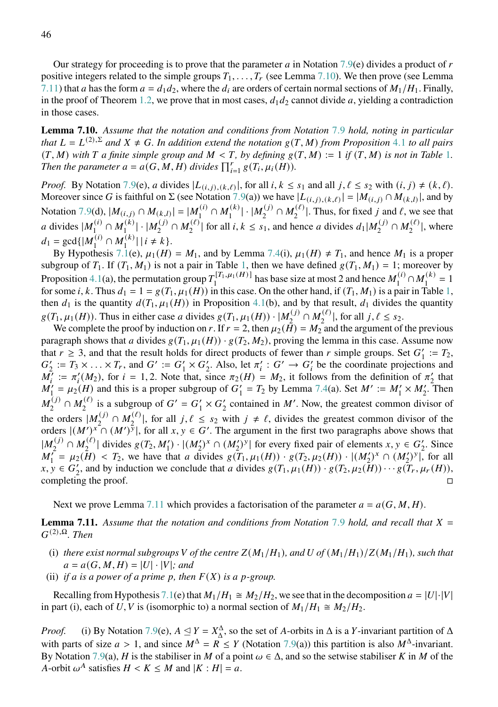Our strategy for proceeding is to prove that the parameter  $a$  in Notation [7.9\(](#page-44-0)e) divides a product of  $r$ positive integers related to the simple groups  $T_1, \ldots, T_r$  (see Lemma [7.10\)](#page-45-0). We then prove (see Lemma [7.11\)](#page-45-1) that a has the form  $a = d_1 d_2$ , where the  $d_i$  are orders of certain normal sections of  $M_1/H_1$ . Finally, in the proof of Theorem [1.2,](#page-1-2) we prove that in most cases,  $d_1 d_2$  cannot divide a, yielding a contradiction in those cases.

<span id="page-45-0"></span>**Lemma 7.10.** *Assume that the notation and conditions from Notation* [7](#page-44-0).9 *hold, noting in particular that*  $L = L^{(2),\Sigma}$  *and*  $X \neq G$ *. In addition extend the notation*  $g(T, M)$  *from Proposition* [4](#page-17-2).1 *to all pairs*  $(T, M)$  with T a finite simple group and  $M < T$ , by defining  $g(T, M) := 1$  $g(T, M) := 1$  if  $(T, M)$  is not in Table 1. *Then the parameter*  $a = a(G, M, H)$  *divides*  $\prod_{i=1}^{r} g(T_i, \mu_i(H))$ *.* 

*Proof.* By Notation 7.[9\(](#page-44-0)e), a divides  $|L(i,j),(k,\ell)|$ , for all  $i, k \leq s_1$  and all  $j, \ell \leq s_2$  with  $(i, j) \neq (k, \ell)$ . Moreover since G is faithful on  $\Sigma$  (see Notation 7.[9\(](#page-44-0)a)) we have  $|L(i,j),(k,\ell)| = |M(i,j) \cap M(k,l)|$ , and by Notation 7.[9\(](#page-44-0)d),  $|M_{(i,j)} \cap M_{(k,l)}| = |M_1^{(i)} \cap M_1^{(k)}| \cdot |M_2^{(j)} \cap M_2^{(\ell)}|$ . Thus, for fixed j and  $\ell$ , we see that a divides  $|M_1^{(i)} \cap M_1^{(k)}| \cdot |M_2^{(j)} \cap M_2^{(k)}|$  for all  $i, k \leq s_1$ , and he  $\Lambda_1^{(i)} \cap M_1^{(k)}$  $\lfloor \frac{(k)}{1} \rfloor \cdot |M_2^{(j)}|$  $\lambda_2^{(j)} \cap M_2^{(\ell)}$  $\sum_{2}^{(\ell)}$  for all *i*,  $k \leq s_1$ , and hence *a* divides  $d_1|M_2^{(j)}$  $\chi_2^{(j)} \cap M_2^{(\ell)}$  $\binom{1}{2}$ , where  $d_1 = \gcd\{|M_1^{(i)} \cap M_1^{(k)}| \mid i \neq k\}.$ 

By Hypothesis [7.1\(](#page-40-1)e),  $\mu_1(H) = M_1$ , and by Lemma [7.4\(](#page-41-0)i),  $\mu_1(H) \neq T_1$ , and hence  $M_1$  is a proper subgroup of  $T_1$ . If  $(T_1, M_1)$  $(T_1, M_1)$  $(T_1, M_1)$  is not a pair in Table 1, then we have defined  $g(T_1, M_1) = 1$ ; moreover by Proposition [4.1\(](#page-17-2)a), the permutation group  $T_1^{[T_1,\mu_1(H)]}$  has base size at most 2 and hence  $M_1^{(i)}$  $\bigcap_{1}^{(i)} \cap M_1^{(k)}$  $\frac{1}{1}$  = 1 for some *i*, *k*. Thus  $d_1 = 1 = g(T_1, \mu_1(H))$  $d_1 = 1 = g(T_1, \mu_1(H))$  $d_1 = 1 = g(T_1, \mu_1(H))$  in this case. On the other hand, if  $(T_1, M_1)$  is a pair in Table 1, then  $d_1$  is the quantity  $d(T_1, \mu_1(H))$  in Proposition [4.1\(](#page-17-2)b), and by that result,  $d_1$  divides the quantity  $g(T_1, \mu_1(H))$ . Thus in either case a divides  $g(T_1, \mu_1(H)) \cdot |M_2^{(j)} \cap M_2^{(\ell)}|$ , for all  $j, \ell \leq s_2$ .

 $\frac{1}{2}$ ,  $\mu_1(\mu_1)$ . Thus in entire case a divides  $g(1, \mu_1(\mu_1))$   $\mu_2$   $\cdots \mu_2$  is on an  $f, \ell \leq s_2$ .<br>We complete the proof by induction on r. If  $r = 2$ , then  $\mu_2(H) = M_2$  and the argument of the previous paragraph shows that a divides  $g(T_1, \mu_1(H)) \cdot g(T_2, M_2)$ , proving the lemma in this case. Assume now that  $r \ge 3$ , and that the result holds for direct products of fewer than r simple groups. Set  $G'_1 := T_2$ ,  $G_2' := T_3 \times \ldots \times T_r$ , and  $G' := G_1' \times G_2'$ . Also, let  $\pi_i' : G' \to G_i'$  be the coordinate projections and  $M_i' := \pi_i'(M_2)$ , for  $i = 1, 2$ . Note that, since  $\pi_2(H) = M_2$ , it follows from the definition of  $\pi_2'$  that  $M'_1 = \mu_2(H)$  and this is a proper subgroup of  $G'_1 = T_2$  by Lemma [7.4\(](#page-41-0)a). Set  $M' := M'_1 \times M'_2$ . Then  $\overline{M}^{(j)}_{\circ}$  $\lambda_2^{(j)} \cap M_2^{(\ell)}$  $\binom{(\ell)}{2}$  is a subgroup of  $G' = G'_1 \times G'_2$  contained in M'. Now, the greatest common divisor of the orders  $|M_2^{(j)}$  $\lambda_2^{(j)} \cap M_2^{(\ell)}$  $|e^{(\ell)}|$ , for all  $j, \ell \leq s_2$  with  $j \neq \ell$ , divides the greatest common divisor of the orders  $|(M')^x \cap (M')^y|$ , for all  $x, y \in G'$ . The argument in the first two paragraphs above shows that  $|M_2^{(j)} \cap M_2^{(\ell)}|$  divides  $g(T_2, M_1') \cdot |(M_2')^x \cap (M_2')^y|$  for every fixed pair of elements  $x, y \in G_2'$ . Since  $M_1' = \mu_2(H) < T_2$ , we have that *a* divides  $g(T_1, \mu_1(H)) \cdot g(T_2, \mu_2(H)) \cdot |(M_2')^x \cap (M_2')^y|$ , for all  $x, y \in G'_2$ , and by induction we conclude that a divides  $g(T_1, \mu_1(H)) \cdot g(T_2, \mu_2(H)) \cdots g(T_r, \mu_r(H)),$ completing the proof.  $\Box$ 

Next we prove Lemma [7.11](#page-45-1) which provides a factorisation of the parameter  $a = a(G, M, H)$ .

<span id="page-45-1"></span>**Lemma [7](#page-44-0).11.** Assume that the notation and conditions from Notation 7.9 hold, and recall that  $X =$  $G^{(2),\Omega}$ *. Then* 

- (i) *there exist normal subgroups* V of the centre  $Z(M_1/H_1)$ *, and* U of  $(M_1/H_1)/Z(M_1/H_1)$ *, such that*  $a = a(G, M, H) = |U| \cdot |V|$ ; and
- (ii) *if a is a power of a prime p, then*  $F(X)$  *is a p-group.*

Recalling from Hypothesis [7.1\(](#page-40-1)e) that  $M_1/H_1 \cong M_2/H_2$ , we see that in the decomposition  $a = |U| \cdot |V|$ in part (i), each of U, V is (isomorphic to) a normal section of  $M_1/H_1 \cong M_2/H_2$ .

*Proof.* (i) By Notation [7.9\(](#page-44-0)e),  $A \leq Y = X_{\Delta}^{\Delta}$ , so the set of A-orbits in  $\Delta$  is a Y-invariant partition of  $\Delta$ with parts of size  $a > 1$ , and since  $M^{\Delta} = R \le Y$  (Notation [7.9\(](#page-44-0)a)) this partition is also  $M^{\Delta}$ -invariant. By Notation [7.9\(](#page-44-0)a), H is the stabiliser in M of a point  $\omega \in \Delta$ , and so the setwise stabiliser K in M of the A-orbit  $\omega^A$  satisfies  $H < K \leq M$  and  $|K : H| = a$ .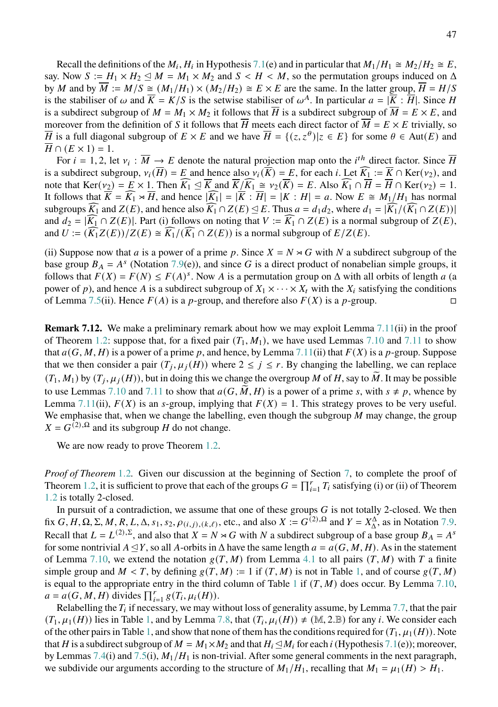Recall the definitions of the  $M_i$ ,  $H_i$  in Hypothesis [7.1\(](#page-40-1)e) and in particular that  $M_1/H_1 \cong M_2/H_2 \cong E$ , say. Now  $S := H_1 \times H_2 \subseteq M = M_1 \times M_2$  and  $S < H < M$ , so the permutation groups induced on  $\Delta$ by M and by  $\overline{M} := M/S \cong (M_1/H_1) \times (M_2/H_2) \cong E \times E$  are the same. In the latter group,  $\overline{H} = H/S$ is the stabiliser of  $\omega$  and  $\overline{K} = K/S$  is the setwise stabiliser of  $\omega^A$ . In particular  $a = |\overline{K} : \overline{H}|$ . Since H is a subdirect subgroup of  $M = M_1 \times M_2$  it follows that  $\overline{H}$  is a subdirect subgroup of  $\overline{M} = E \times E$ , and moreover from the definition of S it follows that  $\overline{H}$  meets each direct factor of  $\overline{M} = E \times E$  trivially, so  $\overline{H}$  is a full diagonal subgroup of  $E \times E$  and we have  $\overline{H} = \{(z, z^{\theta}) | z \in E\}$  for some  $\theta \in Aut(E)$  and  $H \cap (E \times 1) = 1.$ 

For  $i = 1, 2$ , let  $v_i : \overline{M} \to E$  denote the natural projection map onto the  $i^{th}$  direct factor. Since  $\overline{H}$ is a subdirect subgroup,  $v_i(\overline{H}) = E$  and hence also  $v_i(\overline{K}) = E$ , for each i. Let  $\widehat{K_1} := \overline{K} \cap \text{Ker}(v_2)$ , and note that  $\text{Ker}(v_2) = E \times 1$ . Then  $\widehat{K_1} \subseteq \overline{K}$  and  $\overline{K}/\widehat{K_1} \cong v_2(\overline{K}) = E$ . Also  $\widehat{K_1} \cap \overline{H} = \overline{H} \cap \text{Ker}(v_2) = 1$ . It follows that  $\overline{K} = \widehat{K_1} \rtimes \overline{H}$ , and hence  $|\widehat{K_1}| = |\overline{K} : \overline{H}| = |K : H| = a$ . Now  $E \cong M_1/H_1$  has normal subgroups  $K_1$  and  $Z(E)$ , and hence also  $K_1 \cap Z(E) \leq E$ . Thus  $a = d_1d_2$ , where  $d_1 = |K_1/(K_1 \cap Z(E))|$ and  $d_2 = |\widehat{K_1} \cap Z(E)|$ . Part (i) follows on noting that  $V := \widehat{K_1} \cap Z(E)$  is a normal subgroup of  $Z(E)$ , and  $U := (\widehat{K_1}Z(E))/Z(E) \cong \widehat{K_1}/(\widehat{K_1} \cap Z(E))$  is a normal subgroup of  $E/Z(E)$ .

(ii) Suppose now that a is a power of a prime p. Since  $X = N \rtimes G$  with N a subdirect subgroup of the base group  $B_A = A^s$  (Notation [7.9\(](#page-44-0)e)), and since G is a direct product of nonabelian simple groups, it follows that  $F(X) = F(N) \le F(A)^s$ . Now A is a permutation group on  $\Delta$  with all orbits of length a (a power of p), and hence A is a subdirect subgroup of  $X_1 \times \cdots \times X_t$  with the  $X_i$  satisfying the conditions of Lemma [7.5\(](#page-42-0)ii). Hence  $F(A)$  is a p-group, and therefore also  $F(X)$  is a p-group.

<span id="page-46-0"></span>**Remark 7.12.** We make a preliminary remark about how we may exploit Lemma [7.11\(](#page-45-1)ii) in the proof of Theorem [1.2:](#page-1-2) suppose that, for a fixed pair  $(T_1, M_1)$ , we have used Lemmas [7.10](#page-45-0) and [7.11](#page-45-1) to show that  $a(G, M, H)$  is a power of a prime p, and hence, by Lemma [7.11\(](#page-45-1)ii) that  $F(X)$  is a p-group. Suppose that we then consider a pair  $(T_j, \mu_j(H))$  where  $2 \le j \le r$ . By changing the labelling, we can replace  $(T_1, M_1)$  by  $(T_j, \mu_j(H))$ , but in doing this we change the overgroup M of H, say to  $\widetilde{M}$ . It may be possible to use Lemmas [7.10](#page-45-0) and [7.11](#page-45-1) to show that  $a(G, M, H)$  is a power of a prime s, with  $s \neq p$ , whence by Lemma [7.11\(](#page-45-1)ii),  $F(X)$  is an s-group, implying that  $F(X) = 1$ . This strategy proves to be very useful. We emphasise that, when we change the labelling, even though the subgroup  $M$  may change, the group  $X = G^{(2), \Omega}$  and its subgroup H do not change.

We are now ready to prove Theorem [1.2.](#page-1-2)

*Proof of Theorem* [1](#page-1-2).2*.* Given our discussion at the beginning of Section [7,](#page-40-0) to complete the proof of Theorem [1.2,](#page-1-2) it is sufficient to prove that each of the groups  $G = \prod_{i=1}^r T_i$  satisfying (i) or (ii) of Theorem [1](#page-1-2).2 is totally 2-closed.

In pursuit of a contradiction, we assume that one of these groups  $G$  is not totally 2-closed. We then fix  $G, H, \Omega, \Sigma, M, R, L, \Delta, s_1, s_2, \rho_{(i,j),(k,\ell)}$ , etc., and also  $X := G^{(2),\Omega}$  and  $Y = X_{\Delta}^{\Delta}$ , as in Notation 7.[9.](#page-44-0) Recall that  $L = L^{(2),\Sigma}$ , and also that  $X = N \rtimes G$  with N a subdirect subgroup of a base group  $B_A = A^s$ for some nontrivial  $A \trianglelefteq Y$ , so all A-orbits in  $\triangle$  have the same length  $a = a(G, M, H)$ . As in the statement of Lemma [7.10,](#page-45-0) we extend the notation  $g(T, M)$  from Lemma [4.1](#page-17-2) to all pairs  $(T, M)$  with T a finite simple group and  $M < T$ , by defining  $g(T, M) := 1$  if  $(T, M)$  is not in Table [1,](#page-17-1) and of course  $g(T, M)$ is equal to the appropriate entry in the third column of Table [1](#page-17-1) if  $(T, M)$  does occur. By Lemma [7.10,](#page-45-0)  $a = a(G, M, H)$  divides  $\prod_{i=1}^{r} g(T_i, \mu_i(H)).$ 

Relabelling the  $T_i$  if necessary, we may without loss of generality assume, by Lemma [7.7,](#page-43-1) that the pair  $(T_1, \mu_1(H))$  $(T_1, \mu_1(H))$  $(T_1, \mu_1(H))$  lies in Table 1, and by Lemma [7.8,](#page-43-2) that  $(T_i, \mu_i(H)) \neq (M, 2. \mathbb{B})$  for any *i*. We consider each of the other pairs in Table [1,](#page-17-1) and show that none of them has the conditions required for  $(T_1, \mu_1(H))$ . Note that H is a subdirect subgroup of  $M = M_1 \times M_2$  and that  $H_i \triangleleft M_i$  for each i (Hypothesis [7.1\(](#page-40-1)e)); moreover, by Lemmas [7.4\(](#page-41-0)i) and [7.5\(](#page-42-0)i),  $M_1/H_1$  is non-trivial. After some general comments in the next paragraph, we subdivide our arguments according to the structure of  $M_1/H_1$ , recalling that  $M_1 = \mu_1(H) > H_1$ .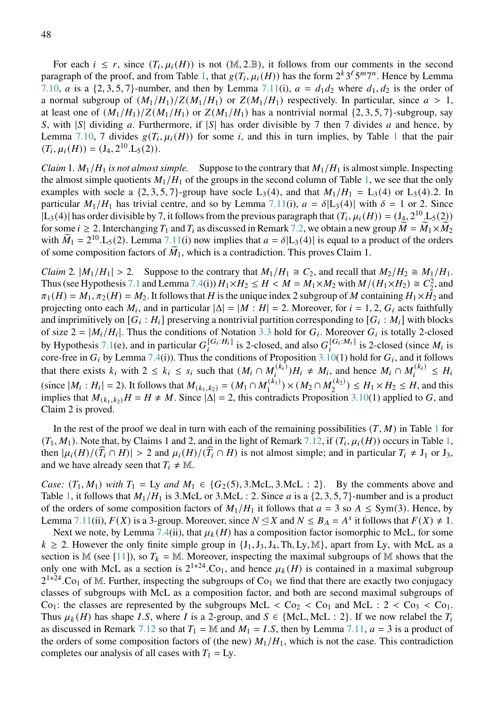For each  $i \leq r$ , since  $(T_i, \mu_i(H))$  is not  $(M, 2. \mathbb{B})$ , it follows from our comments in the second paragraph of the proof, and from Table [1,](#page-17-1) that  $g(T_i, \mu_i(H))$  has the form  $2^k 3^\ell 5^m 7^n$ . Hence by Lemma [7.10,](#page-45-0) *a* is a  $\{2, 3, 5, 7\}$ -number, and then by Lemma [7.11\(](#page-45-1)i),  $a = d_1 d_2$  where  $d_1, d_2$  is the order of a normal subgroup of  $(M_1/H_1)/Z(M_1/H_1)$  or  $Z(M_1/H_1)$  respectively. In particular, since  $a > 1$ , at least one of  $(M_1/H_1)/Z(M_1/H_1)$  or  $Z(M_1/H_1)$  has a nontrivial normal  $\{2, 3, 5, 7\}$ -subgroup, say S, with |S| dividing a. Furthermore, if  $|S|$  has order divisible by 7 then 7 divides a and hence, by Lemma [7.10,](#page-45-0) 7 divides  $g(T_i, \mu_i(H))$  for some *i*, and this in turn implies, by Table [1](#page-17-1) that the pair  $(T_i, \mu_i(H)) = (J_4, 2^{10}.L_5(2)).$ 

*Claim* 1*.*  $M_1/H_1$  *is not almost simple.* Suppose to the contrary that  $M_1/H_1$  is almost simple. Inspecting the almost simple quotients  $M_1/H_1$  of the groups in the second column of Table [1,](#page-17-1) we see that the only examples with socle a  $\{2, 3, 5, 7\}$ -group have socle L<sub>3</sub>(4), and that  $M_1/H_1 = L_3(4)$  or L<sub>3</sub>(4).2. In particular  $M_1/H_1$  has trivial centre, and so by Lemma [7.11\(](#page-45-1)i),  $a = \delta |L_3(4)|$  with  $\delta = 1$  or 2. Since  $|L_3(4)|$  has order divisible by 7, it follows from the previous paragraph that  $(T_i, \mu_i(H)) = (J_4, 2^{10}, L_5(2))$ for some  $i \geq 2$ . Interchanging  $T_1$  and  $T_i$  as discussed in Remark [7.2,](#page-41-2) we obtain a new group  $\tilde{M} = \tilde{M}_1 \times \tilde{M}_2$ with  $\widetilde{M}_1 = 2^{10}$ . L<sub>5</sub>(2). Lemma [7.11\(](#page-45-1)i) now implies that  $a = \delta |L_3(4)|$  is equal to a product of the orders of some composition factors of  $\tilde{M}_1$ , which is a contradiction. This proves Claim 1.

*Claim* 2*.*  $|M_1/H_1| > 2$ . Suppose to the contrary that  $M_1/H_1 \cong C_2$ , and recall that  $M_2/H_2 \cong M_1/H_1$ . Thus (see Hypothesis [7.1](#page-40-1) and Lemma [7.4\(](#page-41-0)i))  $H_1 \times H_2 \le H \lt M = M_1 \times M_2$  with  $M/(H_1 \times H_2) \cong C_2^2$ , and  $\pi_1(H) = M_1$ ,  $\pi_2(H) = M_2$ . It follows that H is the unique index 2 subgroup of M containing  $H_1 \times H_2$  and projecting onto each  $M_i$ , and in particular  $|\Delta| = |M : H| = 2$ . Moreover, for  $i = 1, 2, G_i$  acts faithfully and imprimitively on  $[G_i : H_i]$  preserving a nontrivial partition corresponding to  $[G_i : M_i]$  with blocks of size  $2 = |M_i/H_i|$ . Thus the conditions of Notation [3.3](#page-10-1) hold for  $G_i$ . Moreover  $G_i$  is totally 2-closed by Hypothesis [7.1\(](#page-40-1)e), and in particular  $G_i^{[G_i:H_i]}$  is 2-closed, and also  $G_i^{[G_i:M_i]}$  is 2-closed (since  $M_i$  is core-free in  $G_i$  by Lemma [7.4\(](#page-41-0)i)). Thus the conditions of Proposition [3.10\(](#page-15-0)1) hold for  $G_i$ , and it follows that there exists  $k_i$  with  $2 \le k_i \le s_i$  such that  $(M_i \cap M_i^{(k_i)})H_i \ne M_i$ , and hence  $M_i \cap M_i^{(k_i)} \le H_i$ (since  $|M_i: H_i| = 2$ ). It follows that  $M_{(k_1,k_2)} = (M_1 \cap M_1^{(k_1)}) \times (M_2 \cap M_2^{(k_2)}) \le H_1 \times H_2 \le H$ , and this implies that  $M_{(k_1,k_2)}H = H \neq M$ . Since  $|\Delta| = 2$ , this contradicts Proposition [3.10\(](#page-15-0)1) applied to G, and Claim 2 is proved.

In the rest of the proof we deal in turn with each of the remaining possibilities  $(T, M)$  in Table [1](#page-17-1) for  $(T_1, M_1)$  $(T_1, M_1)$  $(T_1, M_1)$ . Note that, by Claims 1 and 2, and in the light of Remark [7.12,](#page-46-0) if  $(T_i, \mu_i(H))$  occurs in Table 1, then  $|\mu_i(H)/(T_i \cap H)| > 2$  and  $\mu_i(H)/(T_i \cap H)$  is not almost simple; and in particular  $T_i \neq J_1$  or  $J_3$ , and we have already seen that  $T_i \neq \mathbb{M}$ .

*Case:*  $(T_1, M_1)$  *with*  $T_1 = Ly$  *and*  $M_1 \in \{G_2(5), 3$ .McL, 3.McL : 2}. By the comments above and Table [1,](#page-17-1) it follows that  $M_1/H_1$  is 3.McL or 3.McL : 2. Since *a* is a {2, 3, 5, 7}-number and is a product of the orders of some composition factors of  $M_1/H_1$  it follows that  $a = 3$  so  $A \le Sym(3)$ . Hence, by Lemma [7.11\(](#page-45-1)ii),  $F(X)$  is a 3-group. Moreover, since  $N \leq X$  and  $N \leq B_A = A^s$  it follows that  $F(X) \neq 1$ .

Next we note, by Lemma [7.4\(](#page-41-0)ii), that  $\mu_k(H)$  has a composition factor isomorphic to McL, for some  $k \geq 2$ . However the only finite simple group in  $\{J_1, J_3, J_4, Th, Ly, M\}$ , apart from Ly, with McL as a section is  $\mathbb{M}$  (see [\[11\]](#page-51-6)), so  $T_k = \mathbb{M}$ . Moreover, inspecting the maximal subgroups of  $\mathbb{M}$  shows that the only one with McL as a section is  $2^{1+24}$ . Co<sub>1</sub>, and hence  $\mu_k(H)$  is contained in a maximal subgroup  $2^{1+24}$ . Co<sub>1</sub> of M. Further, inspecting the subgroups of Co<sub>1</sub> we find that there are exactly two conjugacy classes of subgroups with McL as a composition factor, and both are second maximal subgroups of  $Co<sub>1</sub>$ : the classes are represented by the subgroups McL <  $Co<sub>2</sub>$  <  $Co<sub>1</sub>$  and McL :  $2 < Co<sub>3</sub>$  <  $Co<sub>1</sub>$ . Thus  $\mu_k(H)$  has shape I.S, where I is a 2-group, and  $S \in \{Mcl, Mcl : 2\}$ . If we now relabel the  $T_i$ as discussed in Remark [7.12](#page-46-0) so that  $T_1 = \mathbb{M}$  and  $M_1 = I.S$ , then by Lemma [7.11,](#page-45-1)  $a = 3$  is a product of the orders of some composition factors of (the new)  $M_1/H_1$ , which is not the case. This contradiction completes our analysis of all cases with  $T_1 = Ly$ .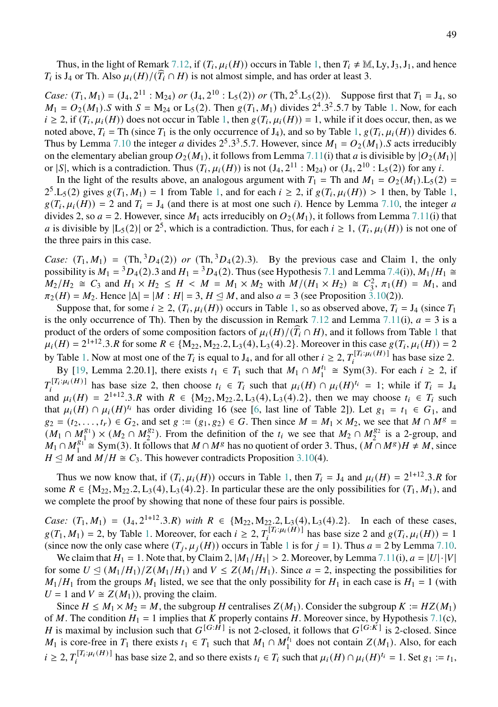Thus, in the light of Remark [7.12,](#page-46-0) if  $(T_i, \mu_i(H))$  occurs in Table [1,](#page-17-1) then  $T_i \neq \mathbb{M}, Ly, J_3, J_1$ , and hence  $T_i$  is J<sub>4</sub> or Th. Also  $\mu_i(H)/(\widehat{T}_i \cap H)$  is not almost simple, and has order at least 3.

*Case:*  $(T_1, M_1) = (J_4, 2^{11} : M_{24})$  *or*  $(J_4, 2^{10} : L_5(2))$  *or*  $(Th, 2^5.L_5(2))$ . Suppose first that  $T_1 = J_4$ , so  $M_1 = O_2(M_1)$ . S with  $S = M_{24}$  or  $L_5(2)$ . Then  $g(T_1, M_1)$  divides  $2^4.3^2.5.7$  by Table [1.](#page-17-1) Now, for each  $i \ge 2$ , if  $(T_i, \mu_i(H))$  does not occur in Table [1,](#page-17-1) then  $g(T_i, \mu_i(H)) = 1$ , while if it does occur, then, as we noted above,  $T_i$  = Th (since  $T_1$  is the only occurrence of J<sub>4</sub>), and so by Table [1,](#page-17-1)  $g(T_i, \mu_i(H))$  divides 6. Thus by Lemma [7.10](#page-45-0) the integer *a* divides  $2^5 \cdot 3^3 \cdot 5 \cdot 7$ . However, since  $M_1 = O_2(M_1) \cdot S$  acts irreducibly on the elementary abelian group  $O_2(M_1)$ , it follows from Lemma [7.11\(](#page-45-1)i) that a is divisible by  $|O_2(M_1)|$ or |S|, which is a contradiction. Thus  $(T_i, \mu_i(H))$  is not  $(J_4, 2^{11} : M_{24})$  or  $(J_4, 2^{10} : L_5(2))$  for any *i*.

In the light of the results above, an analogous argument with  $T_1 = Th$  and  $M_1 = O_2(M_1) \cdot L_5(2)$  $2^5$ .L<sub>5</sub>(2) gives  $g(T_1, M_1) = 1$  $g(T_1, M_1) = 1$  $g(T_1, M_1) = 1$  from Table 1, and for each  $i \ge 2$ , if  $g(T_i, \mu_i(H)) > 1$  then, by Table 1,  $g(T_i, \mu_i(H)) = 2$  and  $T_i = J_4$  (and there is at most one such i). Hence by Lemma [7.10,](#page-45-0) the integer a divides 2, so  $a = 2$ . However, since  $M_1$  acts irreducibly on  $O_2(M_1)$ , it follows from Lemma [7.11\(](#page-45-1)i) that *a* is divisible by  $|L_5(2)|$  or  $2^5$ , which is a contradiction. Thus, for each  $i \ge 1$ ,  $(T_i, \mu_i(H))$  is not one of the three pairs in this case.

*Case:*  $(T_1, M_1) = (Th, {}^3D_4(2))$  *or*  $(Th, {}^3D_4(2).3)$ *.* By the previous case and Claim 1, the only possibility is  $M_1 = {}^3D_4(2)$ .3 and  $H_1 = {}^3D_4(2)$ . Thus (see Hypothesis [7.1](#page-40-1) and Lemma [7.4\(](#page-41-0)i)),  $M_1/H_1 \cong$  $M_2/H_2 \cong C_3$  and  $H_1 \times H_2 \leq H \lt M = M_1 \times M_2$  with  $M/(H_1 \times H_2) \cong C_3^2$ ,  $\pi_1(H) = M_1$ , and  $\pi_2(H) = M_2$ . Hence  $|\Delta| = |M : H| = 3$ ,  $H \le M$ , and also  $a = 3$  (see Proposition [3.10\(](#page-15-0)2)).

Suppose that, for some  $i \ge 2$ ,  $(T_i, \mu_i(H))$  occurs in Table [1,](#page-17-1) so as observed above,  $T_i = J_4$  (since  $T_1$ ) is the only occurrence of Th). Then by the discussion in Remark [7.12](#page-46-0) and Lemma [7.11\(](#page-45-1)i),  $a = 3$  is a product of the orders of some composition factors of  $\mu_i(H)/(\widehat{T}_i \cap H)$ , and it follows from Table [1](#page-17-1) that  $\mu_i(H) = 2^{1+12} \cdot 3 \cdot R$  for some  $R \in \{M_{22}, M_{22}, L_3(4), L_3(4), L_3(4), L_3(4), L_3(4), L_3(4), L_3(4), L_3(4), L_3(4), L_3(4), L_3(4), L_3(4), L_3(4), L_3(4), L_3(4), L_3(4), L_3(4), L_3(4), L_3(4), L_3(4), L_3(4), L_3(4), L_3(4), L_3(4), L_3(4), L_3(4), L_3(4), L_3(4), L_3($ by Table [1.](#page-17-1) Now at most one of the  $T_i$  is equal to  $J_4$ , and for all other  $i \geq 2$ ,  $T_i^{[T_i:\mu_i(H)]}$  has base size 2.

By [\[19,](#page-52-10) Lemma 2.20.1], there exists  $t_1 \in T_1$  such that  $M_1 \cap M_1^{t_1} \cong \text{Sym}(3)$ . For each  $i \ge 2$ , if  $T_i^{[T_i:\mu_i(H)]}$  has base size 2, then choose  $t_i \in T_i$  such that  $\mu_i(H) \cap \mu_i(H)^{t_i} = 1$ ; while if  $T_i = J_4$ and  $\mu_i(H) = 2^{1+12} \cdot 3 \cdot R$  with  $R \in \{M_{22}, M_{22}, 2, L_3(4), L_3(4), 2\}$ , then we may choose  $t_i \in T_i$  such that  $\mu_i(H) \cap \mu_i(H)^{t_i}$  has order dividing 16 (see [\[6,](#page-51-13) last line of Table 2]). Let  $g_1 = t_1 \in G_1$ , and  $g_2 = (t_2, \ldots, t_r) \in G_2$ , and set  $g := (g_1, g_2) \in G$ . Then since  $M = M_1 \times M_2$ , we see that  $M \cap M^g =$  $(M_1 \cap M_2^{g_1}) \times (M_2 \cap M_2^{g_2})$ . From the definition of the  $t_i$  we see that  $M_2 \cap M_2^{g_2}$  is a 2-group, and  $M_1 \cap M_1^{g_1} \cong Sym(3)$ . It follows that  $M \cap M^g$  has no quotient of order 3. Thus,  $(M \cap M^g)H \neq M$ , since  $H \leq M$  and  $M/H \cong C_3$ . This however contradicts Proposition [3.10\(](#page-15-0)4).

Thus we now know that, if  $(T_i, \mu_i(H))$  occurs in Table [1,](#page-17-1) then  $T_i = J_4$  and  $\mu_i(H) = 2^{1+12} \cdot 3 \cdot R$  for some  $R \in \{M_{22}, M_{22}.2, L_3(4), L_3(4).2\}$ . In particular these are the only possibilities for  $(T_1, M_1)$ , and we complete the proof by showing that none of these four pairs is possible.

*Case:*  $(T_1, M_1) = (J_4, 2^{1+12} \cdot 3 \cdot R)$  *with*  $R \in \{M_{22}, M_{22} \cdot 2, L_3(4), L_3(4) \cdot 2\}$ . In each of these cases,  $g(T_1, M_1) = 2$ , by Table [1.](#page-17-1) Moreover, for each  $i \geq 2$ ,  $T_i^{[T_i:\mu_i(H)]}$  has base size 2 and  $g(T_i, \mu_i(H)) = 1$ (since now the only case where  $(T_i, \mu_i(H))$  occurs in Table [1](#page-17-1) is for  $j = 1$ ). Thus  $a = 2$  by Lemma [7.10.](#page-45-0)

We claim that  $H_1 = 1$ . Note that, by Claim 2,  $|M_1/H_1| > 2$ . Moreover, by Lemma [7.11\(](#page-45-1)i),  $a = |U| \cdot |V|$ for some  $U \triangleleft (M_1/H_1)/Z(M_1/H_1)$  and  $V \leq Z(M_1/H_1)$ . Since  $a = 2$ , inspecting the possibilities for  $M_1/H_1$  from the groups  $M_1$  listed, we see that the only possibility for  $H_1$  in each case is  $H_1 = 1$  (with  $U = 1$  and  $V \cong Z(M_1)$ , proving the claim.

Since  $H \le M_1 \times M_2 = M$ , the subgroup H centralises  $Z(M_1)$ . Consider the subgroup  $K := HZ(M_1)$ of M. The condition  $H_1 = 1$  implies that K properly contains H. Moreover since, by Hypothesis [7.1\(](#page-40-1)c), H is maximal by inclusion such that  $G^{[G:\tilde{H}]}$  is not 2-closed, it follows that  $G^{[G:\tilde{K}]}$  is 2-closed. Since  $M_1$  is core-free in  $T_1$  there exists  $t_1 \in T_1$  such that  $M_1 \cap M_1^{t_1}$  does not contain  $Z(M_1)$ . Also, for each  $i \geq 2$ ,  $T_i^{[T_i:\mu_i(H)]}$  has base size 2, and so there exists  $t_i \in T_i$  such that  $\mu_i(H) \cap \mu_i(H)^{t_i} = 1$ . Set  $g_1 := t_1$ ,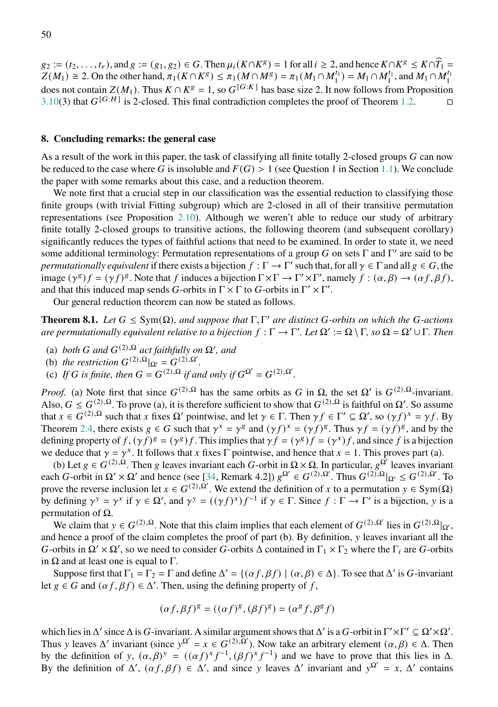$g_2 := (t_2, \ldots, t_r)$ , and  $g := (g_1, g_2) \in G$ . Then  $\mu_i(K \cap K^g) = 1$  for all  $i \ge 2$ , and hence  $K \cap K^g \le K \cap \widehat{T}_1 =$ <br>  $\mathbb{Z}(M) \ge 2$ ,  $\Omega$  the state plant  $g = (K \cap K^g) \le \pi_i(M \cap M^g) = \pi_i(M \cap M^g)$ .  $M \cap M^g$  $Z(M_1) \cong 2$ . On the other hand,  $\pi_1(K \cap K^g) \leq \pi_1(M \cap M^g) = \pi_1(M_1 \cap M_1^{t_1}) = M_1 \cap M_1^{t_1}$ , and  $M_1 \cap M_1^{t_1}$ does not contain  $Z(M_1)$ . Thus  $K \cap K^g = 1$ , so  $G^{[G:K]}$  has base size 2. It now follows from Proposition [3.10\(](#page-15-0)3) that  $G^{[G:H]}$  is 2-closed. This final contradiction completes the proof of Theorem [1.2.](#page-1-2)

#### <span id="page-49-0"></span>**8. Concluding remarks: the general case**

As a result of the work in this paper, the task of classifying all finite totally 2-closed groups  $G$  can now be reduced to the case where G is insoluble and  $F(G) > 1$  (see Question 1 in Section [1.1\)](#page-1-1). We conclude the paper with some remarks about this case, and a reduction theorem.

We note first that a crucial step in our classification was the essential reduction to classifying those finite groups (with trivial Fitting subgroup) which are 2-closed in all of their transitive permutation representations (see Proposition [2.10\)](#page-7-0). Although we weren't able to reduce our study of arbitrary finite totally 2-closed groups to transitive actions, the following theorem (and subsequent corollary) significantly reduces the types of faithful actions that need to be examined. In order to state it, we need some additional terminology: Permutation representations of a group G on sets  $\Gamma$  and  $\Gamma'$  are said to be *permutationally equivalent* if there exists a bijection  $f : \Gamma \to \Gamma'$  such that, for all  $\gamma \in \Gamma$  and all  $g \in G$ , the image  $(\gamma^g)f = (\gamma f)^g$ . Note that f induces a bijection  $\Gamma \times \Gamma \to \Gamma' \times \Gamma'$ , namely  $f : (\alpha, \beta) \to (\alpha f, \beta f)$ , and that this induced map sends G-orbits in  $\Gamma \times \Gamma$  to G-orbits in  $\Gamma' \times \Gamma'$ .

Our general reduction theorem can now be stated as follows.

<span id="page-49-1"></span>**Theorem 8.1.** *Let*  $G \le Sym(\Omega)$ , and suppose that  $\Gamma, \Gamma'$  are distinct G-orbits on which the G-actions *are permutationally equivalent relative to a bijection*  $f : \Gamma \to \Gamma'$ . Let  $\Omega' := \Omega \setminus \Gamma$ , so  $\Omega = \Omega' \cup \Gamma$ . Then

- (a) *both G* and  $G^{(2),\Omega}$  act faithfully on  $\Omega'$ , and
- (b) *the restriction*  $G^{(2),\Omega}|_{\Omega'} = G^{(2),\Omega'}.$
- (c) If G is finite, then  $G = G^{(2),\Omega}$  if and only if  $G^{\Omega'} = G^{(2),\Omega'}$ .

*Proof.* (a) Note first that since  $G^{(2),\Omega}$  has the same orbits as G in  $\Omega$ , the set  $\Omega'$  is  $G^{(2),\Omega}$ -invariant. Also,  $G \leq G^{(2),\Omega}$ . To prove (a), it is therefore sufficient to show that  $G^{(2),\Omega}$  is faithful on  $\Omega'$ . So assume that  $x \in G^{(2),\Omega}$  such that x fixes  $\Omega'$  pointwise, and let  $\gamma \in \Gamma$ . Then  $\gamma f \in \Gamma' \subseteq \Omega'$ , so  $(\gamma f)^x = \gamma f$ . By Theorem [2.4,](#page-4-3) there exists  $g \in G$  such that  $\gamma^x = \gamma^g$  and  $(\gamma f)^x = (\gamma f)^g$ . Thus  $\gamma f = (\gamma f)^g$ , and by the defining property of  $f, (\gamma f)^g = (\gamma^g)f$ . This implies that  $\gamma f = (\gamma^g)f = (\gamma^x)f$ , and since f is a bijection we deduce that  $\gamma = \gamma^x$ . It follows that x fixes  $\Gamma$  pointwise, and hence that  $x = 1$ . This proves part (a).

(b) Let  $g \in G^{(2),\Omega}$ . Then g leaves invariant each G-orbit in  $\Omega \times \Omega$ . In particular,  $g^{\Omega'}$  leaves invariant each G-orbit in  $\Omega' \times \Omega'$  and hence (see [\[34,](#page-52-6) Remark 4.2])  $g^{\Omega'} \in G^{(2),\Omega'}$ . Thus  $G^{(2),\Omega}|_{\Omega'} \leq G^{(2),\Omega'}$ . To prove the reverse inclusion let  $x \in G^{(2),\overline{\Omega'}}$ . We extend the definition of x to a permutation  $y \in Sym(\Omega)$ by defining  $\gamma^y = \gamma^x$  if  $\gamma \in \Omega'$ , and  $\gamma^y = ((\gamma f)^x)f^{-1}$  if  $\gamma \in \Gamma$ . Since  $f : \Gamma \to \Gamma'$  is a bijection, y is a permutation of  $Ω$ .

We claim that  $y \in G^{(2),\Omega}$ . Note that this claim implies that each element of  $G^{(2),\Omega'}$  lies in  $G^{(2),\Omega}|_{\Omega'}$ , and hence a proof of the claim completes the proof of part (b). By definition, y leaves invariant all the G-orbits in  $\Omega' \times \Omega'$ , so we need to consider G-orbits  $\Delta$  contained in  $\Gamma_1 \times \Gamma_2$  where the  $\Gamma_i$  are G-orbits in  $Ω$  and at least one is equal to  $Γ$ .

Suppose first that  $\Gamma_1 = \Gamma_2 = \Gamma$  and define  $\Delta' = \{(\alpha f, \beta f) | (\alpha, \beta) \in \Delta\}$ . To see that  $\Delta'$  is G-invariant let  $g \in G$  and  $(\alpha f, \beta f) \in \Delta'$ . Then, using the defining property of f,

$$
(\alpha f, \beta f)^{g} = ((\alpha f)^{g}, (\beta f)^{g}) = (\alpha^{g} f, \beta^{g} f)
$$

which lies in  $\Delta'$  since  $\Delta$  is G-invariant. A similar argument shows that  $\Delta'$  is a G-orbit in  $\Gamma' \times \Gamma' \subseteq \Omega' \times \Omega'$ . Thus y leaves  $\Delta'$  invariant (since  $y^{\Omega'} = x \in G^{(2),\Omega'}$ ). Now take an arbitrary element  $(\alpha,\beta) \in \Delta$ . Then by the definition of y,  $(\alpha, \beta)^y = ((\alpha f)^x f^{-1}, (\beta f)^x f^{-1})$  and we have to prove that this lies in  $\Delta$ . By the definition of  $\Delta'$ ,  $(\alpha f, \beta f) \in \Delta'$ , and since y leaves  $\Delta'$  invariant and  $y^{\Omega'} = x$ ,  $\Delta'$  contains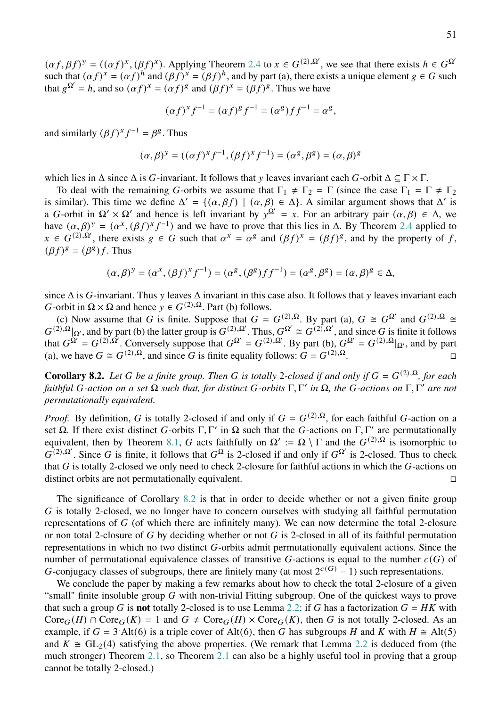$(\alpha f, \beta f)^y = ((\alpha f)^x, (\beta f)^x)$ . Applying Theorem [2.4](#page-4-3) to  $x \in G^{(2), \Omega'}$ , we see that there exists  $h \in G^{\Omega'}$ such that  $(\alpha f)^x = (\alpha f)^h$  and  $(\beta f)^x = (\beta f)^h$ , and by part (a), there exists a unique element  $g \in G$  such that  $g^{\Omega'} = h$ , and so  $(\alpha f)^x = (\alpha f)^g$  and  $(\beta f)^x = (\beta f)^g$ . Thus we have

$$
(\alpha f)^{x} f^{-1} = (\alpha f)^{g} f^{-1} = (\alpha^{g}) f f^{-1} = \alpha^{g},
$$

and similarly  $(\beta f)^{x} f^{-1} = \beta^{g}$ . Thus

$$
(\alpha,\beta)^y=((\alpha f)^xf^{-1},(\beta f)^xf^{-1})=(\alpha^g,\beta^g)=(\alpha,\beta)^g
$$

which lies in  $\Delta$  since  $\Delta$  is G-invariant. It follows that v leaves invariant each G-orbit  $\Delta \subseteq \Gamma \times \Gamma$ .

To deal with the remaining G-orbits we assume that  $\Gamma_1 \neq \Gamma_2 = \Gamma$  (since the case  $\Gamma_1 = \Gamma \neq \Gamma_2$ ) is similar). This time we define  $\Delta' = \{(\alpha, \beta f) | (\alpha, \beta) \in \Delta\}$ . A similar argument shows that  $\Delta'$  is a G-orbit in  $\Omega' \times \Omega'$  and hence is left invariant by  $y^{\Omega'} = x$ . For an arbitrary pair  $(\alpha, \beta) \in \Delta$ , we have  $(\alpha, \beta)^y = (\alpha^x, (\beta f)^x f^{-1})$  and we have to prove that this lies in  $\Delta$ . By Theorem [2.4](#page-4-3) applied to  $x \in G^{(2),\Omega'}$ , there exists  $g \in G$  such that  $\alpha^x = \alpha^g$  and  $(\beta f)^x = (\beta f)^g$ , and by the property of f,  $(\beta f)^g = (\beta^g) f$ . Thus

$$
(\alpha,\beta)^y=(\alpha^x,(\beta f)^xf^{-1})=(\alpha^g,(\beta^g)ff^{-1})=(\alpha^g,\beta^g)=(\alpha,\beta)^g\in\Delta,
$$

since  $\Delta$  is G-invariant. Thus v leaves  $\Delta$  invariant in this case also. It follows that v leaves invariant each *G*-orbit in  $\Omega \times \Omega$  and hence  $y \in G^{(2),\Omega}$ . Part (b) follows.

(c) Now assume that G is finite. Suppose that  $G = G^{(2),\Omega}$ . By part (a),  $G \cong G^{\Omega'}$  and  $G^{(2),\Omega} \cong G^{\Omega}$  $G^{(2),\Omega}|_{\Omega'}$ , and by part (b) the latter group is  $G^{(2),\Omega'}$ . Thus,  $G^{\Omega'} \cong G^{(2),\Omega'}$ , and since G is finite it follows that  $G^{\Omega'} = G^{(2),\Omega'}$ . Conversely suppose that  $G^{\Omega'} = G^{(2),\Omega'}$ . By part (b),  $G^{\Omega'} = G^{(2),\Omega} |_{\Omega'}$ , and by part (a), we have  $G \cong G^{(2),\Omega}$ , and since G is finite equality follows:  $G = G^{(2),\Omega}$ .

<span id="page-50-0"></span>**Corollary 8.2.** *Let* G be a finite group. Then G is totally 2-closed if and only if  $G = G^{(2),\Omega}$ , for each *faithful -action on a set* Ω *such that, for distinct -orbits* Γ, Γ 0 *in* Ω*, the -actions on* Γ, Γ <sup>0</sup> *are not permutationally equivalent.*

*Proof.* By definition, G is totally 2-closed if and only if  $G = G^{(2),\Omega}$ , for each faithful G-action on a set  $\Omega$ . If there exist distinct G-orbits  $\Gamma, \Gamma'$  in  $\Omega$  such that the G-actions on  $\Gamma, \Gamma'$  are permutationally equivalent, then by Theorem [8.1,](#page-49-1) G acts faithfully on  $\Omega' := \Omega \setminus \Gamma$  and the  $G^{(2),\Omega}$  is isomorphic to  $G^{(2),\Omega'}$ . Since G is finite, it follows that  $G^{\Omega}$  is 2-closed if and only if  $G^{\Omega'}$  is 2-closed. Thus to check that  $G$  is totally 2-closed we only need to check 2-closure for faithful actions in which the  $G$ -actions on distinct orbits are not permutationally equivalent.

The significance of Corollary [8.2](#page-50-0) is that in order to decide whether or not a given finite group  $G$  is totally 2-closed, we no longer have to concern ourselves with studying all faithful permutation representations of  $G$  (of which there are infinitely many). We can now determine the total 2-closure or non total 2-closure of  $G$  by deciding whether or not  $G$  is 2-closed in all of its faithful permutation representations in which no two distinct  $G$ -orbits admit permutationally equivalent actions. Since the number of permutational equivalence classes of transitive  $G$ -actions is equal to the number  $c(G)$  of G-conjugacy classes of subgroups, there are finitely many (at most  $2^{c(G)} - 1$ ) such representations.

We conclude the paper by making a few remarks about how to check the total 2-closure of a given "small" finite insoluble group  $G$  with non-trivial Fitting subgroup. One of the quickest ways to prove that such a group G is **not** totally 2-closed is to use Lemma [2.2:](#page-4-2) if G has a factorization  $G = HK$  with  $\text{Core}_G(H) \cap \text{Core}_G(K) = 1$  and  $G \neq \text{Core}_G(H) \times \text{Core}_G(K)$ , then G is not totally 2-closed. As an example, if  $G = 3$  Alt(6) is a triple cover of Alt(6), then G has subgroups H and K with  $H \cong$  Alt(5) and  $K \cong GL_2(4)$  satisfying the above properties. (We remark that Lemma [2.2](#page-4-2) is deduced from (the much stronger) Theorem [2.1,](#page-4-0) so Theorem [2.1](#page-4-0) can also be a highly useful tool in proving that a group cannot be totally 2-closed.)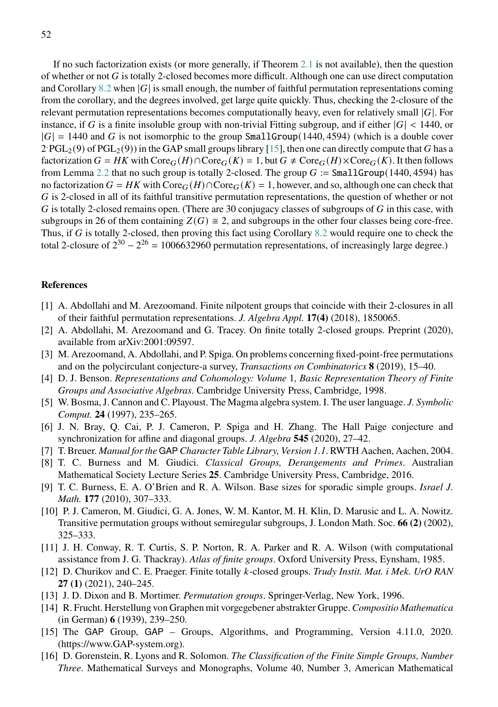If no such factorization exists (or more generally, if Theorem [2.1](#page-4-0) is not available), then the question of whether or not  $G$  is totally 2-closed becomes more difficult. Although one can use direct computation and Corollary [8.2](#page-50-0) when  $|G|$  is small enough, the number of faithful permutation representations coming from the corollary, and the degrees involved, get large quite quickly. Thus, checking the 2-closure of the relevant permutation representations becomes computationally heavy, even for relatively small  $|G|$ . For instance, if G is a finite insoluble group with non-trivial Fitting subgroup, and if either  $|G| < 1440$ , or  $|G| = 1440$  and G is not isomorphic to the group SmallGroup(1440, 4594) (which is a double cover  $2 \cdot PGL_2(9)$  of  $PGL_2(9)$ ) in the GAP small groups library [\[15\]](#page-51-10), then one can directly compute that G has a factorization  $G = HK$  with  $\text{Core}_G(H) \cap \text{Core}_G(K) = 1$ , but  $G \neq \text{Core}_G(H) \times \text{Core}_G(K)$ . It then follows from Lemma [2.2](#page-4-2) that no such group is totally 2-closed. The group  $G := \text{SmallGroup}(1440, 4594)$  has no factorization  $G = HK$  with  $\text{Core}_G(H) \cap \text{Core}_G(K) = 1$ , however, and so, although one can check that  $G$  is 2-closed in all of its faithful transitive permutation representations, the question of whether or not G is totally 2-closed remains open. (There are 30 conjugacy classes of subgroups of  $G$  in this case, with subgroups in 26 of them containing  $Z(G) \cong 2$ , and subgroups in the other four classes being core-free. Thus, if  $G$  is totally 2-closed, then proving this fact using Corollary [8.2](#page-50-0) would require one to check the total 2-closure of  $2^{30} - 2^{26} = 1006632960$  permutation representations, of increasingly large degree.)

#### **References**

- <span id="page-51-0"></span>[1] A. Abdollahi and M. Arezoomand. Finite nilpotent groups that coincide with their 2-closures in all of their faithful permutation representations. *J. Algebra Appl.* **17(4)** (2018), 1850065.
- <span id="page-51-1"></span>[2] A. Abdollahi, M. Arezoomand and G. Tracey. On finite totally 2-closed groups. Preprint (2020), available from arXiv:2001:09597.
- <span id="page-51-3"></span>[3] M. Arezoomand, A. Abdollahi, and P. Spiga. On problems concerning fixed-point-free permutations and on the polycirculant conjecture-a survey, *Transactions on Combinatorics* **8** (2019), 15–40.
- <span id="page-51-8"></span>[4] D. J. Benson. *Representations and Cohomology: Volume* 1*, Basic Representation Theory of Finite Groups and Associative Algebras*. Cambridge University Press, Cambridge, 1998.
- <span id="page-51-11"></span>[5] W. Bosma, J. Cannon and C. Playoust. The Magma algebra system. I. The user language. *J. Symbolic Comput.* **24** (1997), 235–265.
- <span id="page-51-13"></span>[6] J. N. Bray, Q. Cai, P. J. Cameron, P. Spiga and H. Zhang. The Hall Paige conjecture and synchronization for affine and diagonal groups. *J. Algebra* **545** (2020), 27–42.
- <span id="page-51-12"></span>[7] T. Breuer. *Manual for the* GAP *Character Table Library, Version 1.1*. RWTH Aachen, Aachen, 2004.
- <span id="page-51-2"></span>[8] T. C. Burness and M. Giudici. *Classical Groups, Derangements and Primes*. Australian Mathematical Society Lecture Series **25**. Cambridge University Press, Cambridge, 2016.
- <span id="page-51-9"></span>[9] T. C. Burness, E. A. O'Brien and R. A. Wilson. Base sizes for sporadic simple groups. *Israel J. Math.* **177** (2010), 307–333.
- <span id="page-51-15"></span>[10] P. J. Cameron, M. Giudici, G. A. Jones, W. M. Kantor, M. H. Klin, D. Marusic and L. A. Nowitz. Transitive permutation groups without semiregular subgroups, J. London Math. Soc. **66 (2)** (2002), 325–333.
- <span id="page-51-6"></span>[11] J. H. Conway, R. T. Curtis, S. P. Norton, R. A. Parker and R. A. Wilson (with computational assistance from J. G. Thackray). *Atlas of finite groups*. Oxford University Press, Eynsham, 1985.
- <span id="page-51-5"></span>[12] D. Churikov and C. E. Praeger. Finite totally -closed groups. *Trudy Instit. Mat. i Mek. UrO RAN* **27 (1)** (2021), 240–245.
- <span id="page-51-7"></span>[13] J. D. Dixon and B. Mortimer. *Permutation groups*. Springer-Verlag, New York, 1996.
- <span id="page-51-4"></span>[14] R. Frucht. Herstellung von Graphen mit vorgegebener abstrakter Gruppe. *Compositio Mathematica* (in German) **6** (1939), 239–250.
- <span id="page-51-10"></span>[15] The GAP Group, GAP – Groups, Algorithms, and Programming, Version 4.11.0, 2020. (https://www.GAP-system.org).
- <span id="page-51-14"></span>[16] D. Gorenstein, R. Lyons and R. Solomon. *The Classification of the Finite Simple Groups, Number Three*. Mathematical Surveys and Monographs, Volume 40, Number 3, American Mathematical